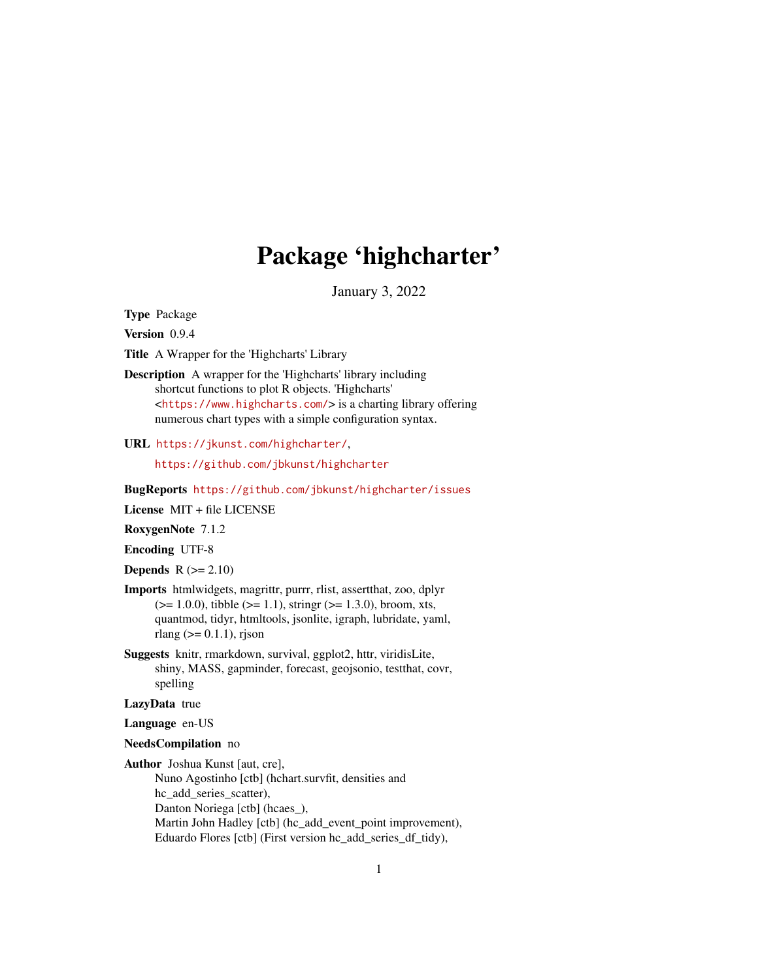# Package 'highcharter'

January 3, 2022

Type Package

Version 0.9.4

Title A Wrapper for the 'Highcharts' Library

Description A wrapper for the 'Highcharts' library including shortcut functions to plot R objects. 'Highcharts' <<https://www.highcharts.com/>> is a charting library offering numerous chart types with a simple configuration syntax.

URL <https://jkunst.com/highcharter/>,

<https://github.com/jbkunst/highcharter>

BugReports <https://github.com/jbkunst/highcharter/issues>

License MIT + file LICENSE

RoxygenNote 7.1.2

Encoding UTF-8

**Depends**  $R$  ( $>= 2.10$ )

- Imports htmlwidgets, magrittr, purrr, rlist, assertthat, zoo, dplyr  $(>= 1.0.0)$ , tibble  $(>= 1.1)$ , stringr  $(>= 1.3.0)$ , broom, xts, quantmod, tidyr, htmltools, jsonlite, igraph, lubridate, yaml, rlang  $(>= 0.1.1)$ , rjson
- Suggests knitr, rmarkdown, survival, ggplot2, httr, viridisLite, shiny, MASS, gapminder, forecast, geojsonio, testthat, covr, spelling

LazyData true

Language en-US

#### NeedsCompilation no

Author Joshua Kunst [aut, cre],

Nuno Agostinho [ctb] (hchart.survfit, densities and hc\_add\_series\_scatter), Danton Noriega [ctb] (hcaes\_), Martin John Hadley [ctb] (hc\_add\_event\_point improvement), Eduardo Flores [ctb] (First version hc\_add\_series\_df\_tidy),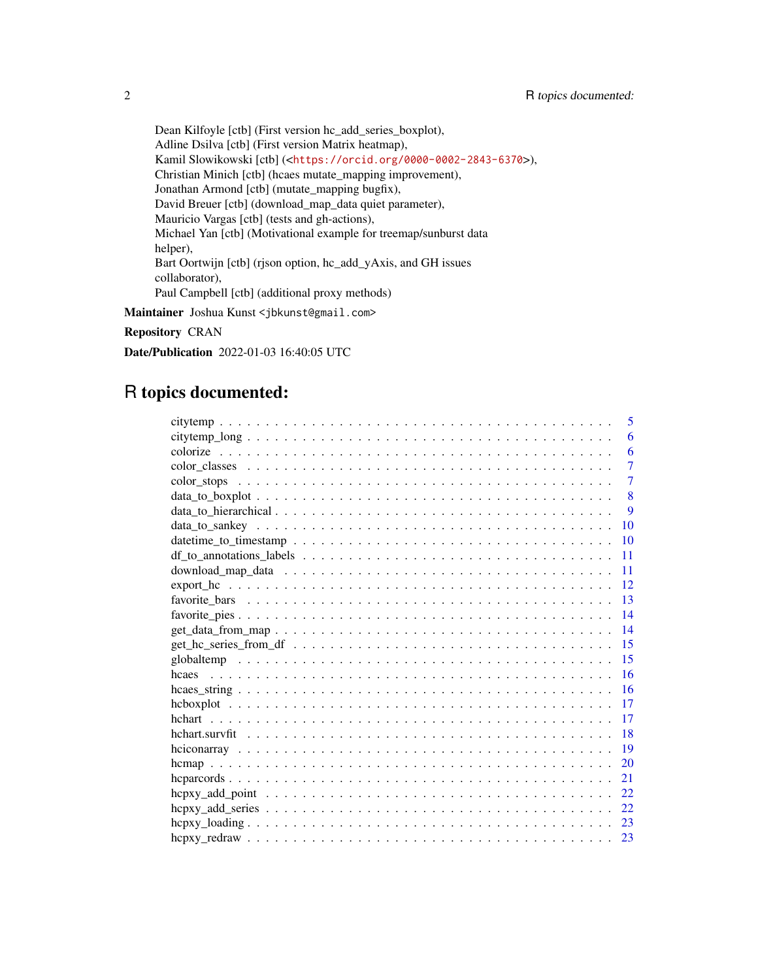Dean Kilfoyle [ctb] (First version hc\_add\_series\_boxplot), Adline Dsilva [ctb] (First version Matrix heatmap), Kamil Slowikowski [ctb] (<<https://orcid.org/0000-0002-2843-6370>>), Christian Minich [ctb] (hcaes mutate\_mapping improvement), Jonathan Armond [ctb] (mutate\_mapping bugfix), David Breuer [ctb] (download\_map\_data quiet parameter), Mauricio Vargas [ctb] (tests and gh-actions), Michael Yan [ctb] (Motivational example for treemap/sunburst data helper), Bart Oortwijn [ctb] (rjson option, hc\_add\_yAxis, and GH issues collaborator), Paul Campbell [ctb] (additional proxy methods)

Maintainer Joshua Kunst <jbkunst@gmail.com>

Repository CRAN

Date/Publication 2022-01-03 16:40:05 UTC

## R topics documented:

| 5                                                                                                                                      |
|----------------------------------------------------------------------------------------------------------------------------------------|
| 6                                                                                                                                      |
| 6                                                                                                                                      |
| 7                                                                                                                                      |
| $\overline{7}$<br>$color\_stops \dots \dots \dots \dots \dots \dots \dots \dots \dots \dots \dots \dots \dots \dots \dots \dots \dots$ |
| 8                                                                                                                                      |
| 9                                                                                                                                      |
| 10                                                                                                                                     |
| 10                                                                                                                                     |
| 11                                                                                                                                     |
| 11                                                                                                                                     |
| 12                                                                                                                                     |
| 13                                                                                                                                     |
| 14                                                                                                                                     |
| 14<br>$get\_data\_from\_map \dots \dots \dots \dots \dots \dots \dots \dots \dots \dots \dots \dots \dots \dots$                       |
| 15                                                                                                                                     |
| 15                                                                                                                                     |
| 16<br>hcaes                                                                                                                            |
| 16                                                                                                                                     |
| 17                                                                                                                                     |
| 17                                                                                                                                     |
| 18                                                                                                                                     |
| 19                                                                                                                                     |
| 20                                                                                                                                     |
| 21                                                                                                                                     |
| 22                                                                                                                                     |
| 22                                                                                                                                     |
| 23                                                                                                                                     |
| 23                                                                                                                                     |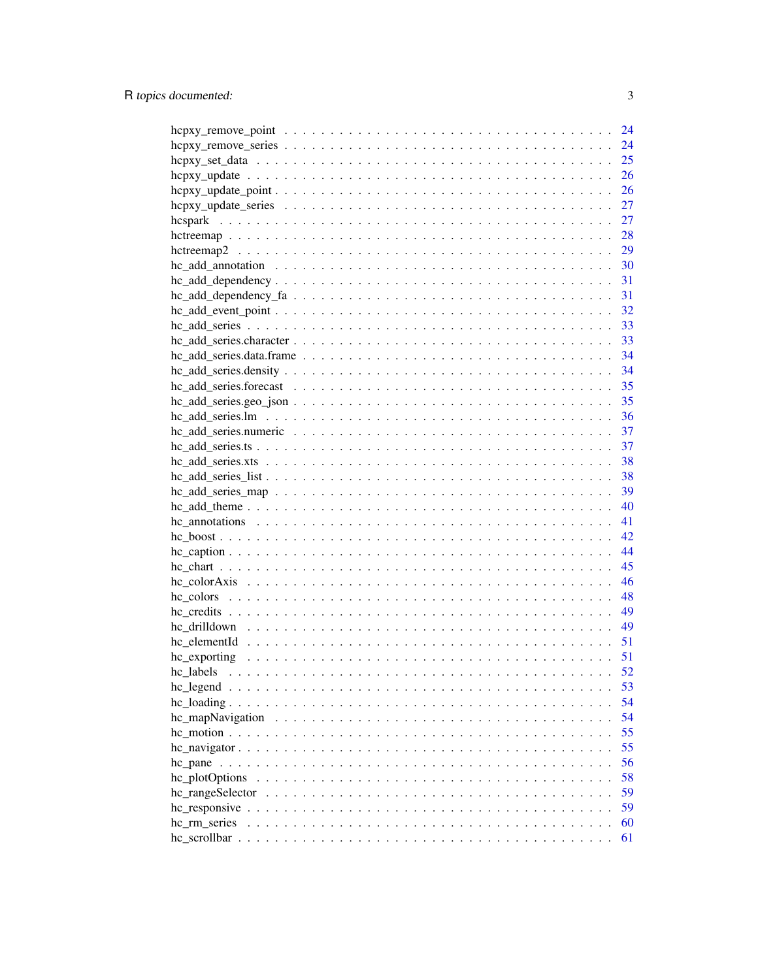|                                                                                                   | 24 |
|---------------------------------------------------------------------------------------------------|----|
|                                                                                                   | 24 |
|                                                                                                   | 25 |
|                                                                                                   | 26 |
|                                                                                                   | 26 |
|                                                                                                   | 27 |
|                                                                                                   | 27 |
|                                                                                                   | 28 |
|                                                                                                   | 29 |
|                                                                                                   | 30 |
|                                                                                                   | 31 |
|                                                                                                   | 31 |
|                                                                                                   | 32 |
|                                                                                                   | 33 |
|                                                                                                   |    |
|                                                                                                   | 34 |
|                                                                                                   | 34 |
|                                                                                                   | 35 |
| $hc\_add\_series.geo\_json \ldots \ldots \ldots \ldots \ldots \ldots \ldots \ldots \ldots \ldots$ | 35 |
|                                                                                                   | 36 |
|                                                                                                   | 37 |
|                                                                                                   | 37 |
|                                                                                                   | 38 |
|                                                                                                   | 38 |
|                                                                                                   | 39 |
|                                                                                                   | 40 |
|                                                                                                   | 41 |
|                                                                                                   | 42 |
|                                                                                                   | 44 |
|                                                                                                   | 45 |
|                                                                                                   | 46 |
|                                                                                                   | 48 |
|                                                                                                   | 49 |
|                                                                                                   | 49 |
|                                                                                                   | 51 |
|                                                                                                   | 51 |
|                                                                                                   | 52 |
|                                                                                                   | 53 |
|                                                                                                   | 54 |
|                                                                                                   | 54 |
|                                                                                                   | 55 |
|                                                                                                   | 55 |
|                                                                                                   | 56 |
|                                                                                                   | 58 |
|                                                                                                   | 59 |
|                                                                                                   | 59 |
| hc_rm_series                                                                                      | 60 |
|                                                                                                   | 61 |
|                                                                                                   |    |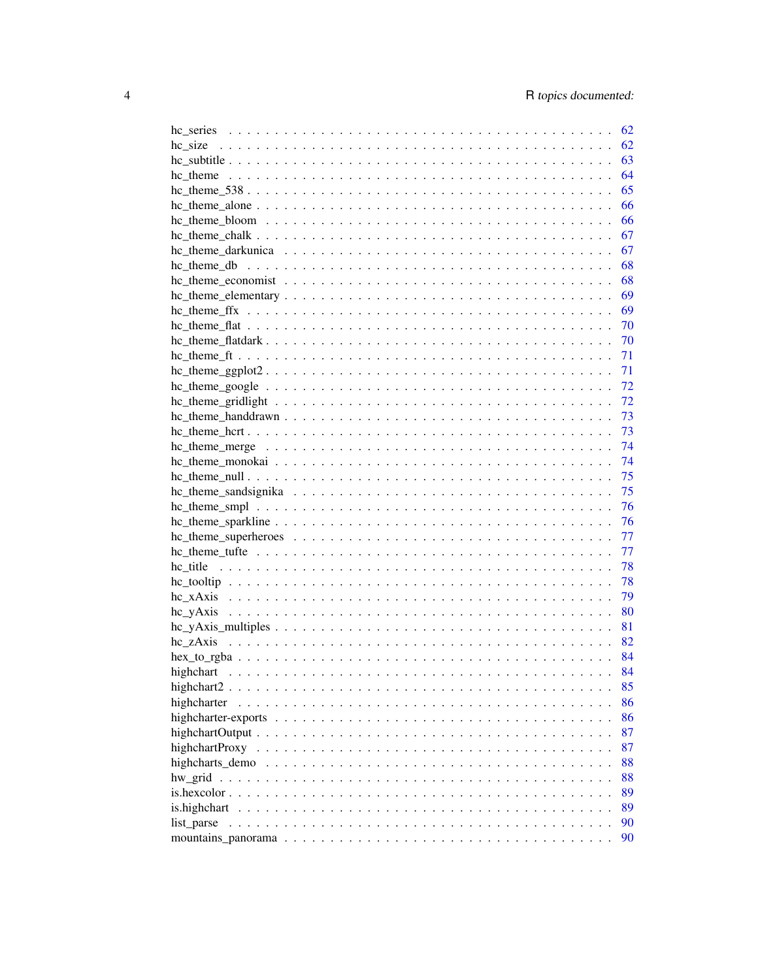|              |  | 62   |
|--------------|--|------|
|              |  | 62   |
|              |  | 63   |
|              |  | 64   |
|              |  | 65   |
|              |  | 66   |
|              |  | 66   |
|              |  |      |
|              |  | - 67 |
|              |  | - 68 |
|              |  | - 68 |
|              |  |      |
|              |  | 69   |
|              |  | 70   |
|              |  | 70   |
|              |  | 71   |
|              |  | 71   |
|              |  | 72   |
|              |  | 72   |
|              |  | 73   |
|              |  | 73   |
|              |  | 74   |
|              |  | 74   |
|              |  | 75   |
|              |  | 75   |
|              |  | 76   |
|              |  | 76   |
|              |  | 77   |
|              |  | 77   |
|              |  | 78   |
|              |  | 78   |
|              |  | 79   |
|              |  | 80   |
|              |  | 81   |
|              |  | 82   |
|              |  | 84   |
|              |  | 84   |
|              |  | 85   |
|              |  | 86   |
| highcharter  |  |      |
|              |  | 86   |
|              |  | 87   |
|              |  | 87   |
|              |  | 88   |
|              |  | 88   |
|              |  | 89   |
| is.highchart |  | 89   |
| list parse   |  | 90   |
|              |  | 90   |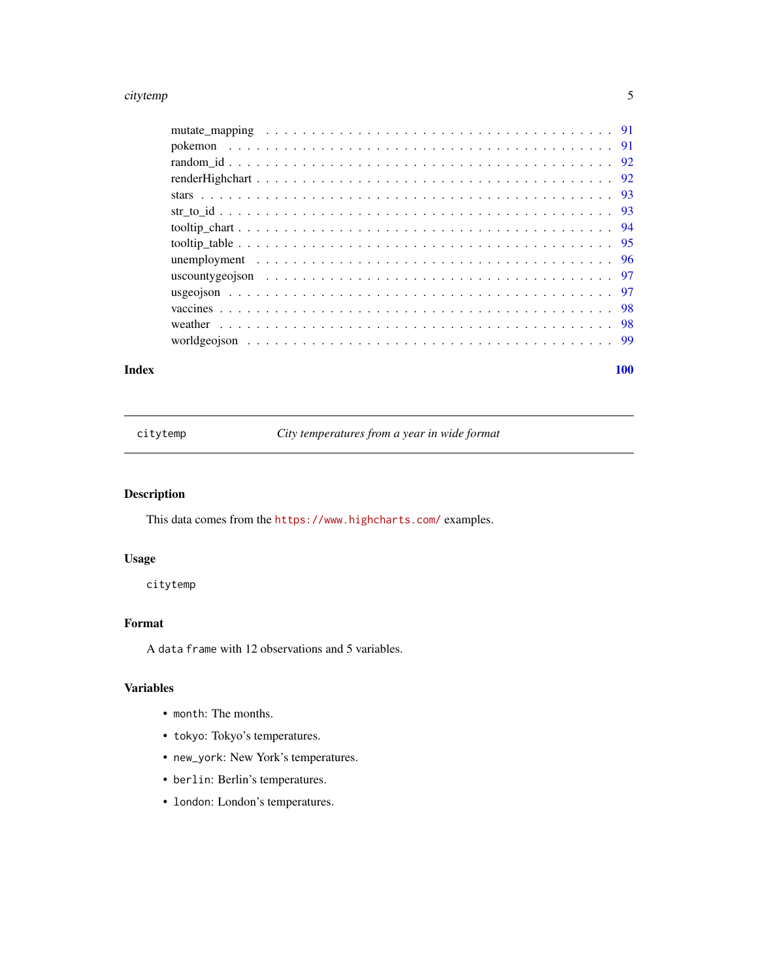#### <span id="page-4-0"></span>citytemp 55 to 55 to 55 to 55 to 55 to 55 to 55 to 55 to 55 to 55 to 55 to 55 to 55 to 55 to 55 to 55 to 55 to 55 to 55 to 55 to 55 to 55 to 55 to 55 to 55 to 55 to 55 to 55 to 55 to 55 to 55 to 55 to 55 to 55 to 55 to 55

#### **Index** the contract of the contract of the contract of the contract of the contract of the contract of the contract of the contract of the contract of the contract of the contract of the contract of the contract of the co

citytemp *City temperatures from a year in wide format*

## Description

This data comes from the <https://www.highcharts.com/> examples.

## Usage

citytemp

## Format

A data frame with 12 observations and 5 variables.

## Variables

- month: The months.
- tokyo: Tokyo's temperatures.
- new\_york: New York's temperatures.
- berlin: Berlin's temperatures.
- london: London's temperatures.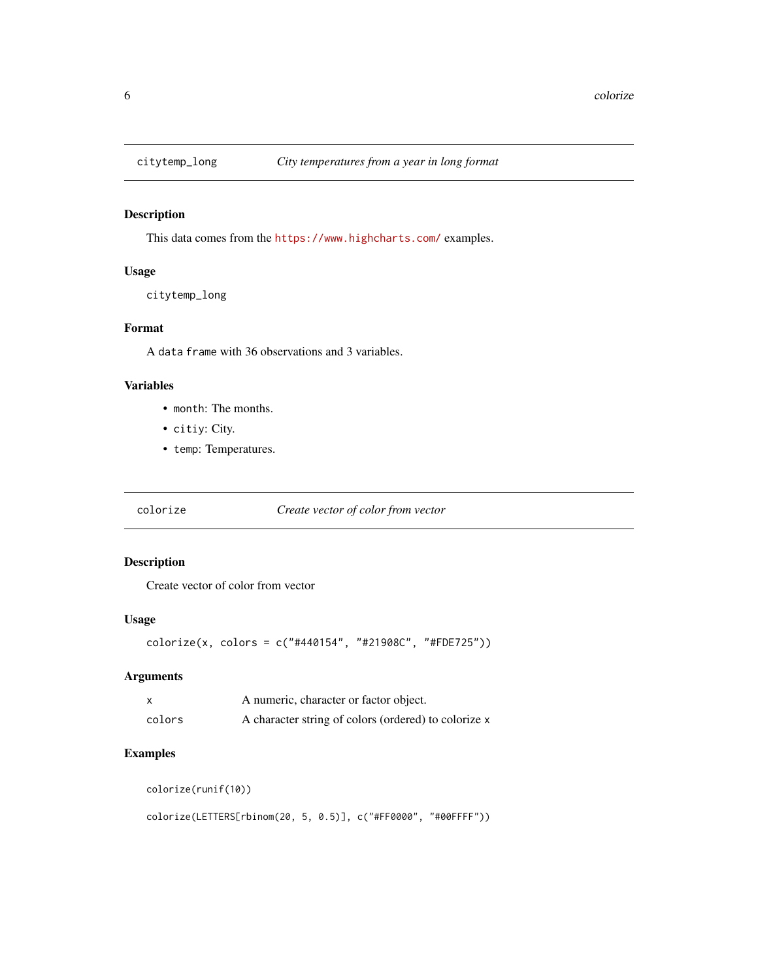<span id="page-5-0"></span>

This data comes from the <https://www.highcharts.com/> examples.

## Usage

citytemp\_long

#### Format

A data frame with 36 observations and 3 variables.

#### Variables

- month: The months.
- citiy: City.
- temp: Temperatures.

colorize *Create vector of color from vector*

#### Description

Create vector of color from vector

#### Usage

```
colorize(x, colors = c("#440154", "#21908C", "#FDE725"))
```
## Arguments

| x      | A numeric, character or factor object.               |
|--------|------------------------------------------------------|
| colors | A character string of colors (ordered) to colorize x |

## Examples

colorize(runif(10))

colorize(LETTERS[rbinom(20, 5, 0.5)], c("#FF0000", "#00FFFF"))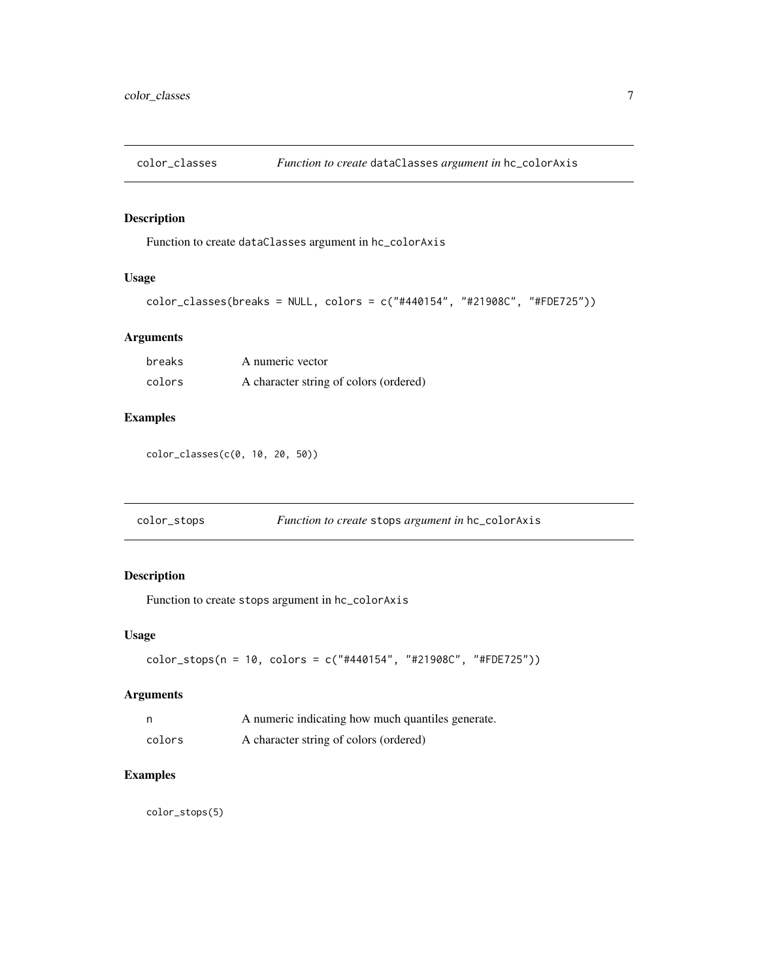<span id="page-6-0"></span>

Function to create dataClasses argument in hc\_colorAxis

## Usage

```
color_classes(breaks = NULL, colors = c("#440154", "#21908C", "#FDE725"))
```
## Arguments

| breaks | A numeric vector                       |
|--------|----------------------------------------|
| colors | A character string of colors (ordered) |

## Examples

color\_classes(c(0, 10, 20, 50))

| color_stops | <i>Function to create</i> stops <i>argument in</i> hc_colorAxis |
|-------------|-----------------------------------------------------------------|
|             |                                                                 |

## Description

Function to create stops argument in hc\_colorAxis

## Usage

```
color_stops(n = 10, colors = c("#440154", "#21908C", "#FDE725"))
```
## Arguments

|        | A numeric indicating how much quantiles generate. |
|--------|---------------------------------------------------|
| colors | A character string of colors (ordered)            |

## Examples

color\_stops(5)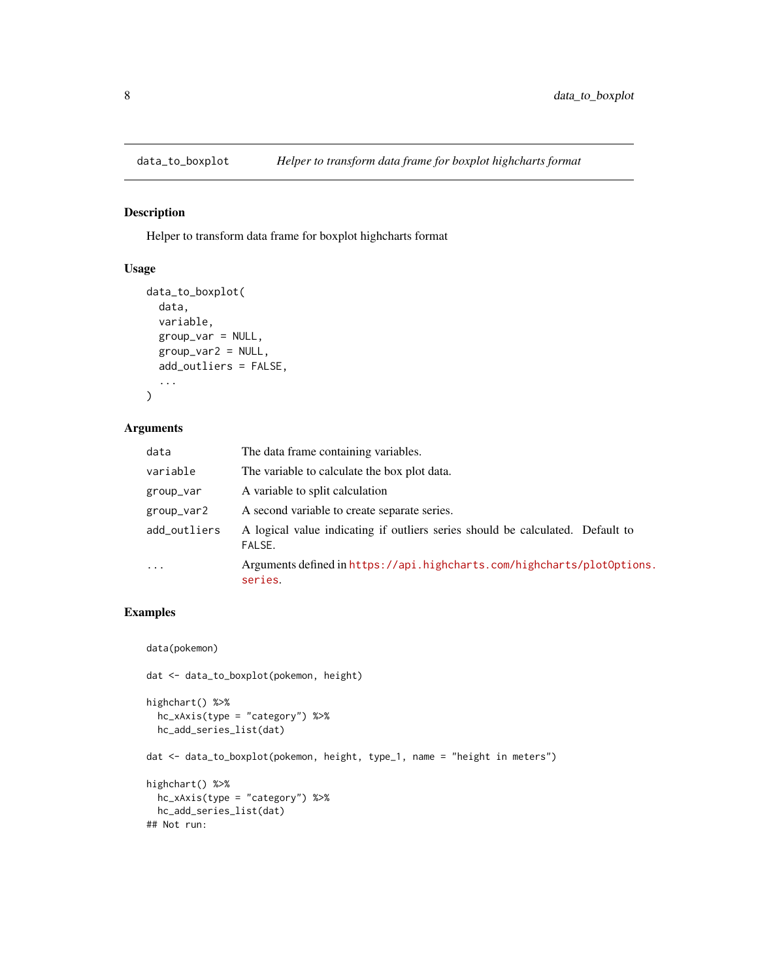<span id="page-7-0"></span>

Helper to transform data frame for boxplot highcharts format

## Usage

```
data_to_boxplot(
  data,
  variable,
  group_var = NULL,
  group_var2 = NULL,
  add_outliers = FALSE,
  ...
\mathcal{L}
```
## Arguments

| data         | The data frame containing variables.                                                     |
|--------------|------------------------------------------------------------------------------------------|
| variable     | The variable to calculate the box plot data.                                             |
| group_var    | A variable to split calculation                                                          |
| group_var2   | A second variable to create separate series.                                             |
| add_outliers | A logical value indicating if outliers series should be calculated. Default to<br>FALSE. |
| $\ddots$ .   | Arguments defined in https://api.highcharts.com/highcharts/plot0ptions.<br>series.       |

## Examples

```
data(pokemon)
dat <- data_to_boxplot(pokemon, height)
highchart() %>%
  hc_xAxis(type = "category") %>%
  hc_add_series_list(dat)
dat <- data_to_boxplot(pokemon, height, type_1, name = "height in meters")
highchart() %>%
  hc_xAxis(type = "category") %>%
  hc_add_series_list(dat)
## Not run:
```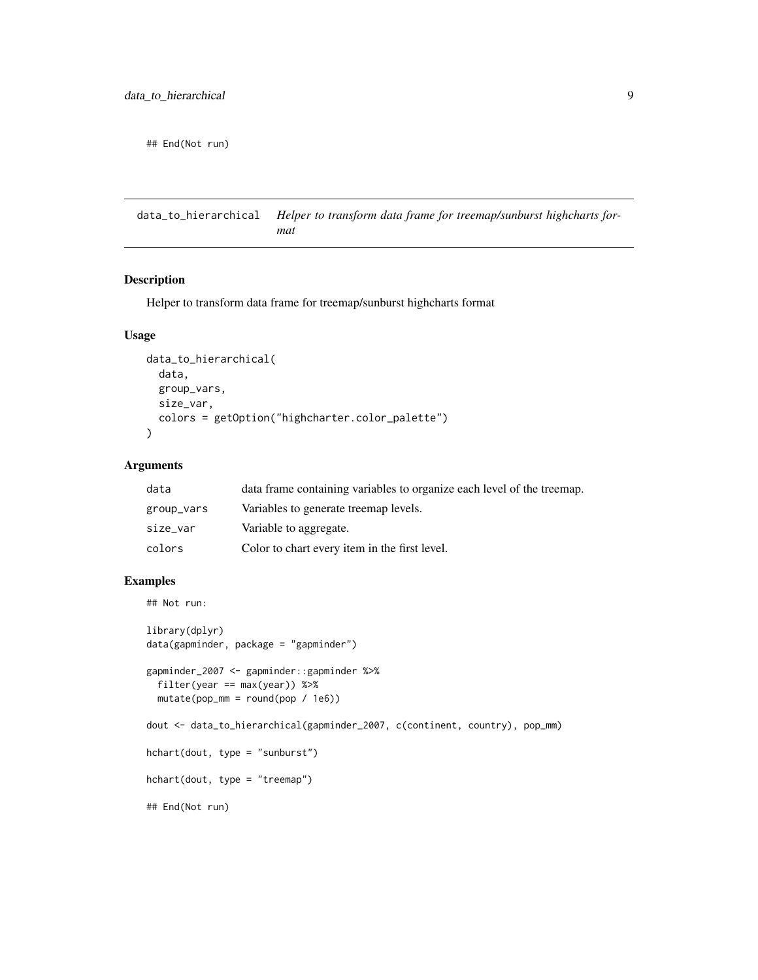<span id="page-8-0"></span>## End(Not run)

data\_to\_hierarchical *Helper to transform data frame for treemap/sunburst highcharts format*

#### Description

Helper to transform data frame for treemap/sunburst highcharts format

#### Usage

```
data_to_hierarchical(
  data,
 group_vars,
 size_var,
  colors = getOption("highcharter.color_palette")
)
```
#### Arguments

| data       | data frame containing variables to organize each level of the treemap. |
|------------|------------------------------------------------------------------------|
| group_vars | Variables to generate treemap levels.                                  |
| size_var   | Variable to aggregate.                                                 |
| colors     | Color to chart every item in the first level.                          |

#### Examples

```
## Not run:
library(dplyr)
data(gapminder, package = "gapminder")
gapminder_2007 <- gapminder::gapminder %>%
  filter(year == max(year)) %>%
  mutate(pop_mm = round(pop / 1e6))
dout <- data_to_hierarchical(gapminder_2007, c(continent, country), pop_mm)
hchart(dout, type = "sunburst")
hchart(dout, type = "treemap")
## End(Not run)
```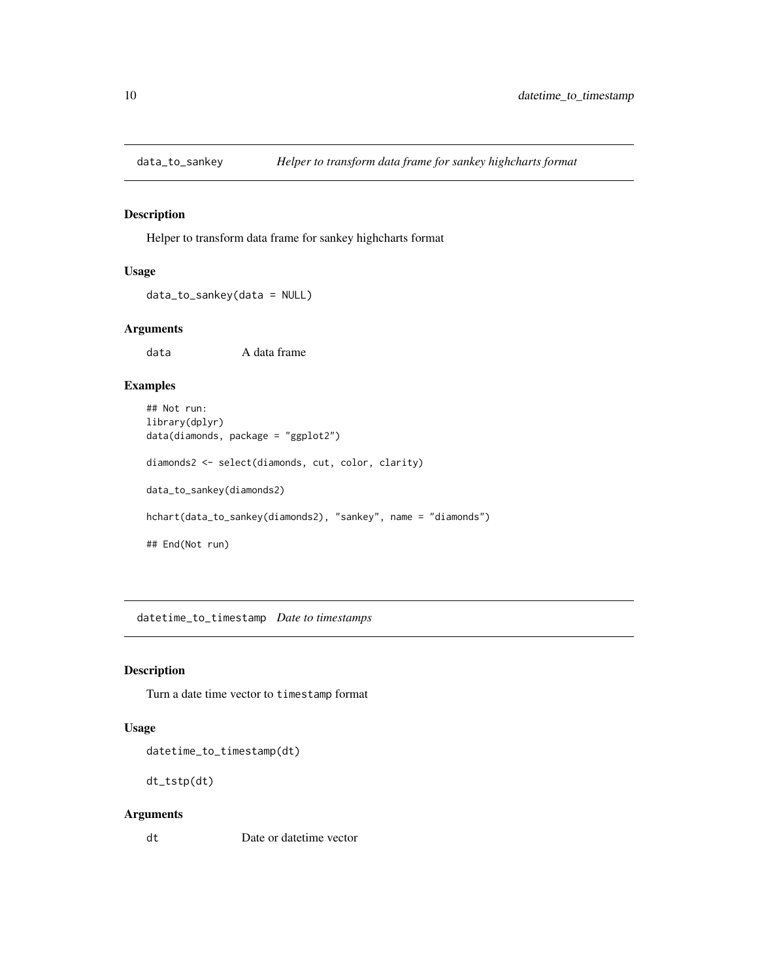<span id="page-9-0"></span>

Helper to transform data frame for sankey highcharts format

## Usage

data\_to\_sankey(data = NULL)

#### Arguments

data A data frame

#### Examples

```
## Not run:
library(dplyr)
data(diamonds, package = "ggplot2")
diamonds2 <- select(diamonds, cut, color, clarity)
data_to_sankey(diamonds2)
hchart(data_to_sankey(diamonds2), "sankey", name = "diamonds")
## End(Not run)
```
datetime\_to\_timestamp *Date to timestamps*

#### Description

Turn a date time vector to timestamp format

#### Usage

datetime\_to\_timestamp(dt)

dt\_tstp(dt)

#### Arguments

dt Date or datetime vector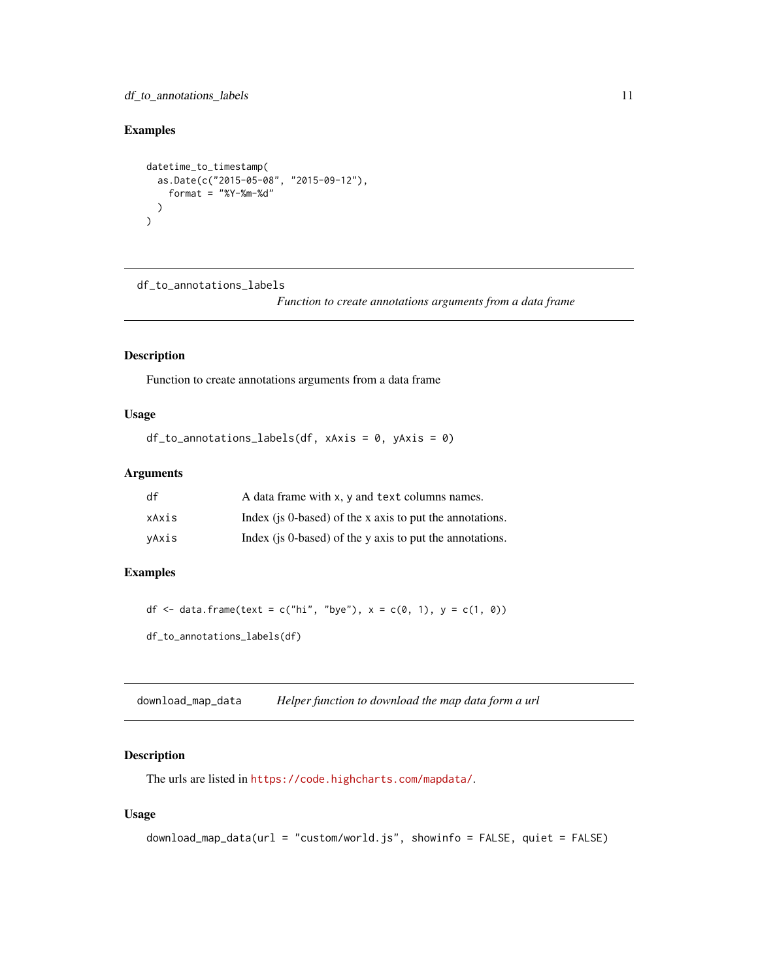## <span id="page-10-0"></span>df\_to\_annotations\_labels 11

## Examples

```
datetime_to_timestamp(
  as.Date(c("2015-05-08", "2015-09-12"),
    format = "%Y-%m-%d"
  )
\mathcal{L}
```
df\_to\_annotations\_labels

*Function to create annotations arguments from a data frame*

## Description

Function to create annotations arguments from a data frame

## Usage

```
df_to_annotations_labels(df, xAxis = 0, yAxis = 0)
```
#### Arguments

| df    | A data frame with x, y and text columns names.           |
|-------|----------------------------------------------------------|
| xAxis | Index (is 0-based) of the x axis to put the annotations. |
| vAxis | Index (is 0-based) of the y axis to put the annotations. |

## Examples

df <- data.frame(text = c("hi", "bye"),  $x = c(0, 1)$ ,  $y = c(1, 0)$ )

df\_to\_annotations\_labels(df)

<span id="page-10-1"></span>download\_map\_data *Helper function to download the map data form a url*

## Description

The urls are listed in <https://code.highcharts.com/mapdata/>.

#### Usage

```
download_map_data(url = "custom/world.js", showinfo = FALSE, quiet = FALSE)
```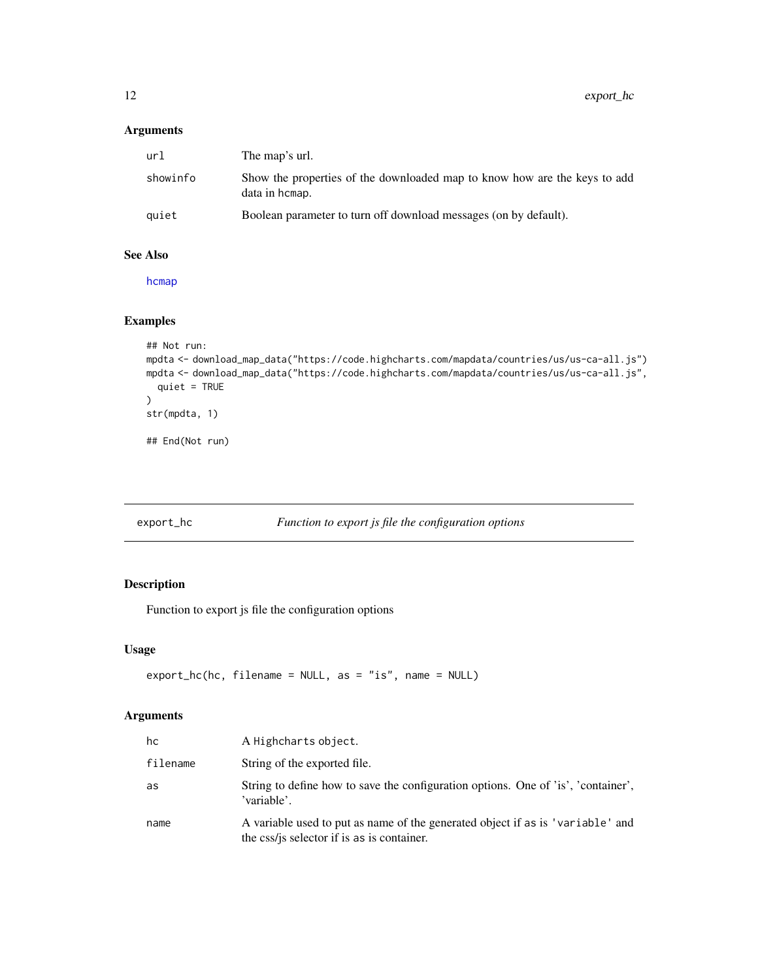## <span id="page-11-0"></span>Arguments

| url      | The map's url.                                                                              |
|----------|---------------------------------------------------------------------------------------------|
| showinfo | Show the properties of the downloaded map to know how are the keys to add<br>data in hcmap. |
| quiet    | Boolean parameter to turn off download messages (on by default).                            |

#### See Also

[hcmap](#page-19-1)

## Examples

```
## Not run:
mpdta <- download_map_data("https://code.highcharts.com/mapdata/countries/us/us-ca-all.js")
mpdta <- download_map_data("https://code.highcharts.com/mapdata/countries/us/us-ca-all.js",
  quiet = TRUE
)
str(mpdta, 1)
## End(Not run)
```
#### export\_hc *Function to export js file the configuration options*

## Description

Function to export js file the configuration options

## Usage

```
export_hc(hc, filename = NULL, as = "is", name = NULL)
```

| hc       | A Highcharts object.                                                                                                         |
|----------|------------------------------------------------------------------------------------------------------------------------------|
| filename | String of the exported file.                                                                                                 |
| as       | String to define how to save the configuration options. One of 'is', 'container',<br>'variable'.                             |
| name     | A variable used to put as name of the generated object if as is 'variable' and<br>the css/js selector if is as is container. |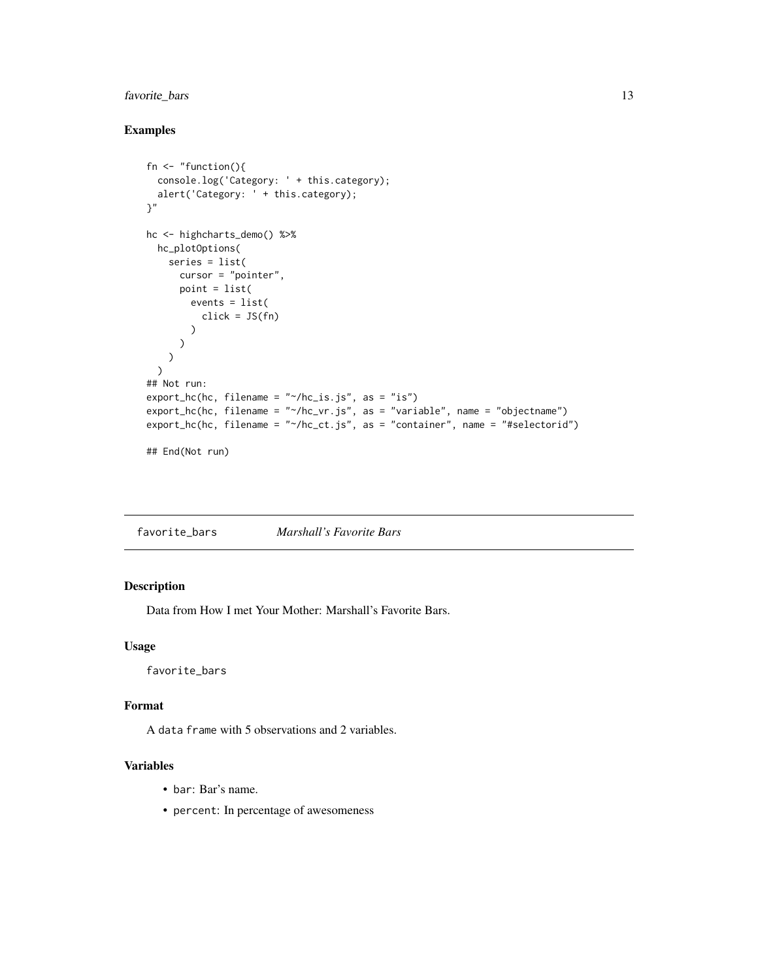## <span id="page-12-0"></span>favorite\_bars 13

## Examples

```
fn \leq "function(){
  console.log('Category: ' + this.category);
  alert('Category: ' + this.category);
}"
hc <- highcharts_demo() %>%
 hc_plotOptions(
   series = list(
     cursor = "pointer",
     point = list(
       events = list(
          click = JS(fn))
     )
   )
 )
## Not run:
export_hc(hc, filename = "~/hc_is.js", as = "is")
export_hc(hc, filename = "~/hc_vr.js", as = "variable", name = "objectname")
export_hc(hc, filename = "~/hc_ct.js", as = "container", name = "#selectorid")
## End(Not run)
```
favorite\_bars *Marshall's Favorite Bars*

## Description

Data from How I met Your Mother: Marshall's Favorite Bars.

#### Usage

favorite\_bars

#### Format

A data frame with 5 observations and 2 variables.

#### Variables

- bar: Bar's name.
- percent: In percentage of awesomeness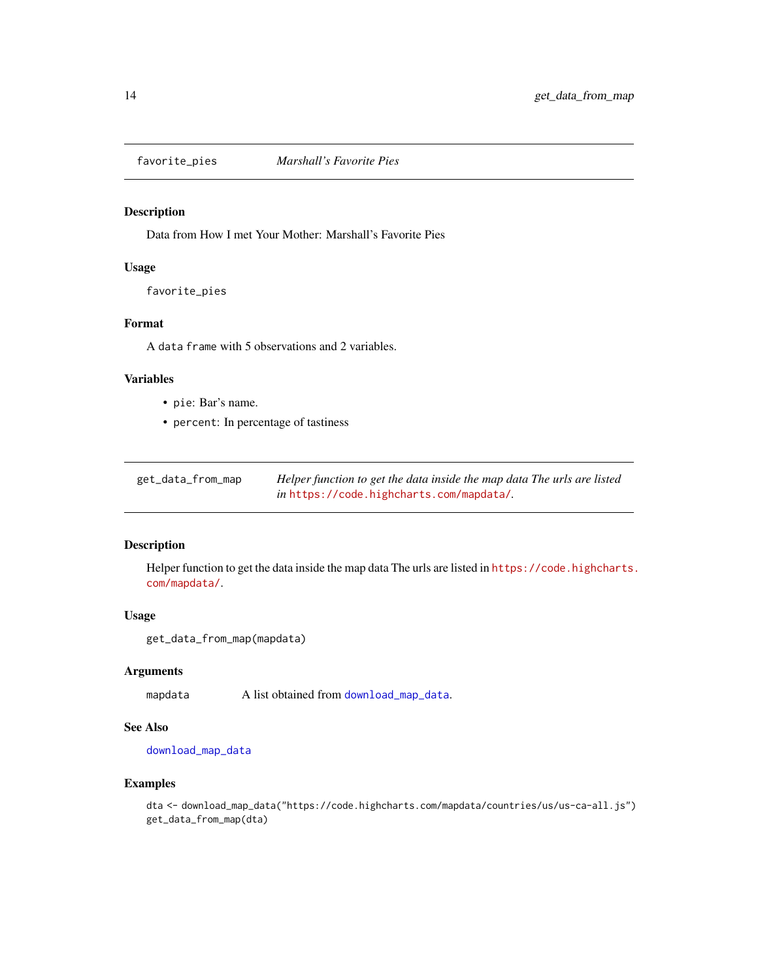<span id="page-13-0"></span>

Data from How I met Your Mother: Marshall's Favorite Pies

#### Usage

favorite\_pies

#### Format

A data frame with 5 observations and 2 variables.

#### Variables

- pie: Bar's name.
- percent: In percentage of tastiness

get\_data\_from\_map *Helper function to get the data inside the map data The urls are listed in* <https://code.highcharts.com/mapdata/>*.*

#### Description

Helper function to get the data inside the map data The urls are listed in [https://code.highcharts.](https://code.highcharts.com/mapdata/) [com/mapdata/](https://code.highcharts.com/mapdata/).

#### Usage

```
get_data_from_map(mapdata)
```
#### Arguments

mapdata A list obtained from [download\\_map\\_data](#page-10-1).

## See Also

[download\\_map\\_data](#page-10-1)

#### Examples

dta <- download\_map\_data("https://code.highcharts.com/mapdata/countries/us/us-ca-all.js") get\_data\_from\_map(dta)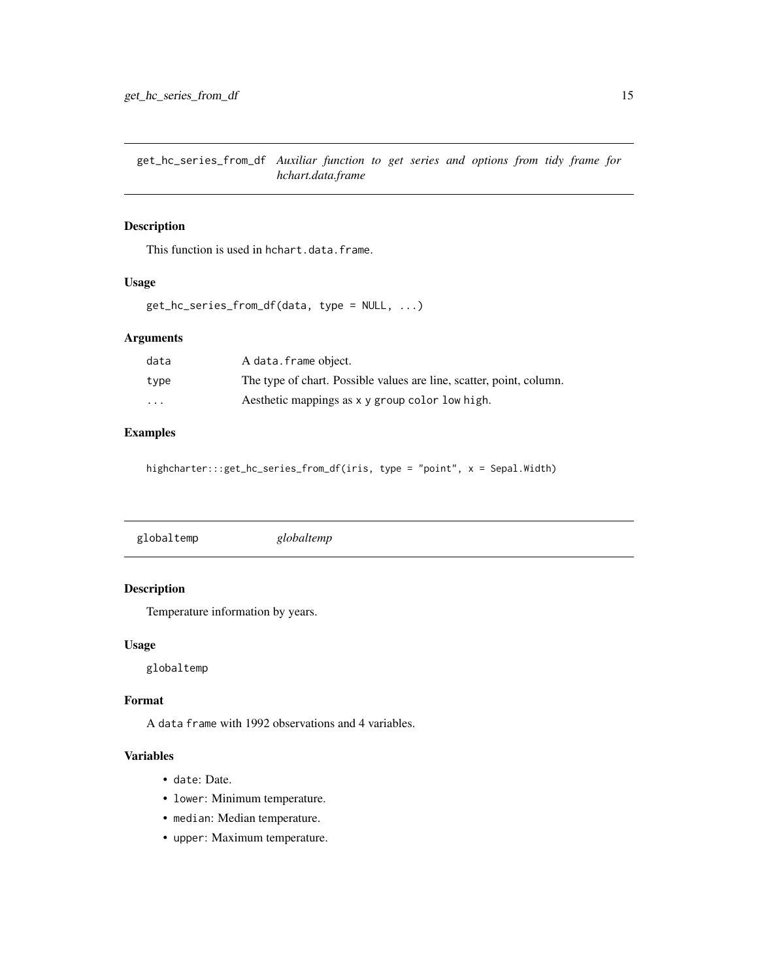<span id="page-14-0"></span>get\_hc\_series\_from\_df *Auxiliar function to get series and options from tidy frame for hchart.data.frame*

#### Description

This function is used in hchart.data.frame.

#### Usage

get\_hc\_series\_from\_df(data, type = NULL, ...)

#### Arguments

| data    | A data.frame object.                                                 |
|---------|----------------------------------------------------------------------|
| type    | The type of chart. Possible values are line, scatter, point, column. |
| $\cdot$ | Aesthetic mappings as x y group color low high.                      |

## Examples

highcharter:::get\_hc\_series\_from\_df(iris, type = "point", x = Sepal.Width)

| globaltemp | globaltemp |
|------------|------------|
|------------|------------|

## Description

Temperature information by years.

#### Usage

globaltemp

#### Format

A data frame with 1992 observations and 4 variables.

## Variables

- date: Date.
- lower: Minimum temperature.
- median: Median temperature.
- upper: Maximum temperature.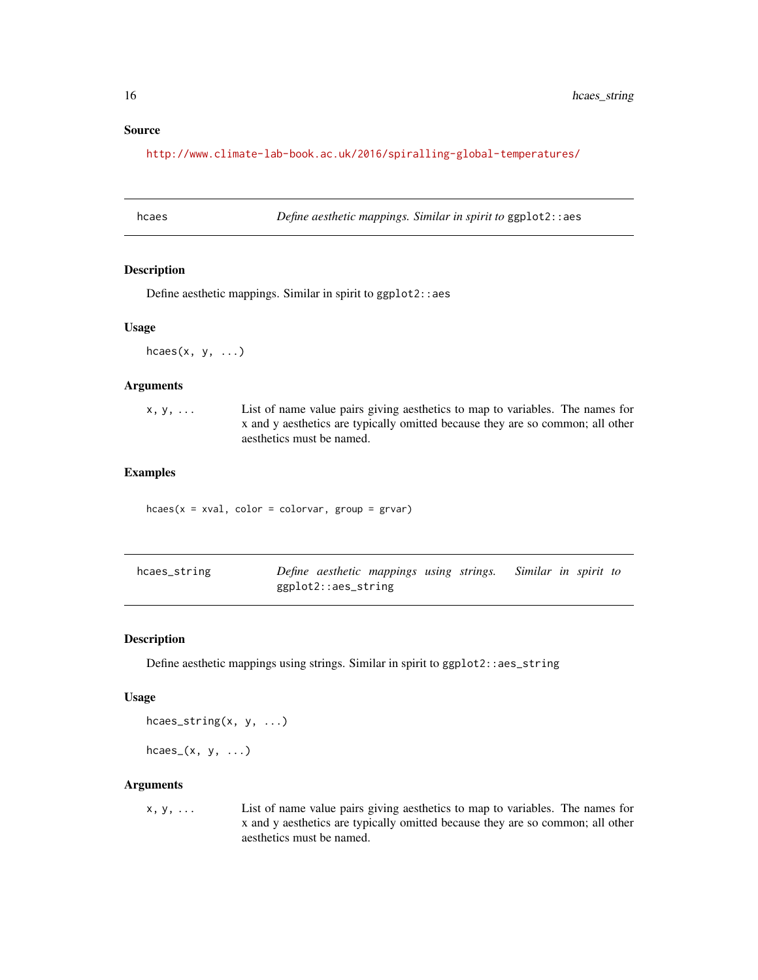#### <span id="page-15-0"></span>Source

<http://www.climate-lab-book.ac.uk/2016/spiralling-global-temperatures/>

hcaes *Define aesthetic mappings. Similar in spirit to* ggplot2::aes

## Description

Define aesthetic mappings. Similar in spirit to ggplot2::aes

#### Usage

 $hcaes(x, y, ...)$ 

#### Arguments

| $X, V, \ldots$ | List of name value pairs giving aesthetics to map to variables. The names for  |
|----------------|--------------------------------------------------------------------------------|
|                | x and y aesthetics are typically omitted because they are so common; all other |
|                | aesthetics must be named.                                                      |

#### Examples

 $hcaes(x = xval, color = colorvar, group = grav)$ 

| hcaes_string |                     | Define aesthetic mappings using strings. Similar in spirit to |  |  |  |
|--------------|---------------------|---------------------------------------------------------------|--|--|--|
|              | ggplot2::aes_string |                                                               |  |  |  |

## Description

Define aesthetic mappings using strings. Similar in spirit to ggplot2::aes\_string

#### Usage

hcaes\_string(x, y, ...)

 $hcaes_{(x, y, \ldots)}$ 

#### Arguments

x, y, ... List of name value pairs giving aesthetics to map to variables. The names for x and y aesthetics are typically omitted because they are so common; all other aesthetics must be named.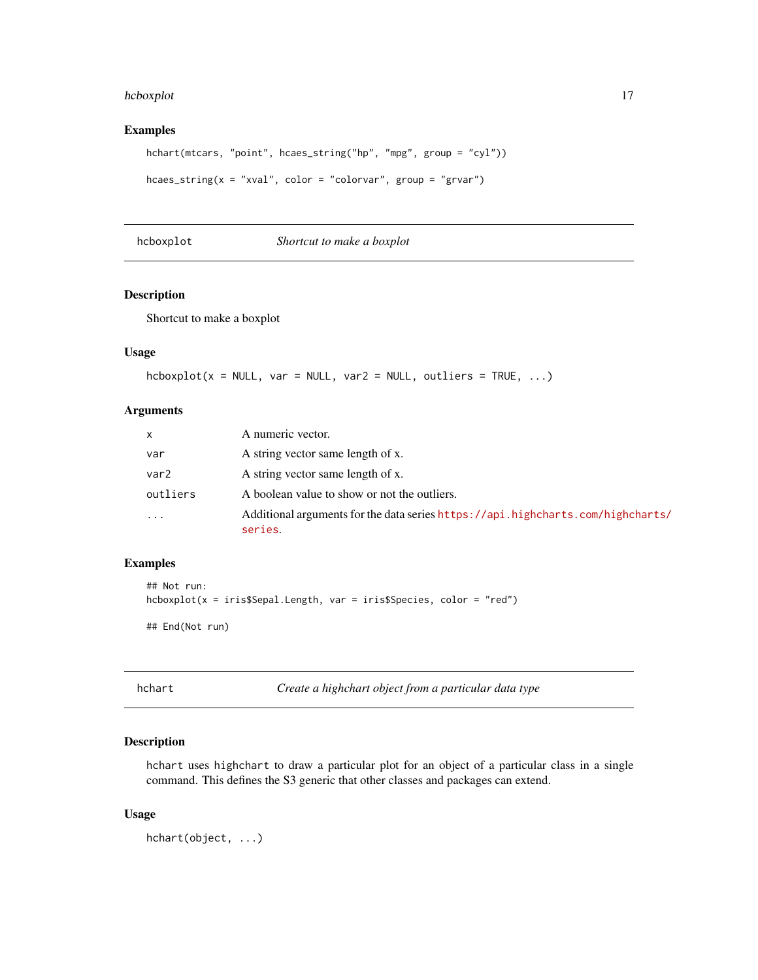#### <span id="page-16-0"></span>hcboxplot the contract of the contract of the contract of the contract of the contract of the contract of the contract of the contract of the contract of the contract of the contract of the contract of the contract of the

## Examples

```
hchart(mtcars, "point", hcaes_string("hp", "mpg", group = "cyl"))
hcaes_string(x = "xval", color = "colorvar", group = "grvar")
```
hcboxplot *Shortcut to make a boxplot*

## Description

Shortcut to make a boxplot

#### Usage

 $hcboxplot(x = NULL, var = NULL, var2 = NULL, outlineers = TRUE, ...)$ 

#### Arguments

| X                | A numeric vector.                                                                          |
|------------------|--------------------------------------------------------------------------------------------|
| var              | A string vector same length of x.                                                          |
| var <sub>2</sub> | A string vector same length of x.                                                          |
| outliers         | A boolean value to show or not the outliers.                                               |
| $\ddotsc$        | Additional arguments for the data series https://api.highcharts.com/highcharts/<br>series. |

## Examples

```
## Not run:
hcboxplot(x = iris$Sepal.length, var = iris$Species, color = "red")## End(Not run)
```
hchart *Create a highchart object from a particular data type*

#### Description

hchart uses highchart to draw a particular plot for an object of a particular class in a single command. This defines the S3 generic that other classes and packages can extend.

#### Usage

hchart(object, ...)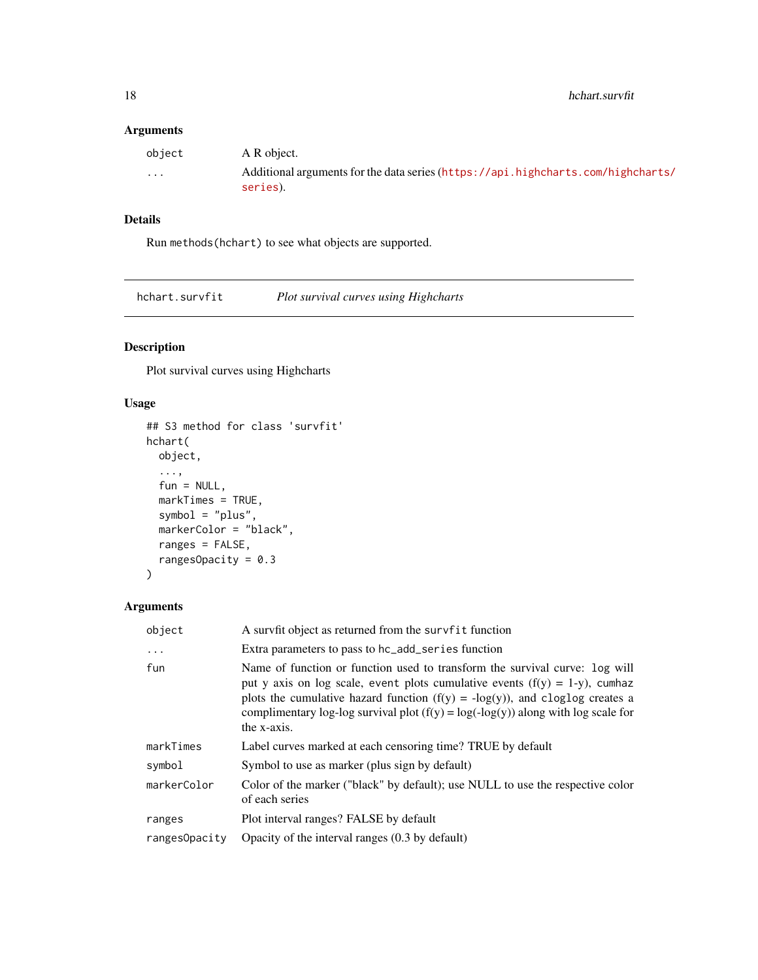## <span id="page-17-0"></span>Arguments

| object   | A R object.                                                                                  |
|----------|----------------------------------------------------------------------------------------------|
| $\cdots$ | Additional arguments for the data series (https://api.highcharts.com/highcharts/<br>series). |

## Details

Run methods(hchart) to see what objects are supported.

hchart.survfit *Plot survival curves using Highcharts*

## Description

Plot survival curves using Highcharts

## Usage

```
## S3 method for class 'survfit'
hchart(
  object,
  ...,
  fun = NULL,markTimes = TRUE,
  symbol = "plus",
  markerColor = "black",
  ranges = FALSE,
  rangesOpacity = 0.3\mathcal{L}
```

| object        | A survfit object as returned from the survfit function                                                                                                                                                                                                                                                                                                 |
|---------------|--------------------------------------------------------------------------------------------------------------------------------------------------------------------------------------------------------------------------------------------------------------------------------------------------------------------------------------------------------|
| $\ddots$      | Extra parameters to pass to hc_add_series function                                                                                                                                                                                                                                                                                                     |
| fun           | Name of function or function used to transform the survival curve: log will<br>put y axis on log scale, event plots cumulative events $(f(y) = 1-y)$ , cumhaz<br>plots the cumulative hazard function $(f(y) = -log(y))$ , and cloglog creates a<br>complimentary log-log survival plot $(f(y) = log(-log(y))$ along with log scale for<br>the x-axis. |
| markTimes     | Label curves marked at each censoring time? TRUE by default                                                                                                                                                                                                                                                                                            |
| symbol        | Symbol to use as marker (plus sign by default)                                                                                                                                                                                                                                                                                                         |
| markerColor   | Color of the marker ("black" by default); use NULL to use the respective color<br>of each series                                                                                                                                                                                                                                                       |
| ranges        | Plot interval ranges? FALSE by default                                                                                                                                                                                                                                                                                                                 |
| ranges0pacity | Opacity of the interval ranges (0.3 by default)                                                                                                                                                                                                                                                                                                        |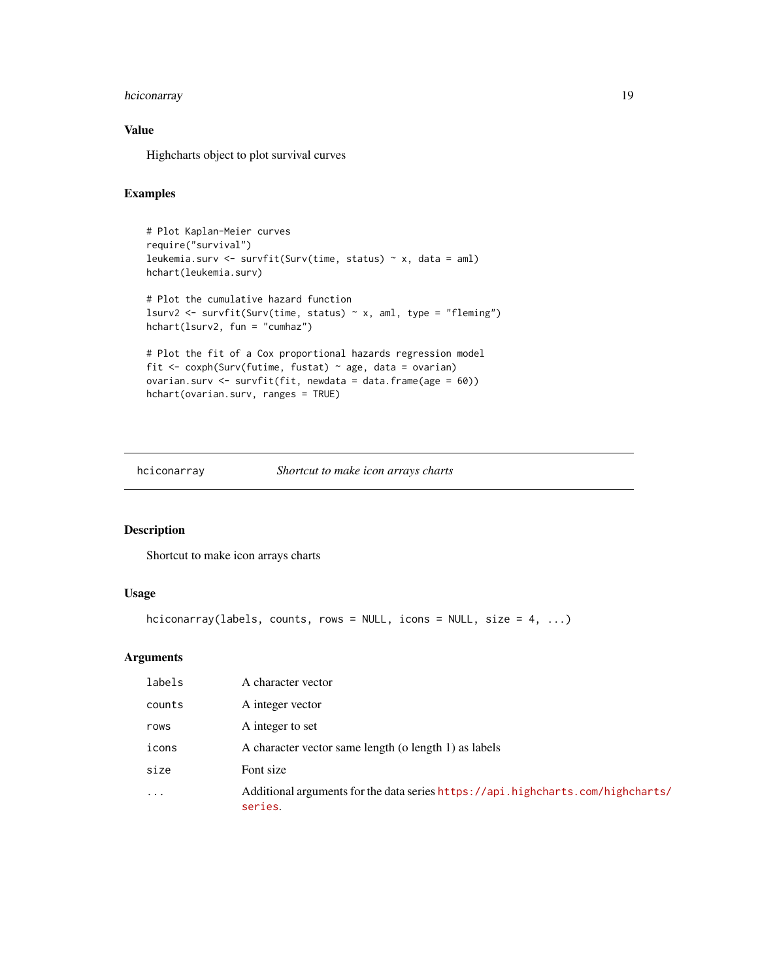## <span id="page-18-0"></span>hciconarray 19

## Value

Highcharts object to plot survival curves

## Examples

```
# Plot Kaplan-Meier curves
require("survival")
leukemia.surv <- survfit(Surv(time, status) ~ x, data = aml)
hchart(leukemia.surv)
# Plot the cumulative hazard function
lsurv2 <- survfit(Surv(time, status) ~ x, aml, type = "fleming")
hchart(lsurv2, fun = "cumhaz")
# Plot the fit of a Cox proportional hazards regression model
fit <- coxph(Surv(futime, fustat) ~ age, data = ovarian)
ovarian.surv <- survfit(fit, newdata = data.frame(age = 60))
hchart(ovarian.surv, ranges = TRUE)
```
#### hciconarray *Shortcut to make icon arrays charts*

## Description

Shortcut to make icon arrays charts

#### Usage

```
hciconarray(labels, counts, rows = NULL, icons = NULL, size = 4, ...)
```

| labels    | A character vector                                                                         |
|-----------|--------------------------------------------------------------------------------------------|
| counts    | A integer vector                                                                           |
| rows      | A integer to set                                                                           |
| icons     | A character vector same length (o length 1) as labels                                      |
| size      | Font size                                                                                  |
| $\ddotsc$ | Additional arguments for the data series https://api.highcharts.com/highcharts/<br>series. |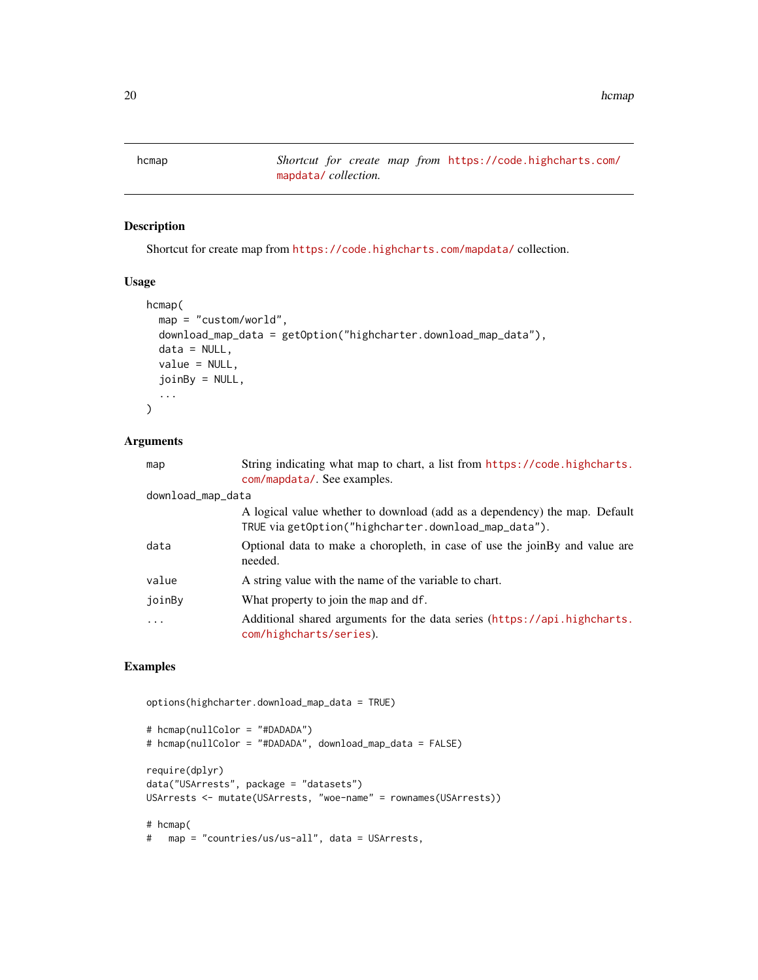<span id="page-19-1"></span><span id="page-19-0"></span>hcmap *Shortcut for create map from* [https://code.highcharts.com/](https://code.highcharts.com/mapdata/) [mapdata/](https://code.highcharts.com/mapdata/) *collection.*

## Description

Shortcut for create map from <https://code.highcharts.com/mapdata/> collection.

#### Usage

```
hcmap(
  map = "custom/world",
 download_map_data = getOption("highcharter.download_map_data"),
 data = NULL,
  value = NULL,
  joinBy = NULL,
  ...
\mathcal{L}
```
## Arguments

| map               | String indicating what map to chart, a list from https://code.highcharts.<br>com/mapdata/. See examples.                           |
|-------------------|------------------------------------------------------------------------------------------------------------------------------------|
| download_map_data |                                                                                                                                    |
|                   | A logical value whether to download (add as a dependency) the map. Default<br>TRUE via getOption("highcharter.download_map_data"). |
| data              | Optional data to make a choropleth, in case of use the joinBy and value are<br>needed.                                             |
| value             | A string value with the name of the variable to chart.                                                                             |
| joinBy            | What property to join the map and df.                                                                                              |
| $\cdots$          | Additional shared arguments for the data series (https://api.highcharts.<br>com/highcharts/series).                                |

## Examples

options(highcharter.download\_map\_data = TRUE)

```
# hcmap(nullColor = "#DADADA")
# hcmap(nullColor = "#DADADA", download_map_data = FALSE)
require(dplyr)
data("USArrests", package = "datasets")
USArrests <- mutate(USArrests, "woe-name" = rownames(USArrests))
# hcmap(
# map = "countries/us/us-all", data = USArrests,
```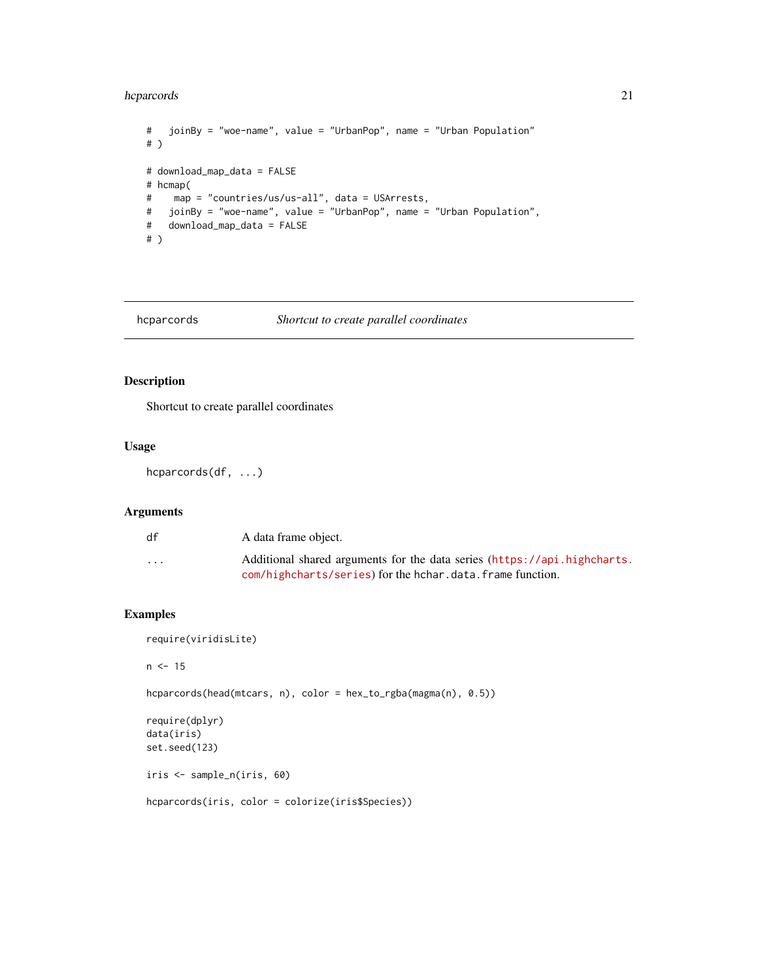## <span id="page-20-0"></span>hcparcords 21

```
# joinBy = "woe-name", value = "UrbanPop", name = "Urban Population"
# )
# download_map_data = FALSE
# hcmap(
# map = "countries/us/us-all", data = USArrests,
# joinBy = "woe-name", value = "UrbanPop", name = "Urban Population",
# download_map_data = FALSE
# )
```
## hcparcords *Shortcut to create parallel coordinates*

## Description

Shortcut to create parallel coordinates

## Usage

hcparcords(df, ...)

#### Arguments

| df                      | A data frame object.                                                     |
|-------------------------|--------------------------------------------------------------------------|
| $\cdot$ $\cdot$ $\cdot$ | Additional shared arguments for the data series (https://api.highcharts. |
|                         | com/highcharts/series) for the hchar.data.frame function.                |

#### Examples

require(viridisLite)

 $n < -15$ 

hcparcords(head(mtcars, n), color = hex\_to\_rgba(magma(n), 0.5))

```
require(dplyr)
data(iris)
set.seed(123)
```
iris <- sample\_n(iris, 60)

hcparcords(iris, color = colorize(iris\$Species))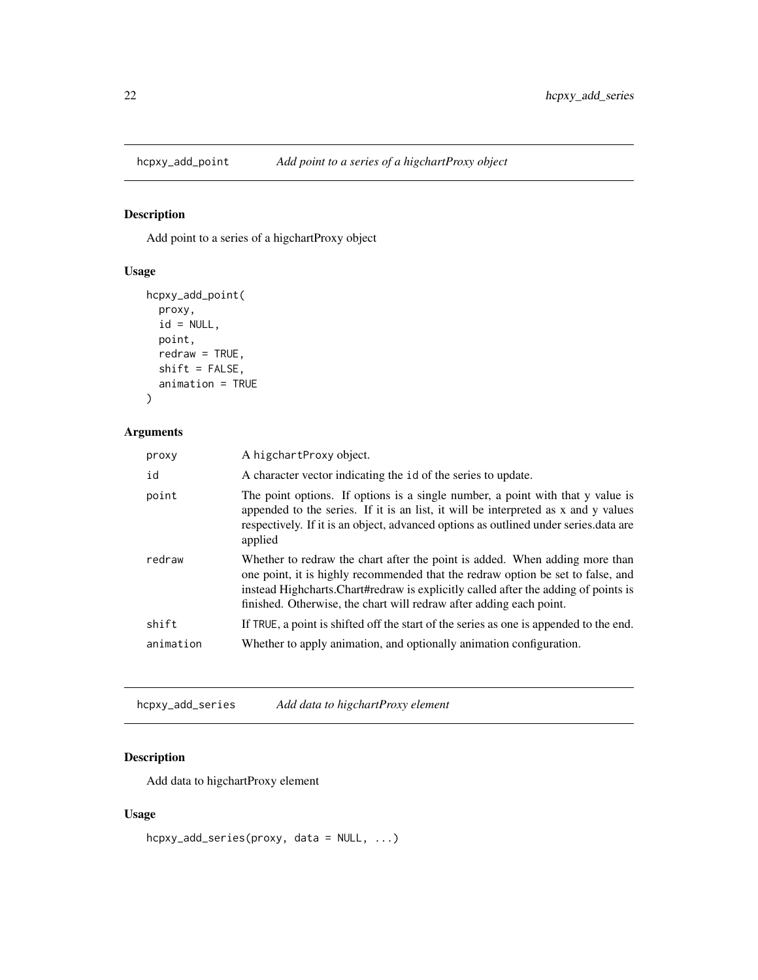<span id="page-21-0"></span>

Add point to a series of a higchartProxy object

## Usage

```
hcpxy_add_point(
  proxy,
  id = NULL,point,
  redraw = TRUE,
  shift = FALSE,
  animation = TRUE
\mathcal{L}
```
## Arguments

| proxy     | A higchartProxy object.                                                                                                                                                                                                                                                                                                      |
|-----------|------------------------------------------------------------------------------------------------------------------------------------------------------------------------------------------------------------------------------------------------------------------------------------------------------------------------------|
| id        | A character vector indicating the id of the series to update.                                                                                                                                                                                                                                                                |
| point     | The point options. If options is a single number, a point with that y value is<br>appended to the series. If it is an list, it will be interpreted as x and y values<br>respectively. If it is an object, advanced options as outlined under series data are<br>applied                                                      |
| redraw    | Whether to redraw the chart after the point is added. When adding more than<br>one point, it is highly recommended that the redraw option be set to false, and<br>instead Highcharts. Chart#redraw is explicitly called after the adding of points is<br>finished. Otherwise, the chart will redraw after adding each point. |
| shift     | If TRUE, a point is shifted off the start of the series as one is appended to the end.                                                                                                                                                                                                                                       |
| animation | Whether to apply animation, and optionally animation configuration.                                                                                                                                                                                                                                                          |

hcpxy\_add\_series *Add data to higchartProxy element*

## Description

Add data to higchartProxy element

## Usage

hcpxy\_add\_series(proxy, data = NULL, ...)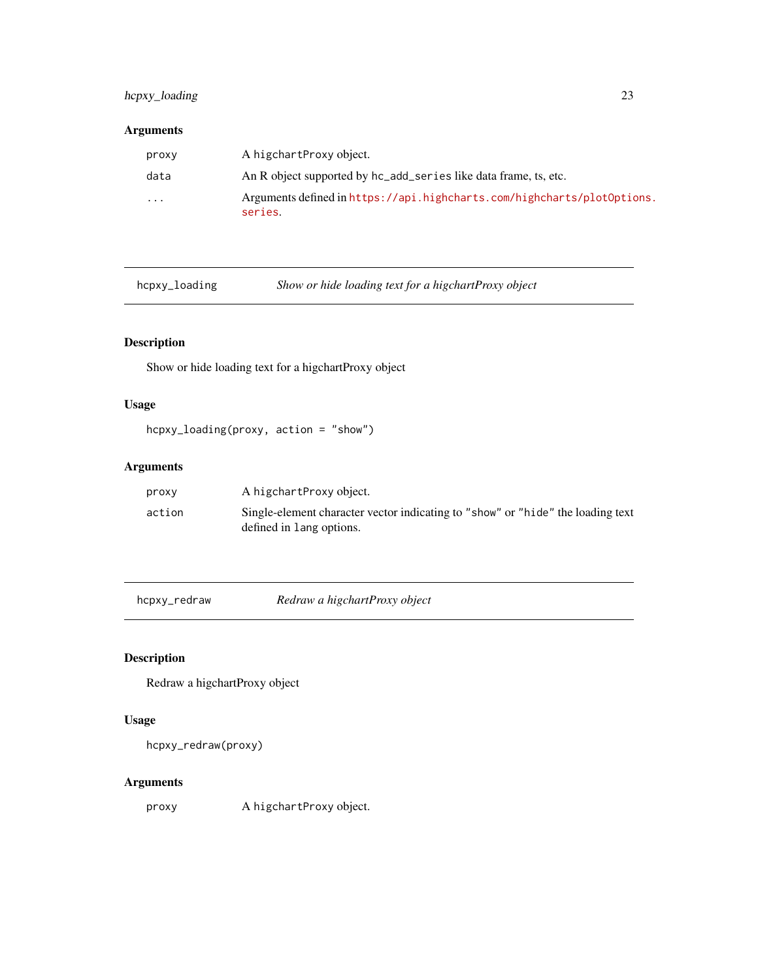## <span id="page-22-0"></span>hcpxy\_loading 23

## Arguments

| proxy    | A higchartProxy object.                                                            |
|----------|------------------------------------------------------------------------------------|
| data     | An R object supported by hc_add_series like data frame, ts, etc.                   |
| $\cdots$ | Arguments defined in https://api.highcharts.com/highcharts/plot0ptions.<br>series. |

hcpxy\_loading *Show or hide loading text for a higchartProxy object*

## Description

Show or hide loading text for a higchartProxy object

## Usage

```
hcpxy_loading(proxy, action = "show")
```
## Arguments

| proxy  | A higchartProxy object.                                                                                     |
|--------|-------------------------------------------------------------------------------------------------------------|
| action | Single-element character vector indicating to "show" or "hide" the loading text<br>defined in lang options. |

hcpxy\_redraw *Redraw a higchartProxy object*

## Description

Redraw a higchartProxy object

## Usage

hcpxy\_redraw(proxy)

## Arguments

proxy A higchartProxy object.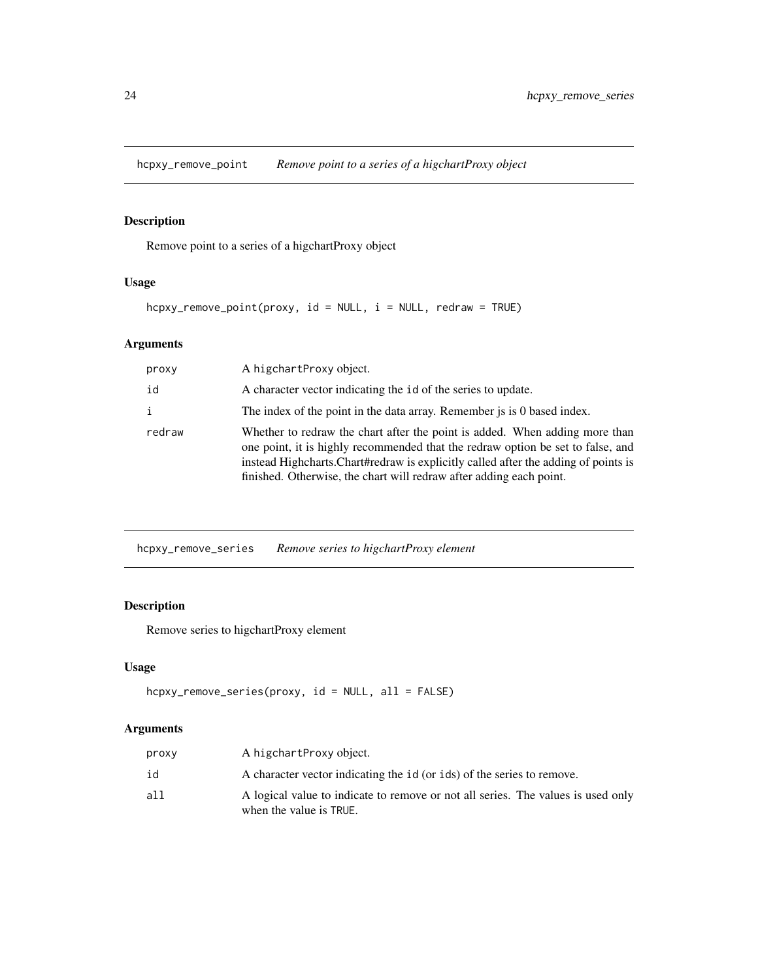<span id="page-23-0"></span>hcpxy\_remove\_point *Remove point to a series of a higchartProxy object*

## Description

Remove point to a series of a higchartProxy object

## Usage

```
hcpxy_remove_point(proxy, id = NULL, i = NULL, redraw = TRUE)
```
## Arguments

| proxy        | A higchartProxy object.                                                                                                                                                                                                                                                                                                      |
|--------------|------------------------------------------------------------------------------------------------------------------------------------------------------------------------------------------------------------------------------------------------------------------------------------------------------------------------------|
| id           | A character vector indicating the id of the series to update.                                                                                                                                                                                                                                                                |
| $\mathbf{i}$ | The index of the point in the data array. Remember is is 0 based index.                                                                                                                                                                                                                                                      |
| redraw       | Whether to redraw the chart after the point is added. When adding more than<br>one point, it is highly recommended that the redraw option be set to false, and<br>instead Highcharts. Chart#redraw is explicitly called after the adding of points is<br>finished. Otherwise, the chart will redraw after adding each point. |

hcpxy\_remove\_series *Remove series to higchartProxy element*

## Description

Remove series to higchartProxy element

## Usage

```
hcpxy_remove_series(proxy, id = NULL, all = FALSE)
```

| proxy | A higchartProxy object.                                                                                     |
|-------|-------------------------------------------------------------------------------------------------------------|
| id    | A character vector indicating the id (or ids) of the series to remove.                                      |
| all   | A logical value to indicate to remove or not all series. The values is used only<br>when the value is TRUE. |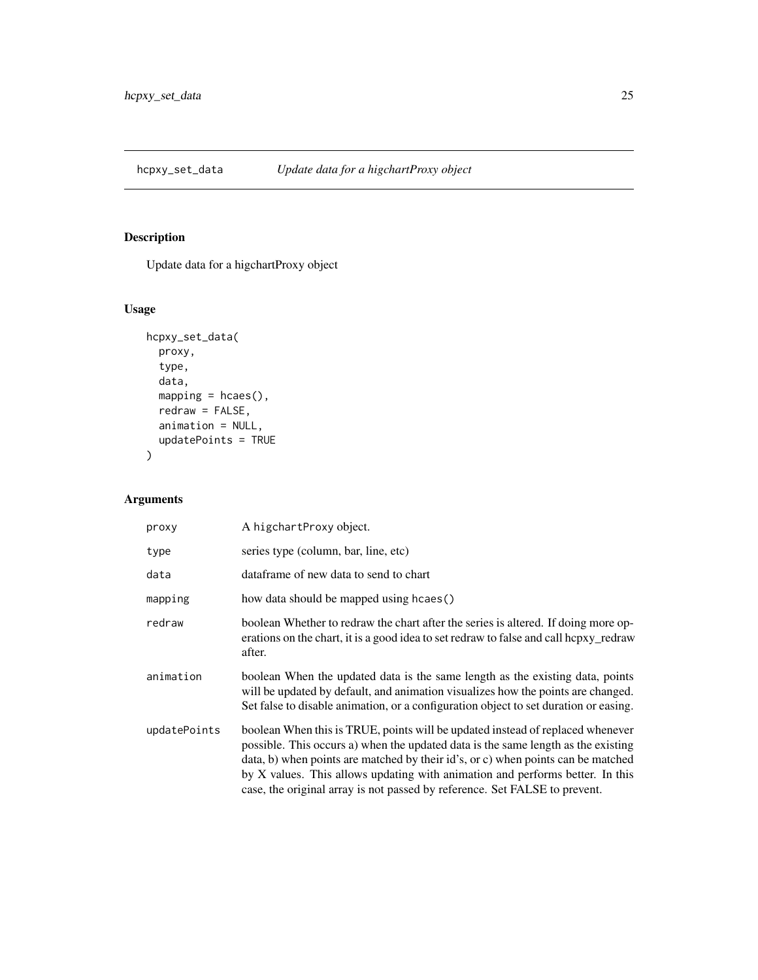<span id="page-24-0"></span>hcpxy\_set\_data *Update data for a higchartProxy object*

## Description

Update data for a higchartProxy object

## Usage

```
hcpxy_set_data(
  proxy,
  type,
  data,
  mapping = hcaes(),
  redraw = FALSE,
  animation = NULL,
  updatePoints = TRUE
)
```

| proxy        | A higchartProxy object.                                                                                                                                                                                                                                                                                                                                                                                                |
|--------------|------------------------------------------------------------------------------------------------------------------------------------------------------------------------------------------------------------------------------------------------------------------------------------------------------------------------------------------------------------------------------------------------------------------------|
| type         | series type (column, bar, line, etc)                                                                                                                                                                                                                                                                                                                                                                                   |
| data         | dataframe of new data to send to chart                                                                                                                                                                                                                                                                                                                                                                                 |
| mapping      | how data should be mapped using hcaes()                                                                                                                                                                                                                                                                                                                                                                                |
| redraw       | boolean Whether to redraw the chart after the series is altered. If doing more op-<br>erations on the chart, it is a good idea to set redraw to false and call hcpxy_redraw<br>after.                                                                                                                                                                                                                                  |
| animation    | boolean When the updated data is the same length as the existing data, points<br>will be updated by default, and animation visualizes how the points are changed.<br>Set false to disable animation, or a configuration object to set duration or easing.                                                                                                                                                              |
| updatePoints | boolean When this is TRUE, points will be updated instead of replaced whenever<br>possible. This occurs a) when the updated data is the same length as the existing<br>data, b) when points are matched by their id's, or c) when points can be matched<br>by X values. This allows updating with animation and performs better. In this<br>case, the original array is not passed by reference. Set FALSE to prevent. |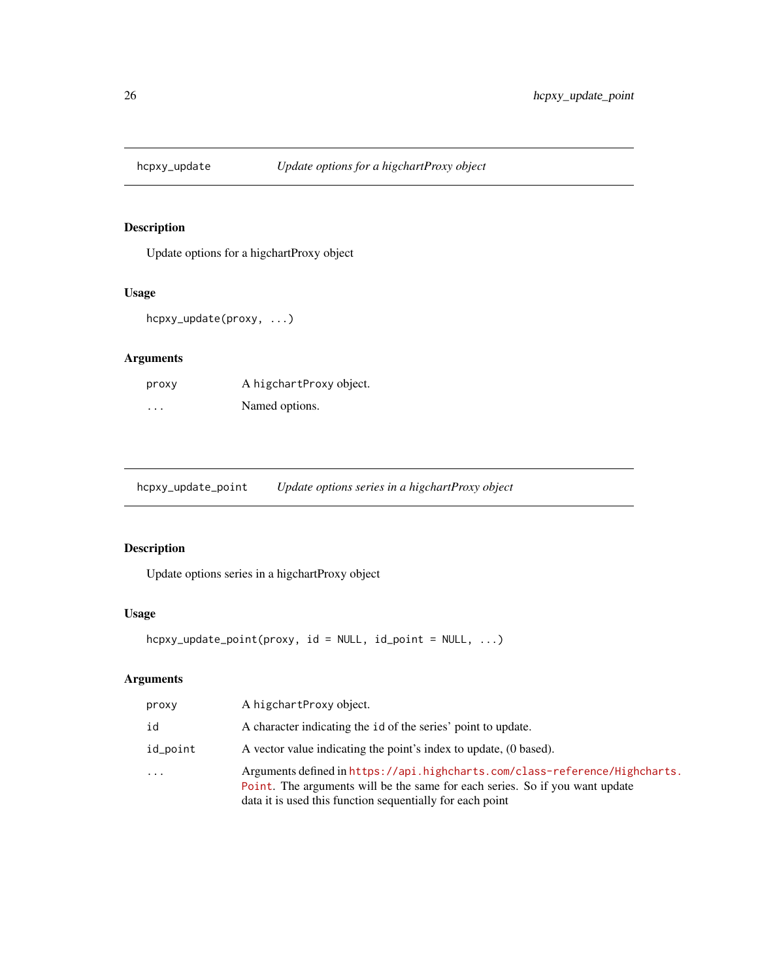<span id="page-25-0"></span>

Update options for a higchartProxy object

## Usage

```
hcpxy_update(proxy, ...)
```
## Arguments

| proxy    | A higchartProxy object. |
|----------|-------------------------|
| $\cdots$ | Named options.          |

hcpxy\_update\_point *Update options series in a higchartProxy object*

## Description

Update options series in a higchartProxy object

## Usage

```
hcpxy_update_point(proxy, id = NULL, id_point = NULL, ...)
```

| proxy    | A higchartProxy object.                                                                                                                                                                                                  |
|----------|--------------------------------------------------------------------------------------------------------------------------------------------------------------------------------------------------------------------------|
| id       | A character indicating the id of the series' point to update.                                                                                                                                                            |
| id_point | A vector value indicating the point's index to update, (0 based).                                                                                                                                                        |
| $\cdot$  | Arguments defined in https://api.highcharts.com/class-reference/Highcharts.<br>Point. The arguments will be the same for each series. So if you want update<br>data it is used this function sequentially for each point |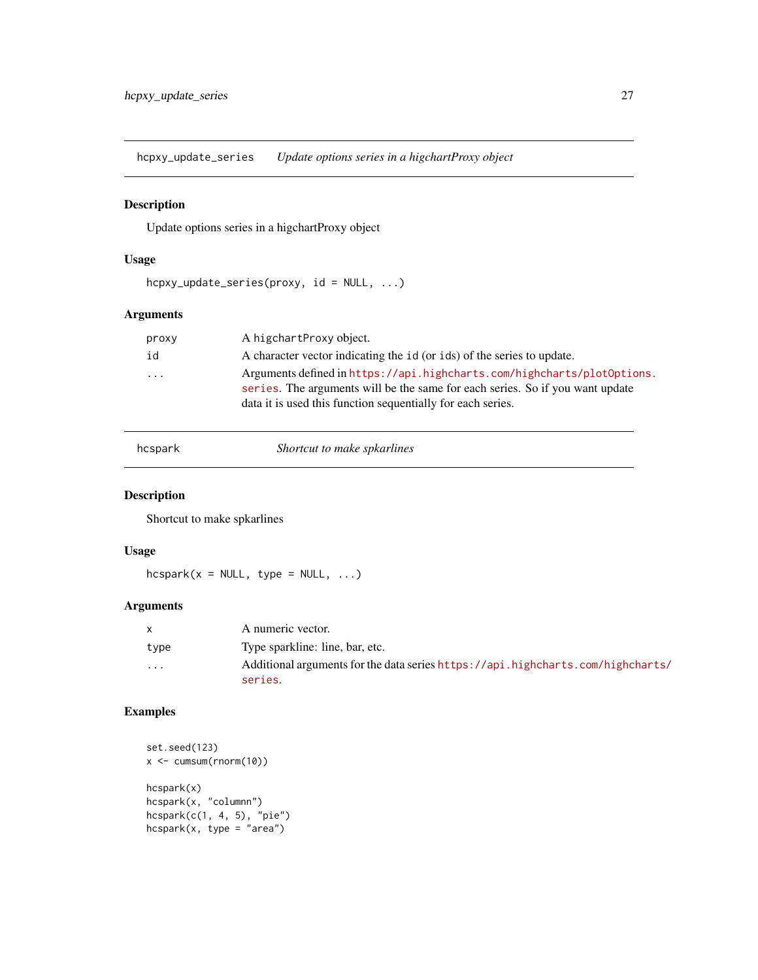<span id="page-26-0"></span>hcpxy\_update\_series *Update options series in a higchartProxy object*

## Description

Update options series in a higchartProxy object

## Usage

```
hcpxy_update_series(proxy, id = NULL, ...)
```
#### Arguments

| proxy    | A higchartProxy object.                                                                                                                                                                                                 |
|----------|-------------------------------------------------------------------------------------------------------------------------------------------------------------------------------------------------------------------------|
| id       | A character vector indicating the id (or ids) of the series to update.                                                                                                                                                  |
| $\ddots$ | Arguments defined in https://api.highcharts.com/highcharts/plot0ptions.<br>series. The arguments will be the same for each series. So if you want update<br>data it is used this function sequentially for each series. |

hcspark *Shortcut to make spkarlines*

## Description

Shortcut to make spkarlines

## Usage

 $hcspark(x = NULL, type = NULL, ...)$ 

## Arguments

|          | A numeric vector.                                                               |
|----------|---------------------------------------------------------------------------------|
| type     | Type sparkline: line, bar, etc.                                                 |
| $\cdots$ | Additional arguments for the data series https://api.highcharts.com/highcharts/ |
|          | series.                                                                         |

## Examples

```
set.seed(123)
x <- cumsum(rnorm(10))
hcspark(x)
hcspark(x, "columnn")
hcspark(c(1, 4, 5), "pie")
hcspark(x, type = "area")
```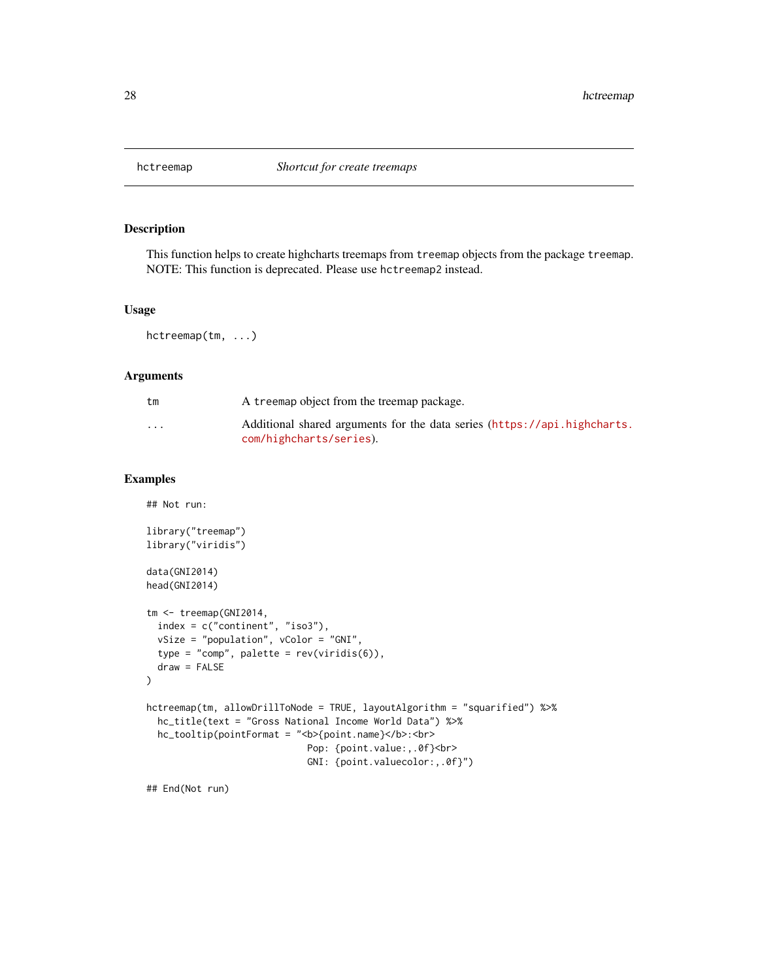<span id="page-27-0"></span>

This function helps to create highcharts treemaps from treemap objects from the package treemap. NOTE: This function is deprecated. Please use hctreemap2 instead.

#### Usage

hctreemap(tm, ...)

#### Arguments

| tm       | A treemap object from the treemap package.                                                          |
|----------|-----------------------------------------------------------------------------------------------------|
| $\cdots$ | Additional shared arguments for the data series (https://api.highcharts.<br>com/highcharts/series). |

#### Examples

```
## Not run:
library("treemap")
library("viridis")
data(GNI2014)
head(GNI2014)
tm <- treemap(GNI2014,
  index = c("continent", "iso3"),
  vSize = "population", vColor = "GNI",
  type = "comp", palette = rev(viridis(6)),
  draw = FALSE
\mathcal{L}hctreemap(tm, allowDrillToNode = TRUE, layoutAlgorithm = "squarified") %>%
  hc_title(text = "Gross National Income World Data") %>%
  hc_tooltip(pointFormat = "<b>{point.name}</b>:<br>
                             Pop: {point.value:,.0f}<br>
                             GNI: {point.valuecolor:,.0f}")
```
## End(Not run)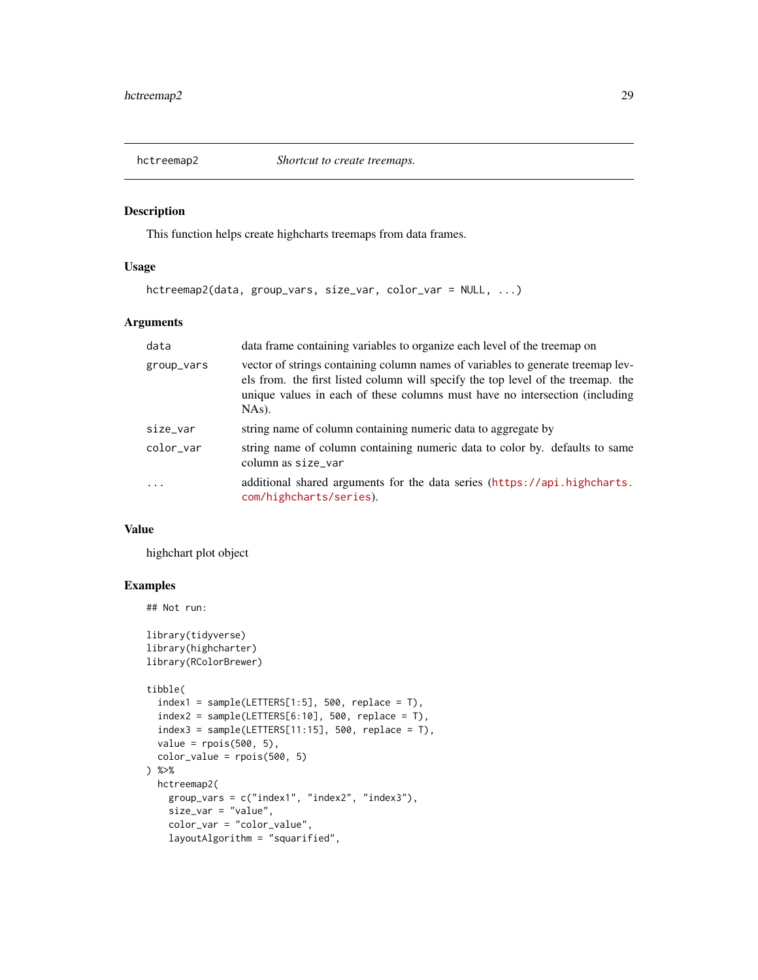<span id="page-28-0"></span>

This function helps create highcharts treemaps from data frames.

#### Usage

```
hctreemap2(data, group_vars, size_var, color_var = NULL, ...)
```
#### Arguments

| data                    | data frame containing variables to organize each level of the treemap on                                                                                                                                                                                    |
|-------------------------|-------------------------------------------------------------------------------------------------------------------------------------------------------------------------------------------------------------------------------------------------------------|
| group_vars              | vector of strings containing column names of variables to generate treemap lev-<br>els from, the first listed column will specify the top level of the treemap, the<br>unique values in each of these columns must have no intersection (including<br>NAs). |
| size_var                | string name of column containing numeric data to aggregate by                                                                                                                                                                                               |
| color_var               | string name of column containing numeric data to color by. defaults to same<br>column as size_var                                                                                                                                                           |
| $\cdot$ $\cdot$ $\cdot$ | additional shared arguments for the data series (https://api.highcharts.<br>com/highcharts/series).                                                                                                                                                         |

#### Value

highchart plot object

## Examples

## Not run:

```
library(tidyverse)
library(highcharter)
library(RColorBrewer)
tibble(
  index1 = sample(LETTERS[1:5], 500, replace = T),index2 = sample(LETTERS[6:10], 500, replace = T),index3 = sample(LETTERS[11:15], 500, replace = T),value = rpois(500, 5),
  color_value = rpois(500, 5)) %>%
  hctreemap2(
   group_vars = c("index1", "index2", "index3"),
   size_var = "value",
   color_var = "color_value",
   layoutAlgorithm = "squarified",
```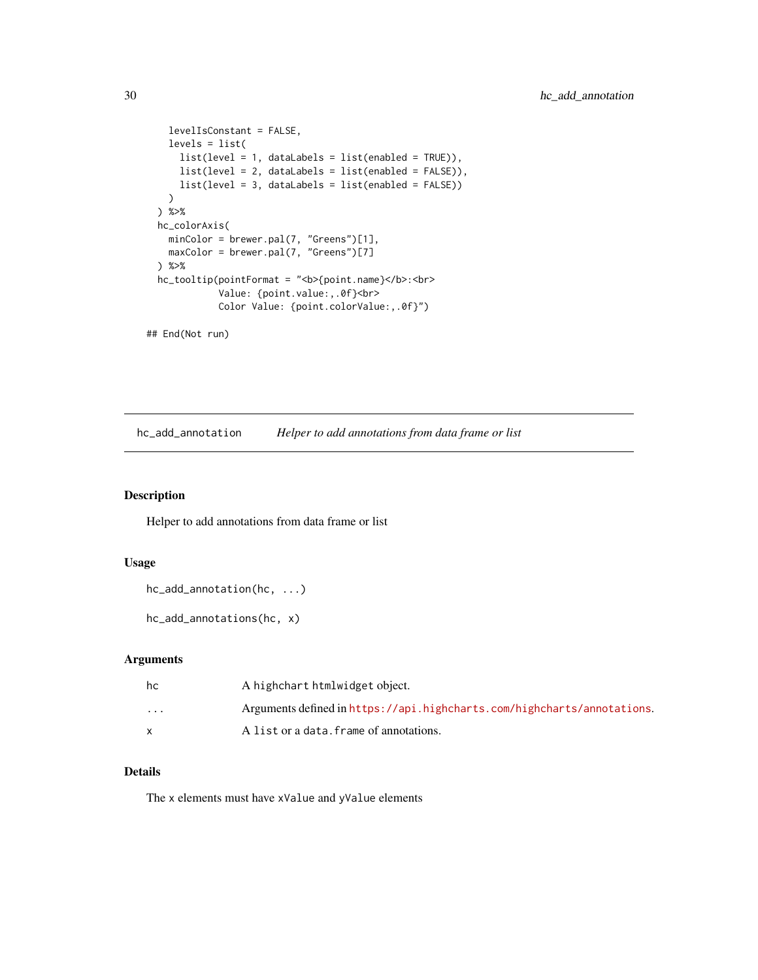```
levelIsConstant = FALSE,
  levels = list(
    list(level = 1, dataLabels = list(enabled = TRUE)),
   list(level = 2, dataLabels = list(enabled = FALSE)),
   list(level = 3, dataLabels = list(enabled = FALSE))
 )
) %>%
hc_colorAxis(
 minColor = brewer.pal(7, "Greens")[1],
 maxColor = brewer.pal(7, "Greens")[7]
) %>%
hc_tooltip(pointFormat = "<b>{point.name}</b>:<br>
           Value: {point.value:,.0f}<br>
           Color Value: {point.colorValue:,.0f}")
```
## End(Not run)

hc\_add\_annotation *Helper to add annotations from data frame or list*

#### Description

Helper to add annotations from data frame or list

#### Usage

```
hc_add_annotation(hc, ...)
```

```
hc_add_annotations(hc, x)
```
#### Arguments

| hc       | A highchart htmlwidget object.                                          |
|----------|-------------------------------------------------------------------------|
| $\cdots$ | Arguments defined in https://api.highcharts.com/highcharts/annotations. |
|          | A list or a data. frame of annotations.                                 |

#### Details

The x elements must have xValue and yValue elements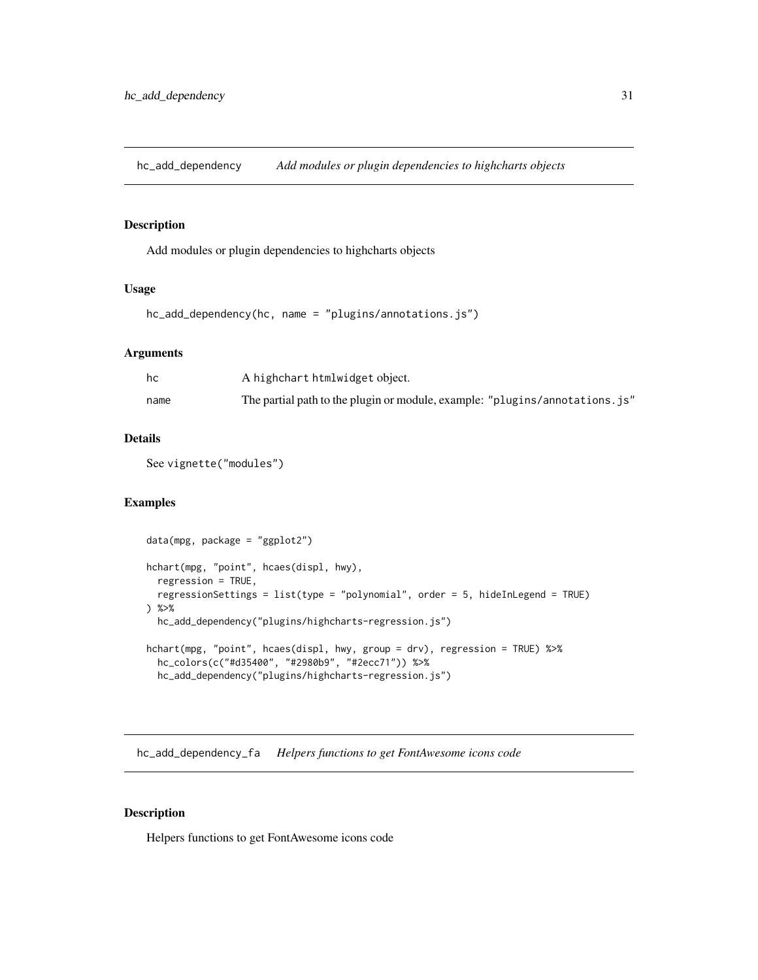<span id="page-30-0"></span>hc\_add\_dependency *Add modules or plugin dependencies to highcharts objects*

## Description

Add modules or plugin dependencies to highcharts objects

#### Usage

```
hc_add_dependency(hc, name = "plugins/annotations.js")
```
#### **Arguments**

| hc   | A highchart htmlwidget object.                                               |
|------|------------------------------------------------------------------------------|
| name | The partial path to the plugin or module, example: "plugins/annotations. js" |

#### Details

See vignette("modules")

#### Examples

```
data(mpg, package = "ggplot2")
hchart(mpg, "point", hcaes(displ, hwy),
  regression = TRUE,
  regressionSettings = list(type = "polynomial", order = 5, hideInLegend = TRUE)) %>%
  hc_add_dependency("plugins/highcharts-regression.js")
hchart(mpg, "point", hcaes(displ, hwy, group = drv), regression = TRUE) %>%
  hc_colors(c("#d35400", "#2980b9", "#2ecc71")) %>%
  hc_add_dependency("plugins/highcharts-regression.js")
```
hc\_add\_dependency\_fa *Helpers functions to get FontAwesome icons code*

#### Description

Helpers functions to get FontAwesome icons code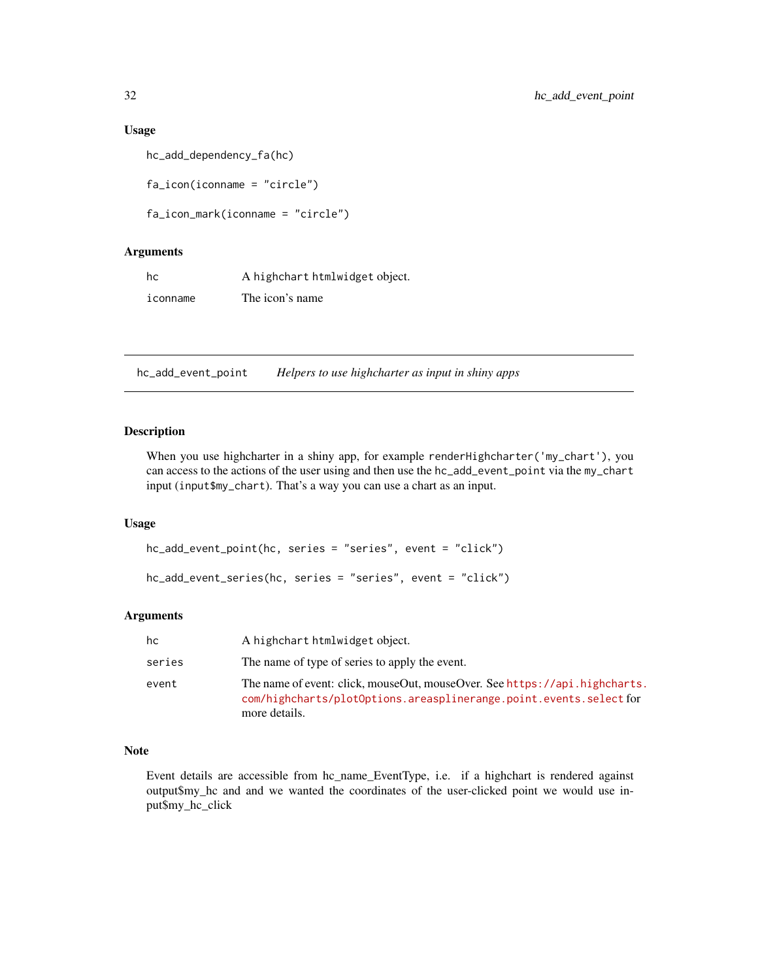## <span id="page-31-0"></span>Usage

```
hc_add_dependency_fa(hc)
```
fa\_icon(iconname = "circle")

```
fa_icon_mark(iconname = "circle")
```
## Arguments

| hc       | A highchart htmlwidget object. |
|----------|--------------------------------|
| iconname | The icon's name                |

hc\_add\_event\_point *Helpers to use highcharter as input in shiny apps*

#### Description

When you use highcharter in a shiny app, for example renderHighcharter('my\_chart'), you can access to the actions of the user using and then use the hc\_add\_event\_point via the my\_chart input (input\$my\_chart). That's a way you can use a chart as an input.

#### Usage

```
hc_add_event_point(hc, series = "series", event = "click")
hc_add_event_series(hc, series = "series", event = "click")
```
#### Arguments

| hc     | A highchart htmlwidget object.                                                                                                                                    |
|--------|-------------------------------------------------------------------------------------------------------------------------------------------------------------------|
| series | The name of type of series to apply the event.                                                                                                                    |
| event  | The name of event: click, mouseOut, mouseOver. See https://api.highcharts.<br>com/highcharts/plot0ptions.areasplinerange.point.events.select for<br>more details. |

#### Note

Event details are accessible from hc\_name\_EventType, i.e. if a highchart is rendered against output\$my\_hc and and we wanted the coordinates of the user-clicked point we would use input\$my\_hc\_click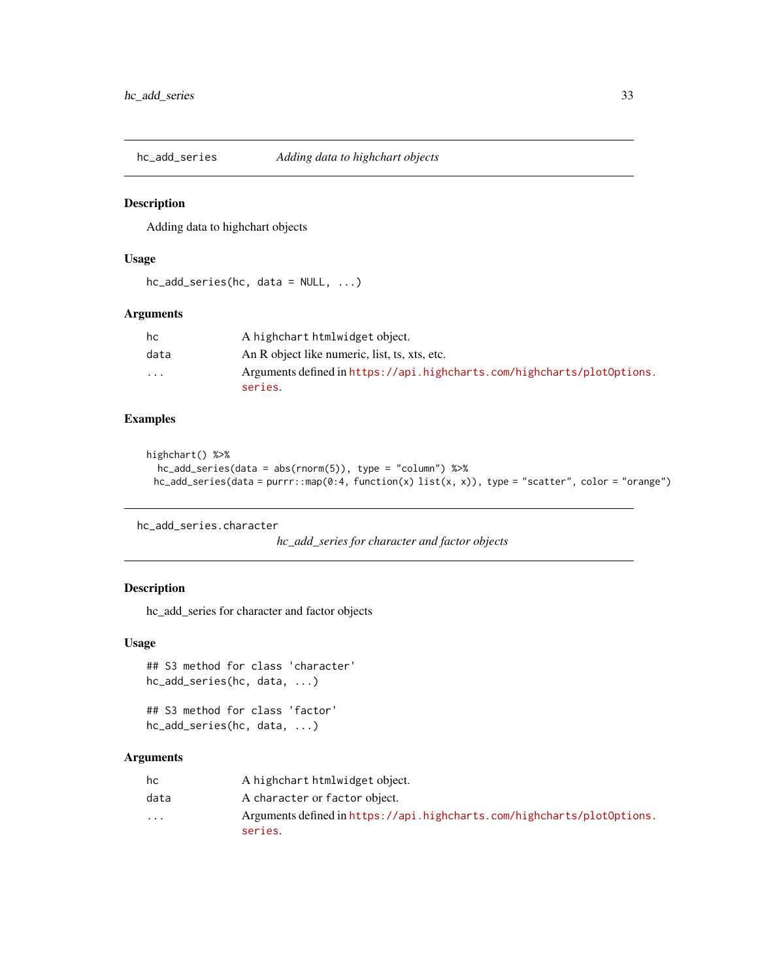<span id="page-32-0"></span>hc\_add\_series *Adding data to highchart objects*

## Description

Adding data to highchart objects

#### Usage

```
hc_add_series(hc, data = NULL, ...)
```
## Arguments

| hc       | A highchart htmlwidget object.                                                     |
|----------|------------------------------------------------------------------------------------|
| data     | An R object like numeric, list, ts, xts, etc.                                      |
| $\cdots$ | Arguments defined in https://api.highcharts.com/highcharts/plot0ptions.<br>series. |

## Examples

```
highchart() %>%
  hc_add_series(data = abs(rnorm(5)), type = "column") %>%
 hc_add_series(data = purrr::map(0:4, function(x) list(x, x)), type = "scatter", color = "orange")
```

```
hc_add_series.character
```

```
hc_add_series for character and factor objects
```
#### Description

hc\_add\_series for character and factor objects

#### Usage

```
## S3 method for class 'character'
hc_add_series(hc, data, ...)
```
## S3 method for class 'factor' hc\_add\_series(hc, data, ...)

| hc       | A highchart htmlwidget object.                                                     |
|----------|------------------------------------------------------------------------------------|
| data     | A character or factor object.                                                      |
| $\cdots$ | Arguments defined in https://api.highcharts.com/highcharts/plot0ptions.<br>series. |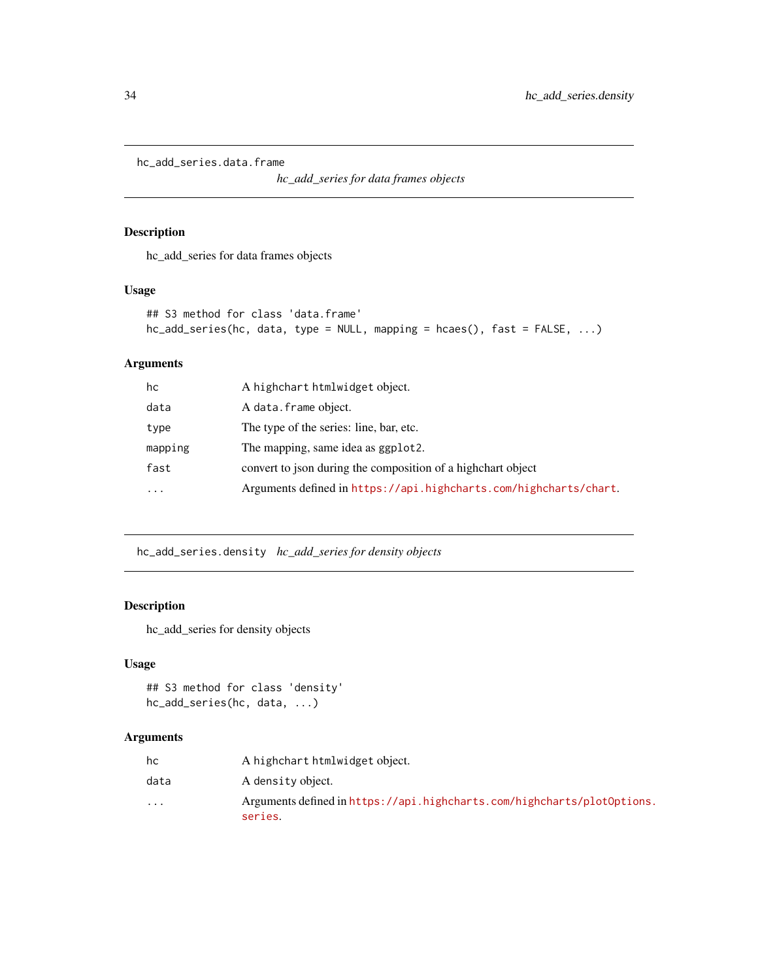<span id="page-33-0"></span>hc\_add\_series.data.frame

*hc\_add\_series for data frames objects*

#### Description

hc\_add\_series for data frames objects

#### Usage

```
## S3 method for class 'data.frame'
hc_add_series(hc, data, type = NULL, mapping = hcaes(), fast = FALSE, ...)
```
## Arguments

| hc        | A highchart htmlwidget object.                                    |
|-----------|-------------------------------------------------------------------|
| data      | A data.frame object.                                              |
| type      | The type of the series: line, bar, etc.                           |
| mapping   | The mapping, same idea as ggplot2.                                |
| fast      | convert to json during the composition of a highchart object      |
| $\ddotsc$ | Arguments defined in https://api.highcharts.com/highcharts/chart. |
|           |                                                                   |

hc\_add\_series.density *hc\_add\_series for density objects*

## Description

hc\_add\_series for density objects

## Usage

```
## S3 method for class 'density'
hc_add_series(hc, data, ...)
```

| hc       | A highchart htmlwidget object.                                                     |
|----------|------------------------------------------------------------------------------------|
| data     | A density object.                                                                  |
| $\cdots$ | Arguments defined in https://api.highcharts.com/highcharts/plot0ptions.<br>series. |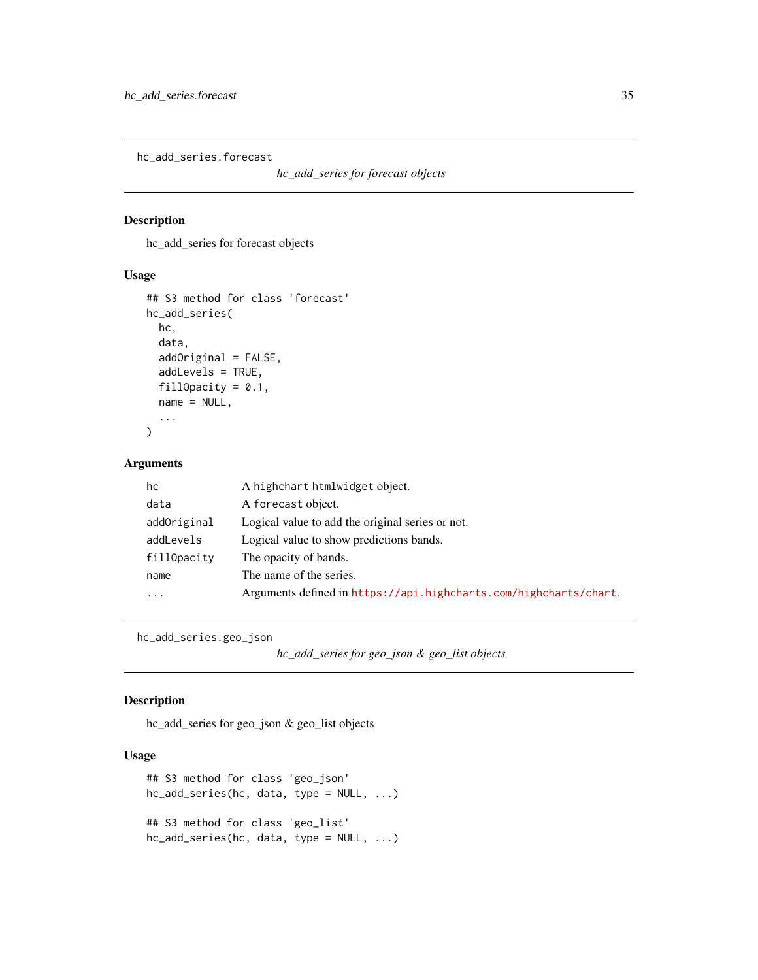<span id="page-34-0"></span>hc\_add\_series.forecast

```
hc_add_series for forecast objects
```
#### Description

hc\_add\_series for forecast objects

## Usage

```
## S3 method for class 'forecast'
hc_add_series(
 hc,
  data,
  addOriginal = FALSE,
  addLevels = TRUE,
  fillOpacity = 0.1,
 name = NULL,
  ...
)
```
## Arguments

| hc          | A highchart htmlwidget object.                                    |
|-------------|-------------------------------------------------------------------|
| data        | A forecast object.                                                |
| addOriginal | Logical value to add the original series or not.                  |
| addLevels   | Logical value to show predictions bands.                          |
| fillOpacity | The opacity of bands.                                             |
| name        | The name of the series.                                           |
| .           | Arguments defined in https://api.highcharts.com/highcharts/chart. |

hc\_add\_series.geo\_json

```
hc_add_series for geo_json & geo_list objects
```
## Description

hc\_add\_series for geo\_json & geo\_list objects

## Usage

```
## S3 method for class 'geo_json'
hc_add_series(hc, data, type = NULL, ...)
## S3 method for class 'geo_list'
hc_add_series(hc, data, type = NULL, ...)
```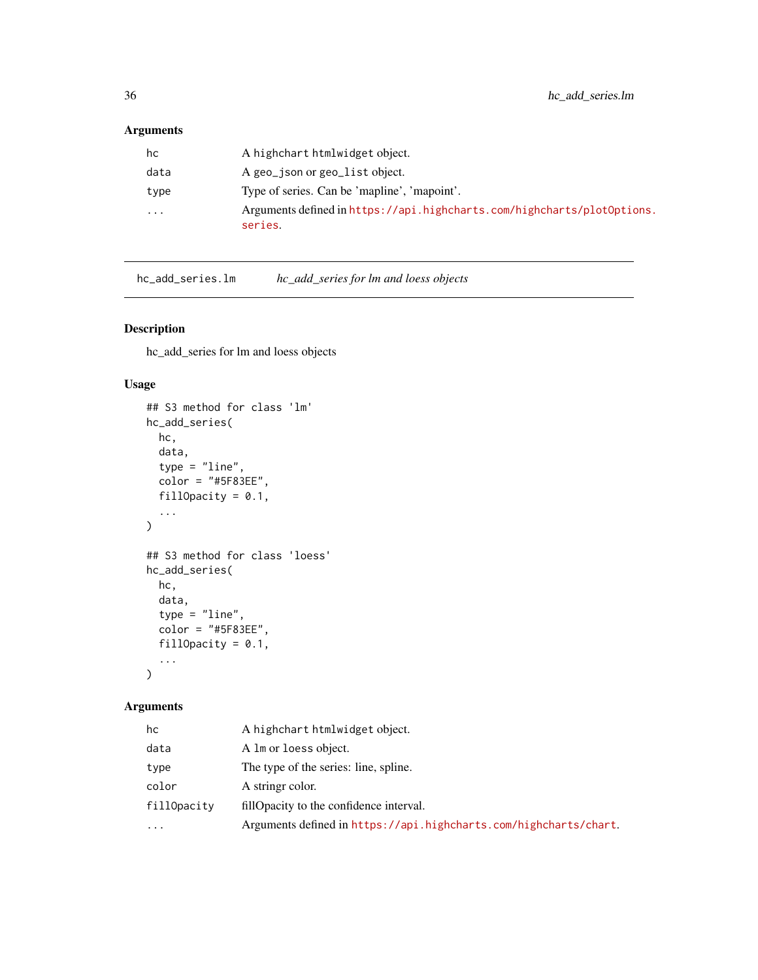## <span id="page-35-0"></span>Arguments

| data<br>A geo_json or geo_list object.<br>Type of series. Can be 'mapline', 'mapoint'.<br>type<br>$\cdots$<br>series. | hc | A highchart htmlwidget object.                                          |
|-----------------------------------------------------------------------------------------------------------------------|----|-------------------------------------------------------------------------|
|                                                                                                                       |    |                                                                         |
|                                                                                                                       |    |                                                                         |
|                                                                                                                       |    | Arguments defined in https://api.highcharts.com/highcharts/plot0ptions. |

hc\_add\_series.lm *hc\_add\_series for lm and loess objects*

## Description

hc\_add\_series for lm and loess objects

#### Usage

```
## S3 method for class 'lm'
hc_add_series(
  hc,
  data,
  type = "line",
  color = "#5F83EE",
  fillOpacity = 0.1,
  ...
\mathcal{L}## S3 method for class 'loess'
hc_add_series(
  hc,
  data,
  type = "line",color = "#5F83EE",
  fillOpacity = 0.1,
  ...
)
```

| hc          | A highchart htmlwidget object.                                    |
|-------------|-------------------------------------------------------------------|
| data        | A lm or loess object.                                             |
| type        | The type of the series: line, spline.                             |
| color       | A string color.                                                   |
| fillOpacity | fillOpacity to the confidence interval.                           |
| $\ddotsc$   | Arguments defined in https://api.highcharts.com/highcharts/chart. |
|             |                                                                   |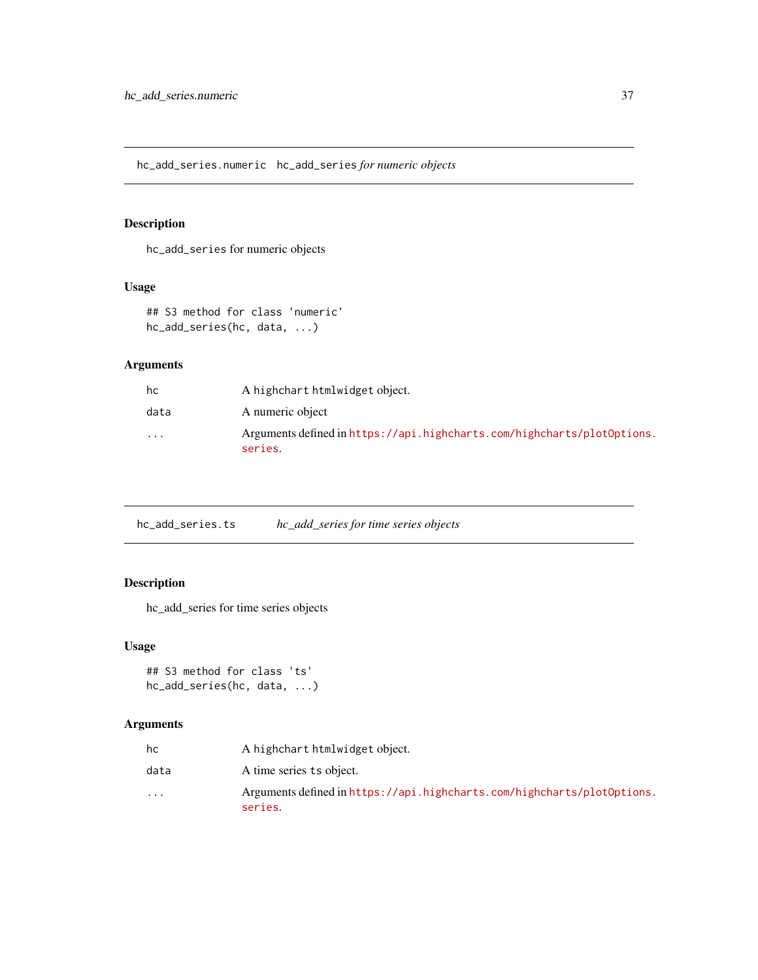hc\_add\_series.numeric hc\_add\_series *for numeric objects*

# Description

hc\_add\_series for numeric objects

### Usage

```
## S3 method for class 'numeric'
hc_add_series(hc, data, ...)
```
## Arguments

| hc       | A highchart htmlwidget object.                                                     |
|----------|------------------------------------------------------------------------------------|
| data     | A numeric object                                                                   |
| $\cdots$ | Arguments defined in https://api.highcharts.com/highcharts/plot0ptions.<br>series. |

hc\_add\_series.ts *hc\_add\_series for time series objects*

## Description

hc\_add\_series for time series objects

## Usage

```
## S3 method for class 'ts'
hc_add_series(hc, data, ...)
```

| hc       | A highchart htmlwidget object.                                                     |
|----------|------------------------------------------------------------------------------------|
| data     | A time series ts object.                                                           |
| $\cdots$ | Arguments defined in https://api.highcharts.com/highcharts/plot0ptions.<br>series. |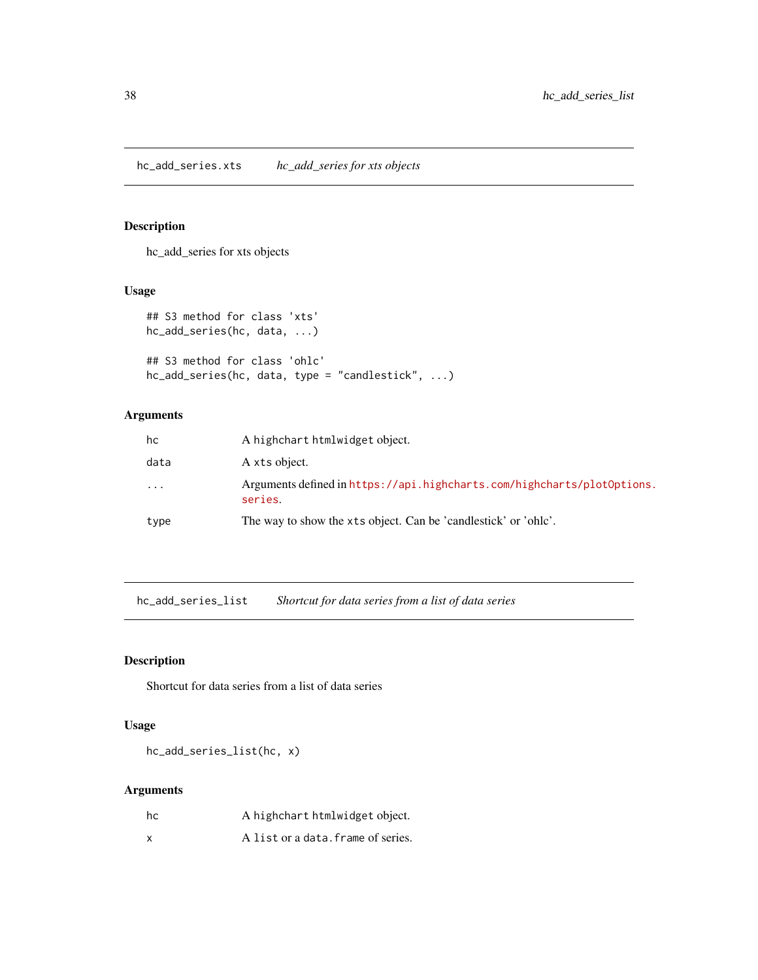hc\_add\_series for xts objects

### Usage

```
## S3 method for class 'xts'
hc_add_series(hc, data, ...)
## S3 method for class 'ohlc'
hc_add_series(hc, data, type = "candlestick", ...)
```
## Arguments

| hc        | A highchart htmlwidget object.                                                     |
|-----------|------------------------------------------------------------------------------------|
| data      | A xts object.                                                                      |
| $\ddotsc$ | Arguments defined in https://api.highcharts.com/highcharts/plot0ptions.<br>series. |
| type      | The way to show the xts object. Can be 'candlestick' or 'ohlc'.                    |

hc\_add\_series\_list *Shortcut for data series from a list of data series*

## Description

Shortcut for data series from a list of data series

### Usage

hc\_add\_series\_list(hc, x)

| hc | A highchart htmlwidget object.     |
|----|------------------------------------|
| x  | A list or a data. frame of series. |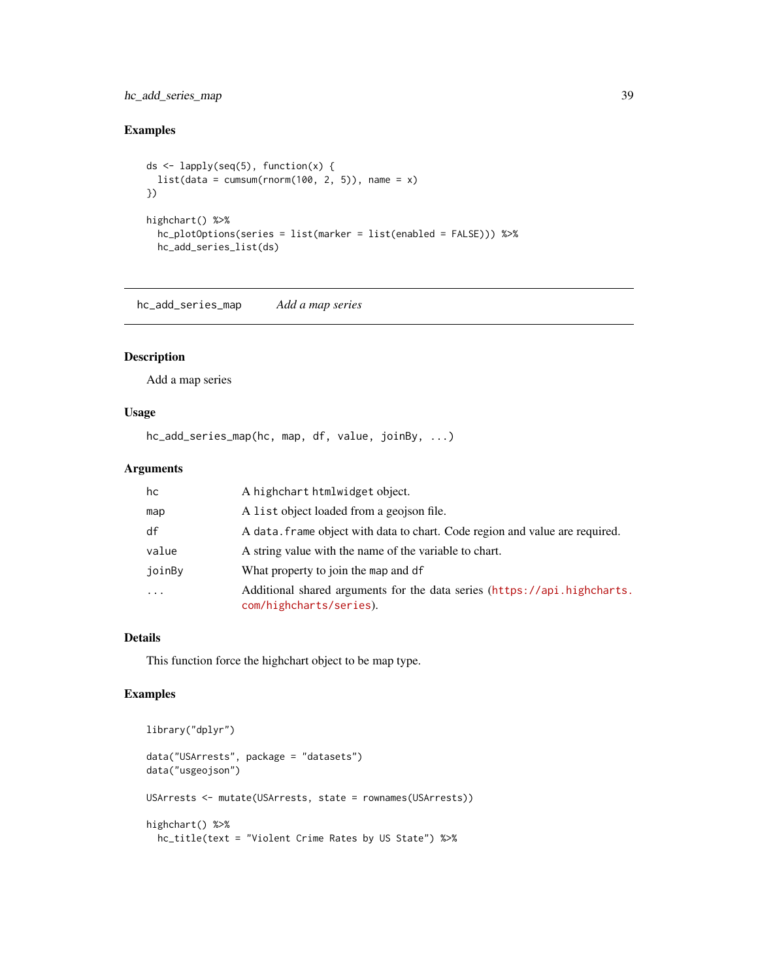## hc\_add\_series\_map 39

## Examples

```
ds <- lapply(seq(5), function(x) {
  list(data = cumsum(rnorm(100, 2, 5)), name = x)
})
highchart() %>%
  hc_plotOptions(series = list(marker = list(enabled = FALSE))) %>%
  hc_add_series_list(ds)
```
hc\_add\_series\_map *Add a map series*

## Description

Add a map series

### Usage

hc\_add\_series\_map(hc, map, df, value, joinBy, ...)

## Arguments

| hc       | A highchart htmlwidget object.                                                                      |
|----------|-----------------------------------------------------------------------------------------------------|
| map      | A list object loaded from a geojson file.                                                           |
| df       | A data. frame object with data to chart. Code region and value are required.                        |
| value    | A string value with the name of the variable to chart.                                              |
| joinBy   | What property to join the map and df                                                                |
| $\cdots$ | Additional shared arguments for the data series (https://api.highcharts.<br>com/highcharts/series). |

### Details

This function force the highchart object to be map type.

```
library("dplyr")
data("USArrests", package = "datasets")
data("usgeojson")
USArrests <- mutate(USArrests, state = rownames(USArrests))
highchart() %>%
 hc_title(text = "Violent Crime Rates by US State") %>%
```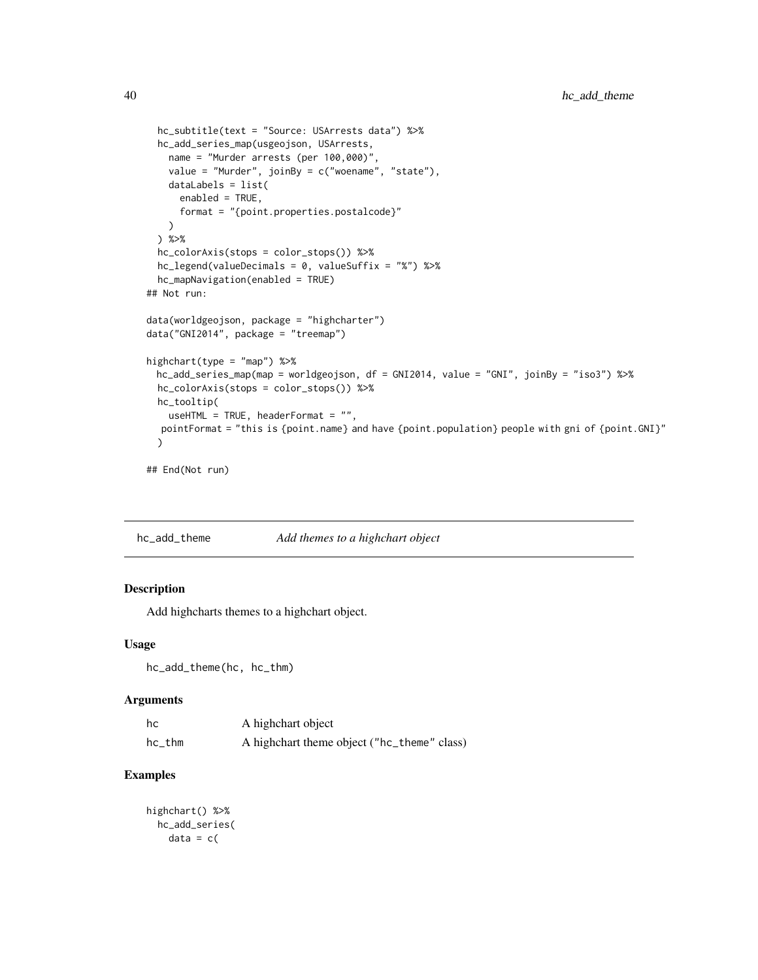```
hc_subtitle(text = "Source: USArrests data") %>%
 hc_add_series_map(usgeojson, USArrests,
   name = "Murder arrests (per 100,000)",
   value = "Murder", joinBy = c("woename", "state"),
   dataLabels = list(
     enabled = TRUE,
     format = "{point.properties.postalcode}"
   \lambda) %>%
 hc_colorAxis(stops = color_stops()) %>%
 hc_legend(valueDecimals = 0, valueSuffix = "%") %>%
 hc_mapNavigation(enabled = TRUE)
## Not run:
data(worldgeojson, package = "highcharter")
data("GNI2014", package = "treemap")
highchart(type = "map") %>%
 hc_add_series_map(map = worldgeojson, df = GNI2014, value = "GNI", joinBy = "iso3") %>%
 hc_colorAxis(stops = color_stops()) %>%
 hc_tooltip(
   useHTML = TRUE, headerFormat = ",
  pointFormat = "this is {point.name} and have {point.population} people with gni of {point.GNI}"
 \mathcal{L}
```

```
## End(Not run)
```
hc\_add\_theme *Add themes to a highchart object*

## Description

Add highcharts themes to a highchart object.

#### Usage

```
hc_add_theme(hc, hc_thm)
```
### Arguments

| hc        | A highchart object                          |
|-----------|---------------------------------------------|
| $hc\_thm$ | A highchart theme object ("hc_theme" class) |

```
highchart() %>%
 hc_add_series(
   data = c(
```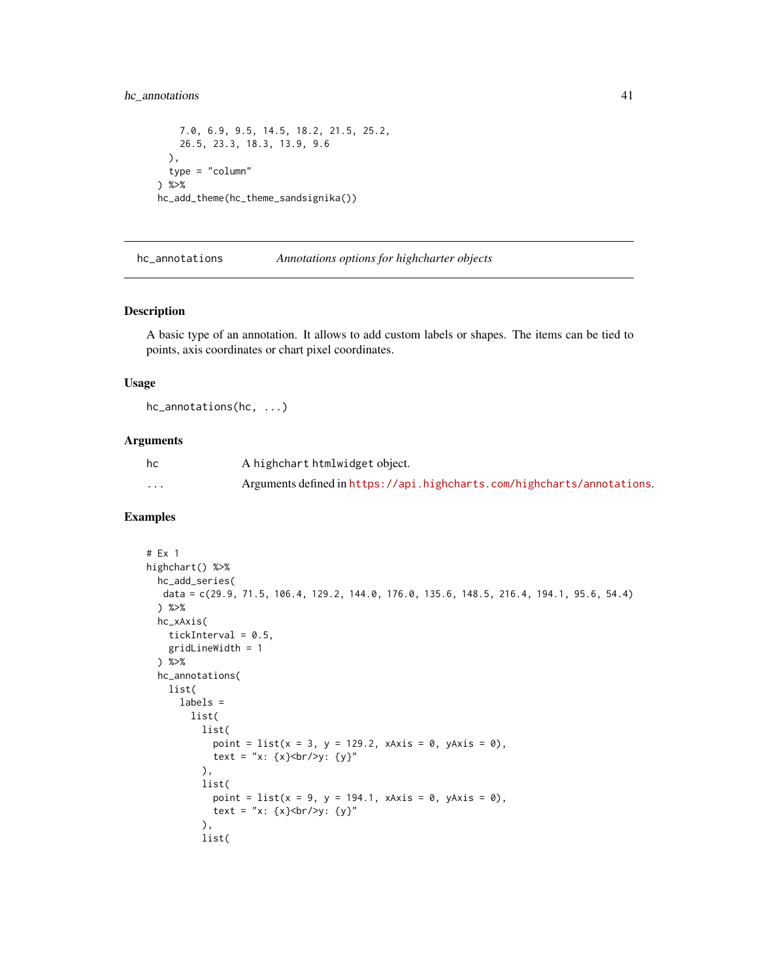## hc\_annotations 41

```
7.0, 6.9, 9.5, 14.5, 18.2, 21.5, 25.2,
    26.5, 23.3, 18.3, 13.9, 9.6
 ),
 type = "column"
) %>%
hc_add_theme(hc_theme_sandsignika())
```
hc\_annotations *Annotations options for highcharter objects*

#### Description

A basic type of an annotation. It allows to add custom labels or shapes. The items can be tied to points, axis coordinates or chart pixel coordinates.

### Usage

hc\_annotations(hc, ...)

#### Arguments

| hc       | A highchart htmlwidget object.                                          |
|----------|-------------------------------------------------------------------------|
| $\cdots$ | Arguments defined in https://api.highcharts.com/highcharts/annotations. |

```
# Ex 1
highchart() %>%
  hc_add_series(
  data = c(29.9, 71.5, 106.4, 129.2, 144.0, 176.0, 135.6, 148.5, 216.4, 194.1, 95.6, 54.4)
  ) %>%
  hc_xAxis(
    tickInterval = 0.5,
    gridLineWidth = 1
  ) %>%
  hc_annotations(
   list(
      labels =
        list(
          list(
            point = list(x = 3, y = 129.2, xAxis = 0, yAxis = 0),
            text = "x: {x}<br/> />y: {y}"
          ),
          list(
            point = list(x = 9, y = 194.1, xAxis = 0, yAxis = 0),text = "x: {x}<br/> />y: {y}"
          ),
          list(
```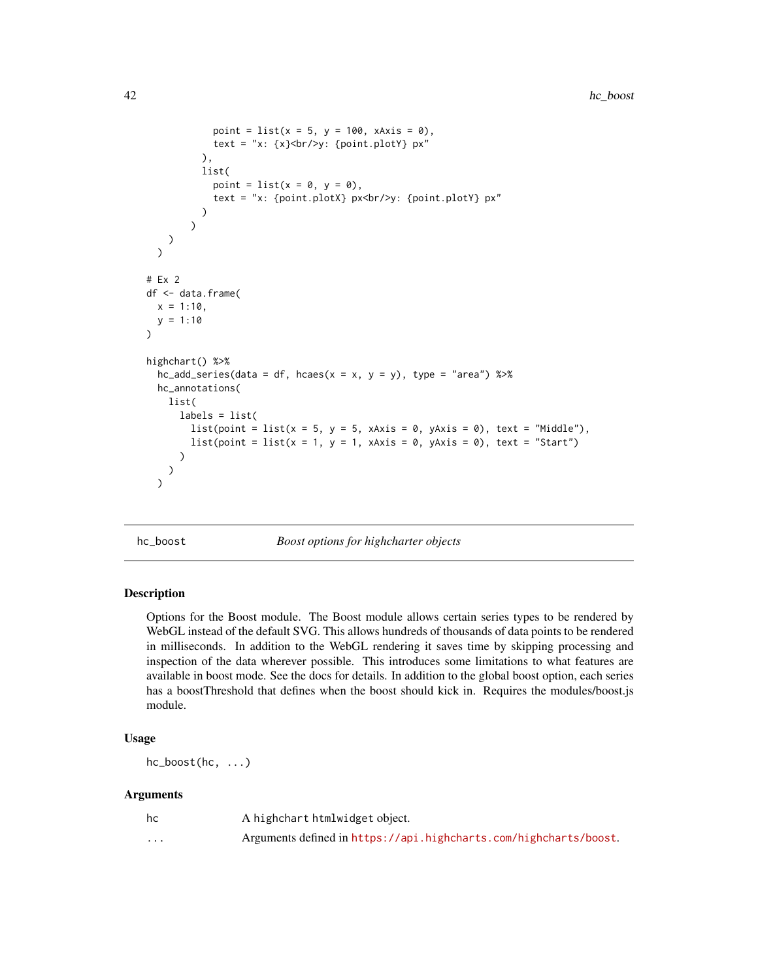```
point = list(x = 5, y = 100, xAxis = 0),
             text = "x: \{x\} <br/>br/>y: \{point.plotY\} px"
          ),
          list(
             point = list(x = 0, y = 0),
             text = "x: {point.plotX} px<br/>>hr/>y: {point.plotY} px"
          )
        )
    )
  \overline{\phantom{a}}# Ex 2
df <- data.frame(
  x = 1:10,
  y = 1:10)
highchart() %>%
  hc\_add\_series(data = df, hcaes(x = x, y = y), type = "area") %>%
  hc_annotations(
    list(
      labels = list(list(point = list(x = 5, y = 5, xAxis = 0, yAxis = 0), text = "Middle"),
        list(point = list(x = 1, y = 1, xAxis = 0, yAxis = 0), text = "Start")
      )
    )
  )
```
hc\_boost *Boost options for highcharter objects*

#### **Description**

Options for the Boost module. The Boost module allows certain series types to be rendered by WebGL instead of the default SVG. This allows hundreds of thousands of data points to be rendered in milliseconds. In addition to the WebGL rendering it saves time by skipping processing and inspection of the data wherever possible. This introduces some limitations to what features are available in boost mode. See the docs for details. In addition to the global boost option, each series has a boostThreshold that defines when the boost should kick in. Requires the modules/boost.js module.

#### Usage

hc\_boost(hc, ...)

| hc       | A highchart htmlwidget object.                                    |
|----------|-------------------------------------------------------------------|
| $\cdots$ | Arguments defined in https://api.highcharts.com/highcharts/boost. |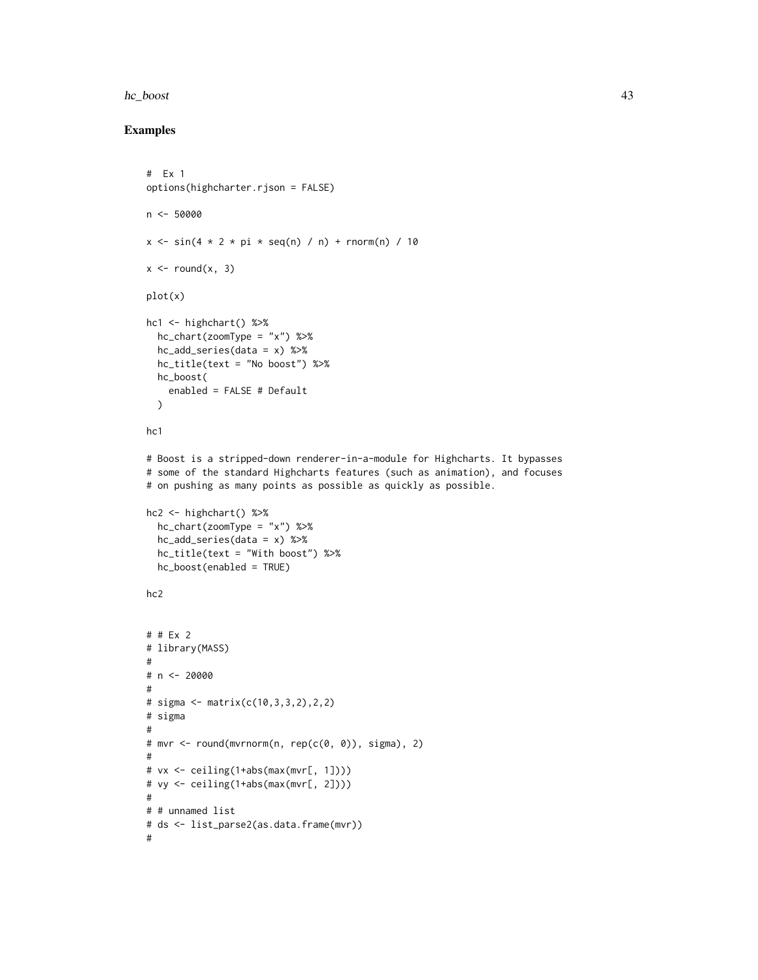#### hc\_boost 43

```
# Ex 1
options(highcharter.rjson = FALSE)
n < -50000x \le -\sin(4 \times 2 \times \pi) \times \sec(n) / n + rnorm(n) / 10
x \le round(x, 3)
plot(x)
hc1 <- highchart() %>%
 hc_chart(zoomType = "x") %>%
 hc_add_series(data = x) %>%
  hc_title(text = "No boost") %>%
 hc_boost(
    enabled = FALSE # Default
  )
hc1
# Boost is a stripped-down renderer-in-a-module for Highcharts. It bypasses
# some of the standard Highcharts features (such as animation), and focuses
# on pushing as many points as possible as quickly as possible.
hc2 \leftarrow highchart() %>%
  hc_chart(zoomType = "x") %>%
  hc_add_series(data = x) %>%
  hc_title(text = "With boost") %>%
  hc_boost(enabled = TRUE)
hc2
# # Ex 2
# library(MASS)
#
# n < - 20000#
# sigma <- matrix(c(10,3,3,2),2,2)
# sigma
#
# mvr <- round(mvrnorm(n, rep(c(0, 0)), sigma), 2)
#
# vx <- ceiling(1+abs(max(mvr[, 1])))
# vy <- ceiling(1+abs(max(mvr[, 2])))
#
# # unnamed list
# ds <- list_parse2(as.data.frame(mvr))
#
```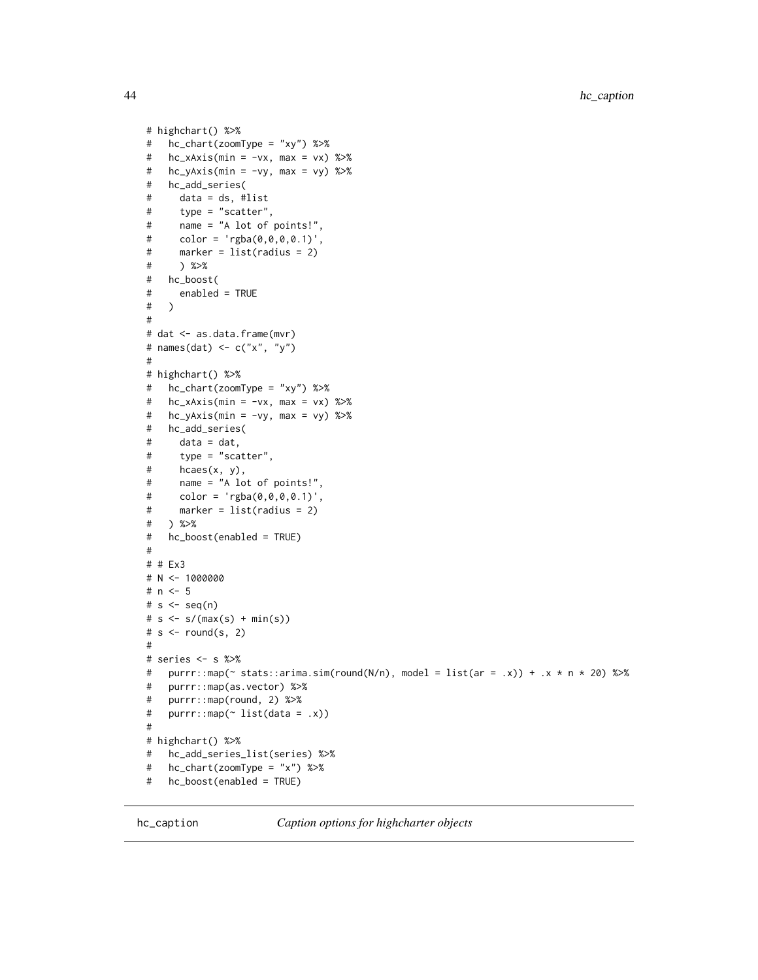```
# highchart() %>%
# hc_chart(zoomType = "xy") %>%
# hc_xAxis(min = -vx, max = vx) %>%
# hc_yAxis(min = -vy, max = vy) %>%
# hc_add_series(
# data = ds, #list
# type = "scatter",
# name = "A lot of points!",
# color = 'rgba(0,0,0,0.1)',# marker = list(radius = 2)
# ) %>%
# hc_boost(
# enabled = TRUE
# )
#
# dat <- as.data.frame(mvr)
# names(dat) <- c("x", "y")
#
# highchart() %>%
# hc_chart(zoomType = "xy") %>%
# hc_xAxis(min = -vx, max = vx) %>%
# hc_yAxis(min = -vy, max = vy) %>%
# hc_add_series(
# data = dat,
# type = "scatter",
# hcaes(x, y),
# name = "A lot of points!",
# color = 'rgba(0,0,0,0.1)',
# marker = list(radius = 2)
# ) %>%
   hc\_boost(enabled = TRUE)#
# # Ex3
# N <- 1000000
# n < -5# s < - seq(n)# s < - s/(max(s) + min(s))# s < - round(s, 2)
#
# series <- s %>%
# purrr::map(\sim stats::arima.sim(round(N/n), model = list(ar = .x)) + .x \star n \star 20) %>%
# purrr::map(as.vector) %>%
# purrr::map(round, 2) %>%
# purrr::map(~ list(data = .x))
#
# highchart() %>%
# hc_add_series_list(series) %>%
# hc_chart(zoomType = "x") %>%
# hc_boost(enabled = TRUE)
```
hc\_caption *Caption options for highcharter objects*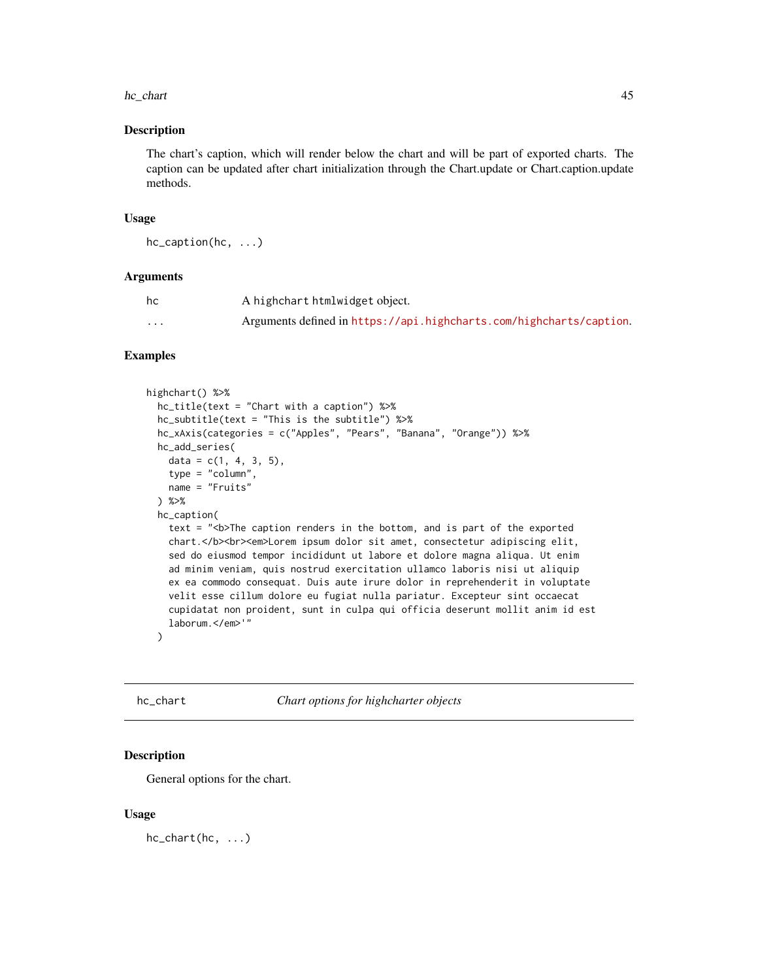#### hc\_chart 45

#### Description

The chart's caption, which will render below the chart and will be part of exported charts. The caption can be updated after chart initialization through the Chart.update or Chart.caption.update methods.

### Usage

```
hc_caption(hc, ...)
```
### Arguments

| hc       | A highchart htmlwidget object.                                      |
|----------|---------------------------------------------------------------------|
| $\cdots$ | Arguments defined in https://api.highcharts.com/highcharts/caption. |

#### Examples

```
highchart() %>%
  hc_title(text = "Chart with a caption") %>%
  hc_subtitle(text = "This is the subtitle") %>%
  hc_xAxis(categories = c("Apples", "Pears", "Banana", "Orange")) %>%
  hc_add_series(
    data = c(1, 4, 3, 5),
    type = "column",
   name = "Fruits"
  ) %>%
  hc_caption(
    text = "<b>The caption renders in the bottom, and is part of the exported
    chart.</b>>>>><em>Lorem ipsum dolor sit amet, consectetur adipiscing elit,
    sed do eiusmod tempor incididunt ut labore et dolore magna aliqua. Ut enim
    ad minim veniam, quis nostrud exercitation ullamco laboris nisi ut aliquip
    ex ea commodo consequat. Duis aute irure dolor in reprehenderit in voluptate
    velit esse cillum dolore eu fugiat nulla pariatur. Excepteur sint occaecat
    cupidatat non proident, sunt in culpa qui officia deserunt mollit anim id est
    laborum.</em>'"
  )
```
hc\_chart *Chart options for highcharter objects*

## Description

General options for the chart.

### Usage

hc\_chart(hc, ...)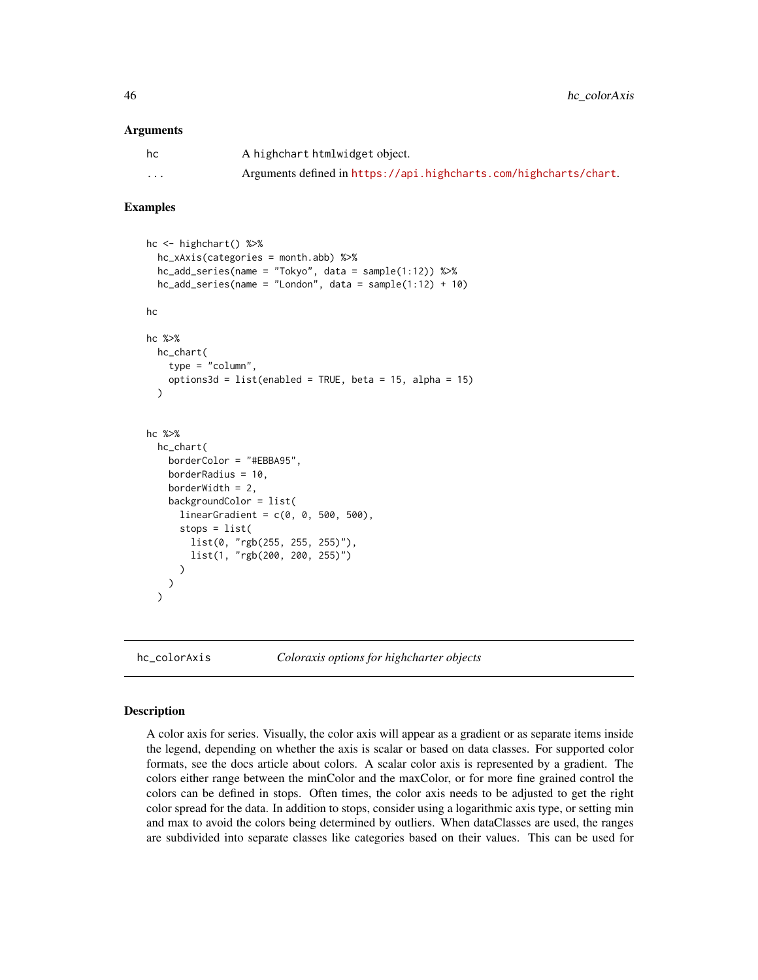#### **Arguments**

| hc | A highchart htmlwidget object.                                    |
|----|-------------------------------------------------------------------|
| .  | Arguments defined in https://api.highcharts.com/highcharts/chart. |

#### Examples

```
hc <- highchart() %>%
 hc_xAxis(categories = month.abb) %>%
 hc\_add\_series(name = "Tokyo", data = sample(1:12)) %>%
 hc\_add\_series(name = "London", data = sample(1:12) + 10)hc
hc %>%
 hc_chart(
    type = "column",
   options3d = list(enabled = TRUE, beta = 15, alpha = 15)
 )
hc %>%
 hc_chart(
   borderColor = "#EBBA95",
   borderRadius = 10,
   borderWidth = 2,
   backgroundColor = list(
      linearGradient = c(0, 0, 500, 500),
      stops = list(
       list(0, "rgb(255, 255, 255)"),
       list(1, "rgb(200, 200, 255)")
      )
   )
 )
```
hc\_colorAxis *Coloraxis options for highcharter objects*

#### Description

A color axis for series. Visually, the color axis will appear as a gradient or as separate items inside the legend, depending on whether the axis is scalar or based on data classes. For supported color formats, see the docs article about colors. A scalar color axis is represented by a gradient. The colors either range between the minColor and the maxColor, or for more fine grained control the colors can be defined in stops. Often times, the color axis needs to be adjusted to get the right color spread for the data. In addition to stops, consider using a logarithmic axis type, or setting min and max to avoid the colors being determined by outliers. When dataClasses are used, the ranges are subdivided into separate classes like categories based on their values. This can be used for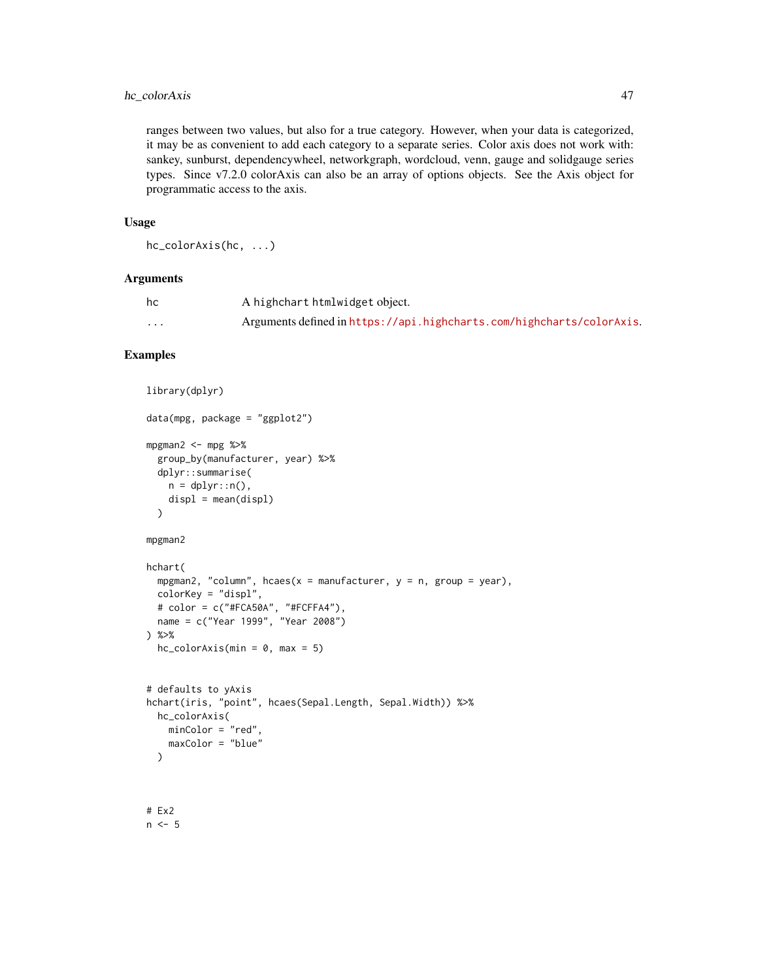## hc\_colorAxis 47

ranges between two values, but also for a true category. However, when your data is categorized, it may be as convenient to add each category to a separate series. Color axis does not work with: sankey, sunburst, dependencywheel, networkgraph, wordcloud, venn, gauge and solidgauge series types. Since v7.2.0 colorAxis can also be an array of options objects. See the Axis object for programmatic access to the axis.

### Usage

```
hc_colorAxis(hc, ...)
```
## Arguments

| hc       | A highchart htmlwidget object.                                        |
|----------|-----------------------------------------------------------------------|
| $\cdots$ | Arguments defined in https://api.highcharts.com/highcharts/colorAxis. |

# Examples

```
library(dplyr)
```

```
mpgman2 \leq- mpg %>%
  group_by(manufacturer, year) %>%
  dplyr::summarise(
    n = \text{dplyr}::n(),
    displ = mean(displ)\lambda
```
data(mpg, package = "ggplot2")

```
mpgman2
```

```
hchart(
  mpgman2, "column", hcaes(x = manufacturer, y = n, group = year),
  colorKey = "displ",
  # color = c("#FCA50A", "#FCFFA4"),
  name = c("Year 1999", "Year 2008")
) %>%
  hc_{colorAxis(min = 0, max = 5)
```

```
# defaults to yAxis
hchart(iris, "point", hcaes(Sepal.Length, Sepal.Width)) %>%
 hc_colorAxis(
   minColor = "red",
   maxColor = "blue"
 \lambda
```
# Ex2  $n < -5$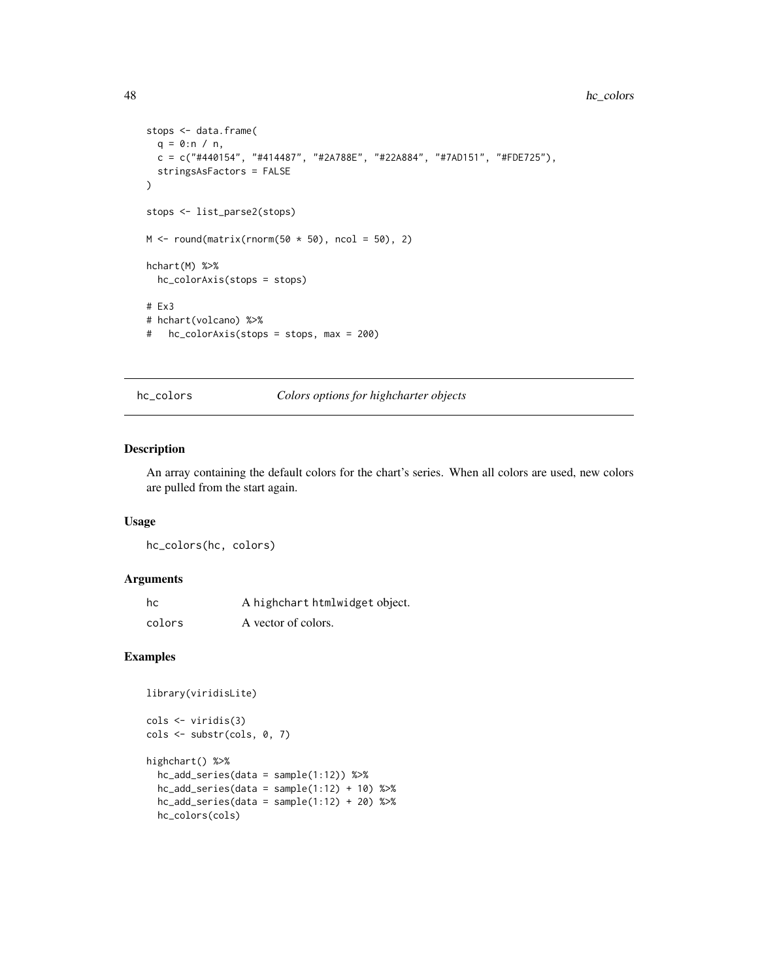#### 48 hc\_colors and the set of the set of the set of the set of the set of the set of the set of the set of the set of the set of the set of the set of the set of the set of the set of the set of the set of the set of the set

```
stops <- data.frame(
 q = 0:n / n,
 c = c("#440154", "#414487", "#2A788E", "#22A884", "#7AD151", "#FDE725"),
  stringsAsFactors = FALSE
)
stops <- list_parse2(stops)
M \leftarrow round(matrix(rnorm(50 \star 50), ncol = 50), 2)
hchart(M) %>%
  hc_colorAxis(stops = stops)
# Ex3
# hchart(volcano) %>%
# hc_colorAxis(stops = stops, max = 200)
```
hc\_colors *Colors options for highcharter objects*

## Description

An array containing the default colors for the chart's series. When all colors are used, new colors are pulled from the start again.

#### Usage

hc\_colors(hc, colors)

### Arguments

| hc     | A highchart htmlwidget object. |
|--------|--------------------------------|
| colors | A vector of colors.            |

```
library(viridisLite)
```

```
cols <- viridis(3)
cols <- substr(cols, 0, 7)
highchart() %>%
  hc_add_series(data = sample(1:12)) %>%
  hc\_add\_series(data = sample(1:12) + 10) %>%
  hc\_add\_series(data = sample(1:12) + 20) %>%
  hc_colors(cols)
```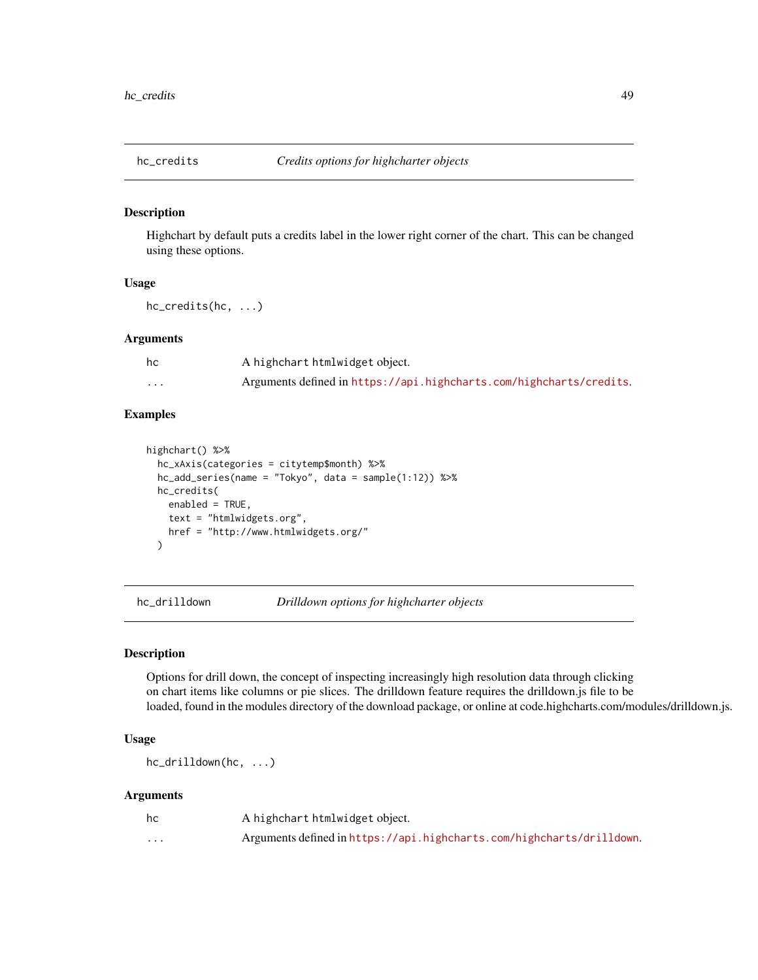Highchart by default puts a credits label in the lower right corner of the chart. This can be changed using these options.

### Usage

hc\_credits(hc, ...)

## Arguments

| hc       | A highchart htmlwidget object.                                      |
|----------|---------------------------------------------------------------------|
| $\cdots$ | Arguments defined in https://api.highcharts.com/highcharts/credits. |

# Examples

```
highchart() %>%
 hc_xAxis(categories = citytemp$month) %>%
 hc_add_series(name = "Tokyo", data = sample(1:12)) %>%
 hc_credits(
   enabled = TRUE,
   text = "htmlwidgets.org",
   href = "http://www.htmlwidgets.org/"
 )
```
hc\_drilldown *Drilldown options for highcharter objects*

### Description

Options for drill down, the concept of inspecting increasingly high resolution data through clicking on chart items like columns or pie slices. The drilldown feature requires the drilldown.js file to be loaded, found in the modules directory of the download package, or online at code.highcharts.com/modules/drilldown.js.

### Usage

hc\_drilldown(hc, ...)

| hc       | A highchart htmlwidget object.                                        |
|----------|-----------------------------------------------------------------------|
| $\cdots$ | Arguments defined in https://api.highcharts.com/highcharts/drilldown. |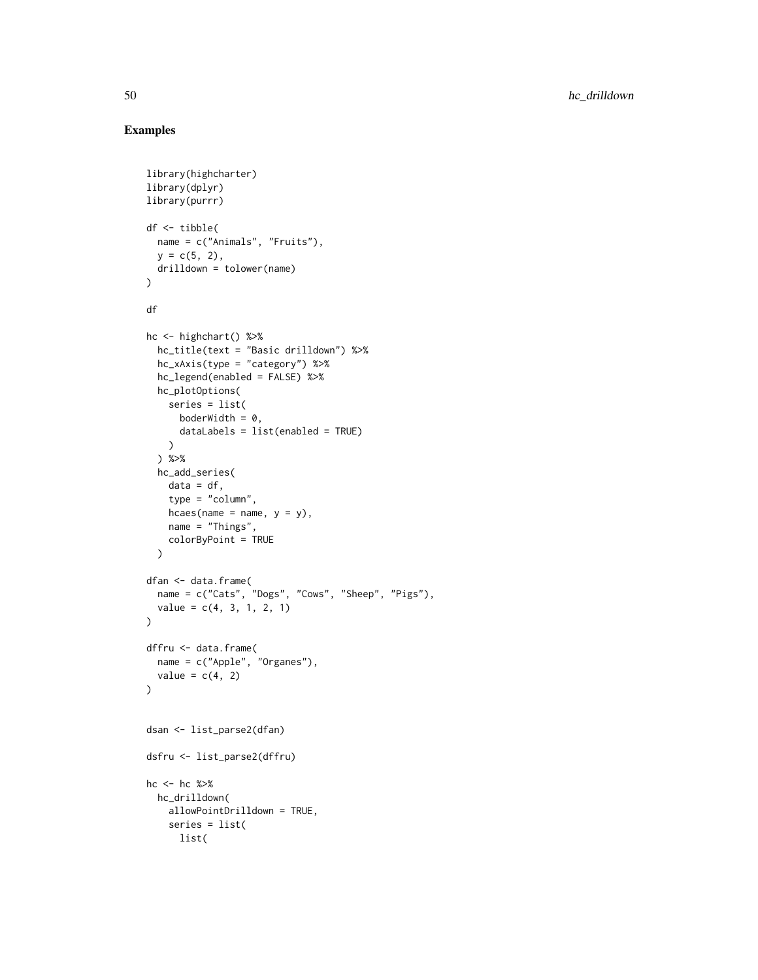```
library(highcharter)
library(dplyr)
library(purrr)
df <- tibble(
  name = c("Animals", "Fruits"),
  y = c(5, 2),
 drilldown = tolower(name)
)
df
hc <- highchart() %>%
  hc_title(text = "Basic drilldown") %>%
  hc_xAxis(type = "category") %>%
  hc_legend(enabled = FALSE) %>%
  hc_plotOptions(
    series = list(
      boderWidth = 0,
      dataLabels = list(enabled = TRUE)
    \lambda) %>%
  hc_add_series(
   data = df,type = "column",
    hcaes(name = name, y = y),
    name = "Things",
    colorByPoint = TRUE
  \lambdadfan <- data.frame(
  name = c("Cats", "Dogs", "Cows", "Sheep", "Pigs"),
  value = c(4, 3, 1, 2, 1)\lambdadffru <- data.frame(
  name = c("Apple", "Organes"),
  value = c(4, 2)\mathcal{L}dsan <- list_parse2(dfan)
dsfru <- list_parse2(dffru)
hc <- hc %>%
 hc_drilldown(
    allowPointDrilldown = TRUE,
    series = list(
      list(
```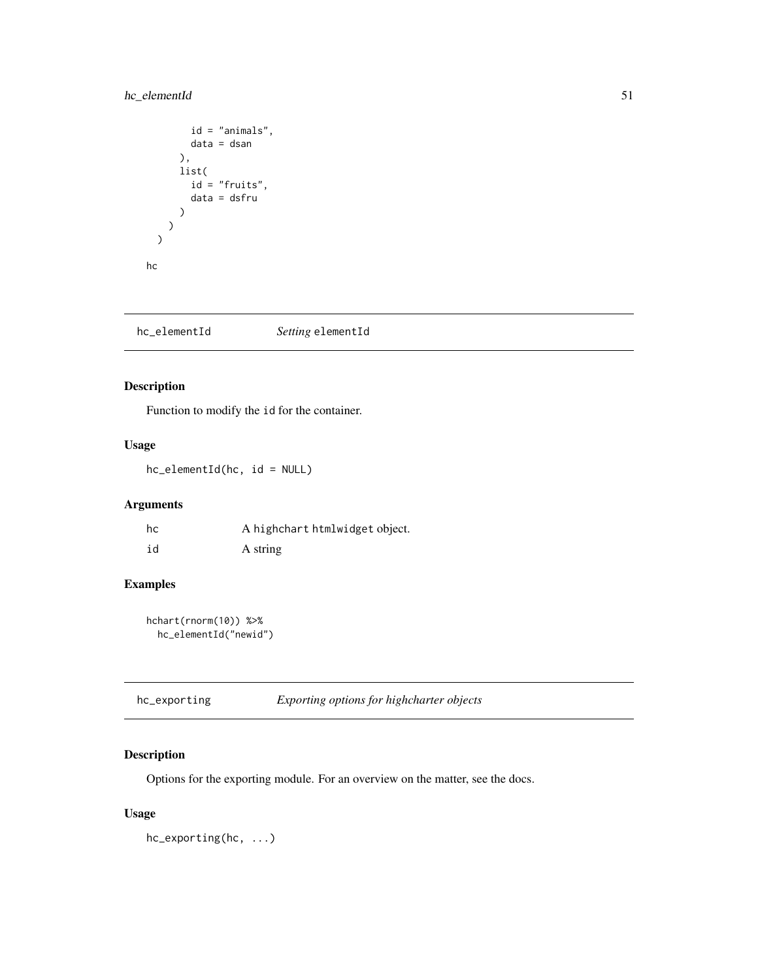# hc\_elementId 51

```
id = "animals",
        data = dsan
      ),
      list(
        id = "fruits",data = dsfru
      )
    )
  \mathcal{L}hc
```
hc\_elementId *Setting* elementId

## Description

Function to modify the id for the container.

## Usage

hc\_elementId(hc, id = NULL)

# Arguments

| hc | A highchart htmlwidget object. |
|----|--------------------------------|
| id | A string                       |

## Examples

hchart(rnorm(10)) %>% hc\_elementId("newid")

| hc_exporting | Exporting options for highcharter objects |
|--------------|-------------------------------------------|
|              |                                           |

# Description

Options for the exporting module. For an overview on the matter, see the docs.

## Usage

hc\_exporting(hc, ...)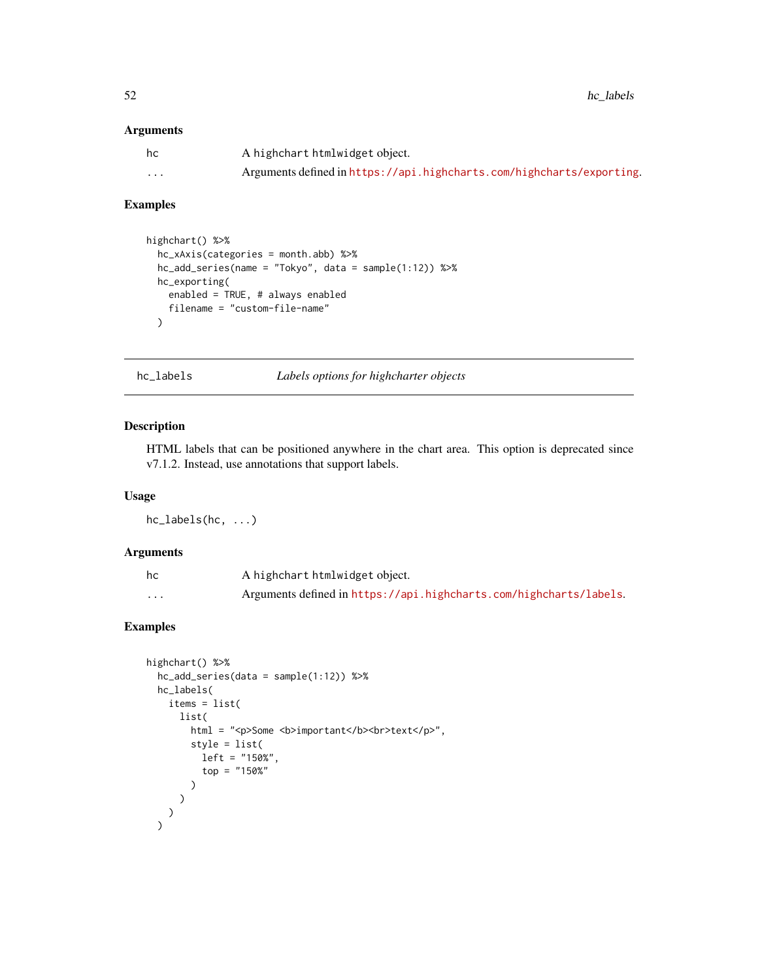52 hc\_labels here is now that the contract of the contract of the contract of the contract of the contract of the contract of the contract of the contract of the contract of the contract of the contract of the contract of

### Arguments

| hc                | A highchart htmlwidget object.                                        |
|-------------------|-----------------------------------------------------------------------|
| $\cdot\cdot\cdot$ | Arguments defined in https://api.highcharts.com/highcharts/exporting. |

### Examples

```
highchart() %>%
  hc_xAxis(categories = month.abb) %>%
  hc_add_series(name = "Tokyo", data = sample(1:12)) %>%
  hc_exporting(
    enabled = TRUE, # always enabled
    filename = "custom-file-name"
  )
```
hc\_labels *Labels options for highcharter objects*

## Description

HTML labels that can be positioned anywhere in the chart area. This option is deprecated since v7.1.2. Instead, use annotations that support labels.

## Usage

hc\_labels(hc, ...)

## Arguments

| hc       | A highchart htmlwidget object.                                     |
|----------|--------------------------------------------------------------------|
| $\cdots$ | Arguments defined in https://api.highcharts.com/highcharts/labels. |

```
highchart() %>%
  hc_add_series(data = sample(1:12)) %>%
  hc_labels(
   items = list(
     list(
        html = "<p>Some <b>important</b>>>>b>text</p>",
        style = list(
          left = "150%",
          top = "150%"
       )
     )
    )
  )
```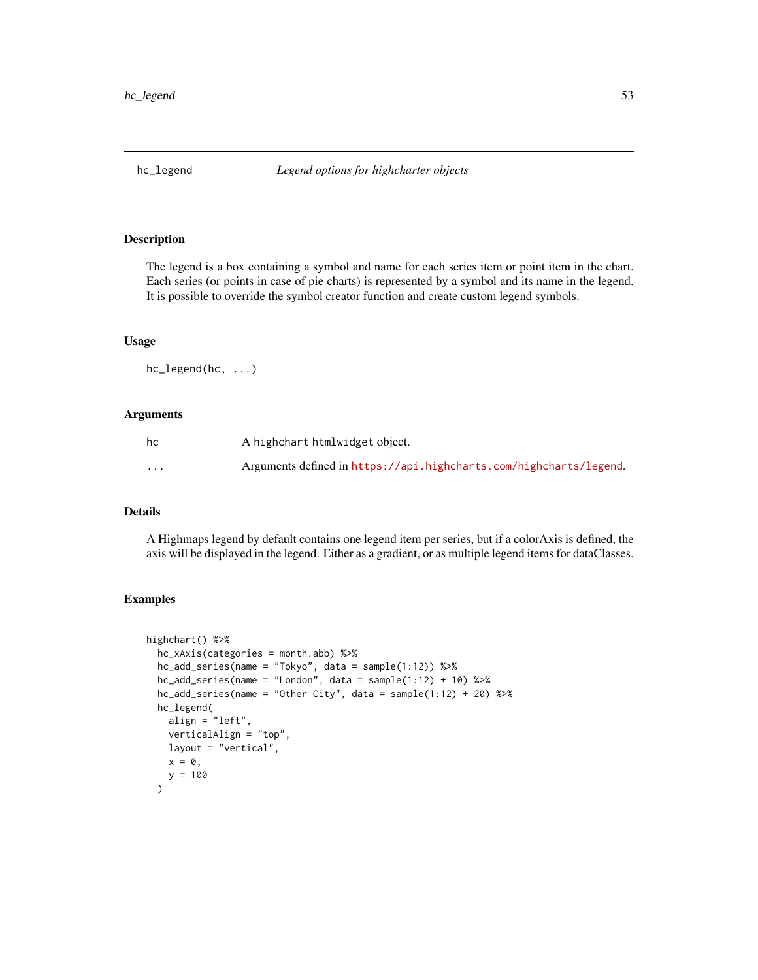The legend is a box containing a symbol and name for each series item or point item in the chart. Each series (or points in case of pie charts) is represented by a symbol and its name in the legend. It is possible to override the symbol creator function and create custom legend symbols.

### Usage

hc\_legend(hc, ...)

### Arguments

| hc                      | A highchart htmlwidget object.                                     |
|-------------------------|--------------------------------------------------------------------|
| $\cdot$ $\cdot$ $\cdot$ | Arguments defined in https://api.highcharts.com/highcharts/legend. |

### Details

A Highmaps legend by default contains one legend item per series, but if a colorAxis is defined, the axis will be displayed in the legend. Either as a gradient, or as multiple legend items for dataClasses.

```
highchart() %>%
 hc_xAxis(categories = month.abb) %>%
 hc_add_series(name = "Tokyo", data = sample(1:12)) %>%
 hc_add_series(name = "London", data = sample(1:12) + 10) %>%
 hc\_add\_series(name = "Other City", data = sample(1:12) + 20) %hc_legend(
   align = "left",
   verticalAlign = "top",
   layout = "vertical",
   x = 0,
   y = 100)
```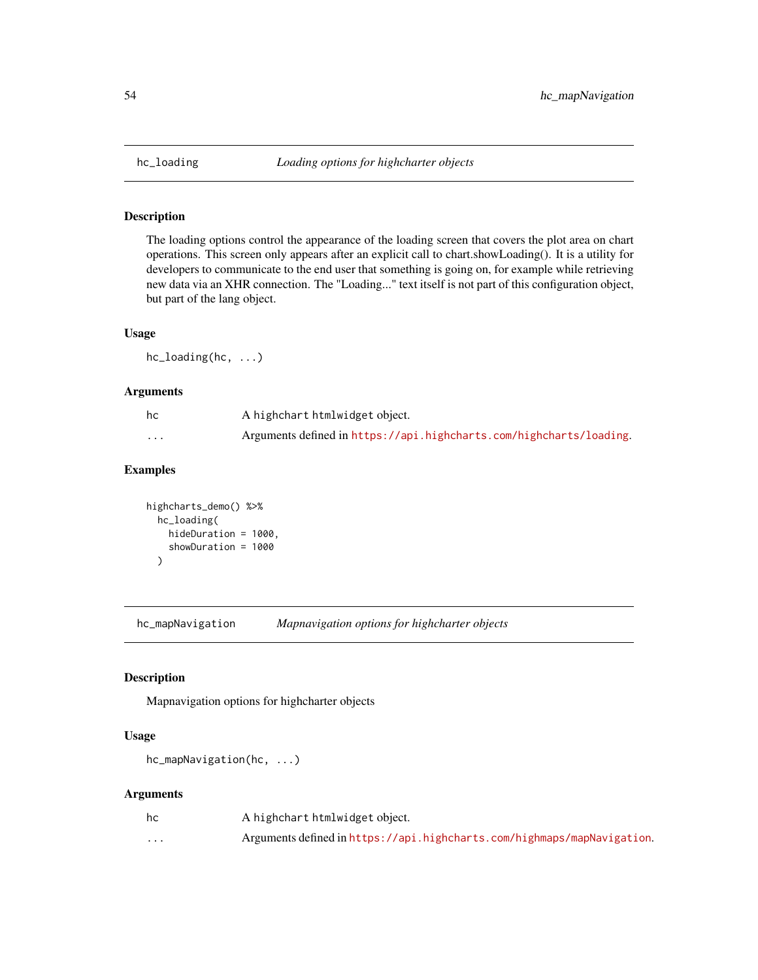The loading options control the appearance of the loading screen that covers the plot area on chart operations. This screen only appears after an explicit call to chart.showLoading(). It is a utility for developers to communicate to the end user that something is going on, for example while retrieving new data via an XHR connection. The "Loading..." text itself is not part of this configuration object, but part of the lang object.

## Usage

hc\_loading(hc, ...)

#### Arguments

| hc      | A highchart htmlwidget object.                                      |
|---------|---------------------------------------------------------------------|
| $\cdot$ | Arguments defined in https://api.highcharts.com/highcharts/loading. |

## Examples

```
highcharts_demo() %>%
  hc_loading(
   hideDuration = 1000,
    showDuration = 1000
  )
```
hc\_mapNavigation *Mapnavigation options for highcharter objects*

### Description

Mapnavigation options for highcharter objects

### Usage

hc\_mapNavigation(hc, ...)

| hc       | A highchart htmlwidget object.                                          |
|----------|-------------------------------------------------------------------------|
| $\cdots$ | Arguments defined in https://api.highcharts.com/highmaps/mapNavigation. |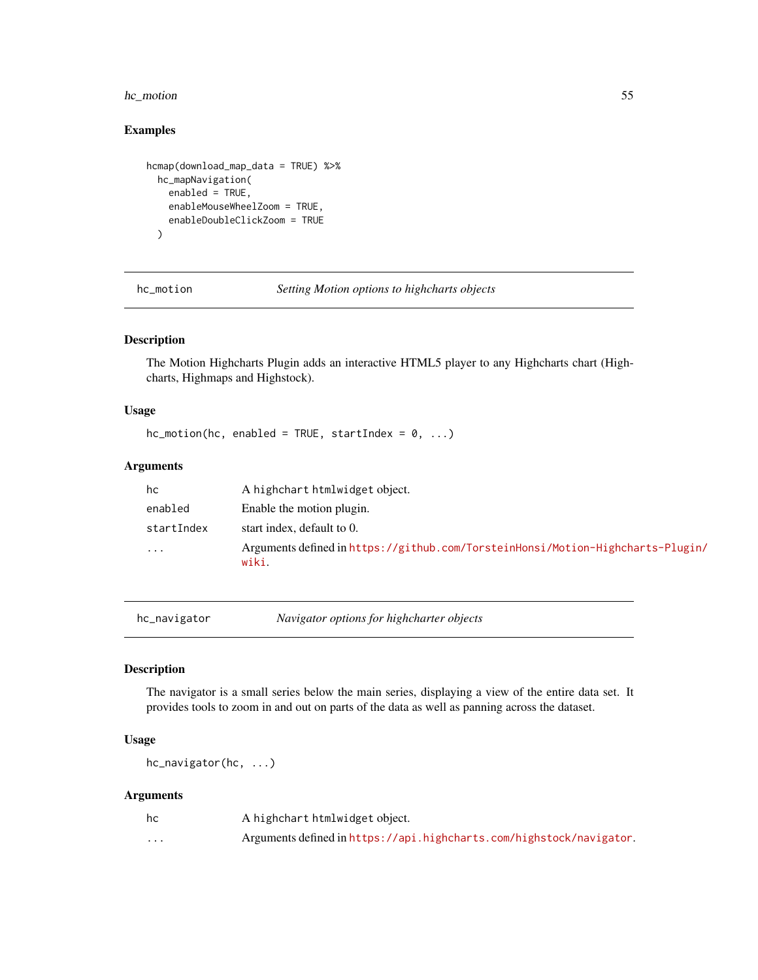## hc\_motion 55

# Examples

```
hcmap(download_map_data = TRUE) %>%
 hc_mapNavigation(
   enabled = TRUE,
   enableMouseWheelZoom = TRUE,
   enableDoubleClickZoom = TRUE
 )
```
hc\_motion *Setting Motion options to highcharts objects*

## Description

The Motion Highcharts Plugin adds an interactive HTML5 player to any Highcharts chart (Highcharts, Highmaps and Highstock).

### Usage

 $hc_motion(hc, enabled = TRUE, startIndex = 0, ...)$ 

## Arguments

| hc         | A highchart htmlwidget object.                                                           |
|------------|------------------------------------------------------------------------------------------|
| enabled    | Enable the motion plugin.                                                                |
| startIndex | start index, default to 0.                                                               |
| $\cdots$   | Arguments defined in https://github.com/TorsteinHonsi/Motion-Highcharts-Plugin/<br>wiki. |

hc\_navigator *Navigator options for highcharter objects*

### Description

The navigator is a small series below the main series, displaying a view of the entire data set. It provides tools to zoom in and out on parts of the data as well as panning across the dataset.

### Usage

hc\_navigator(hc, ...)

| hc       | A highchart htmlwidget object.                                       |
|----------|----------------------------------------------------------------------|
| $\cdots$ | Arguments defined in https://api.highcharts.com/highstock/navigator. |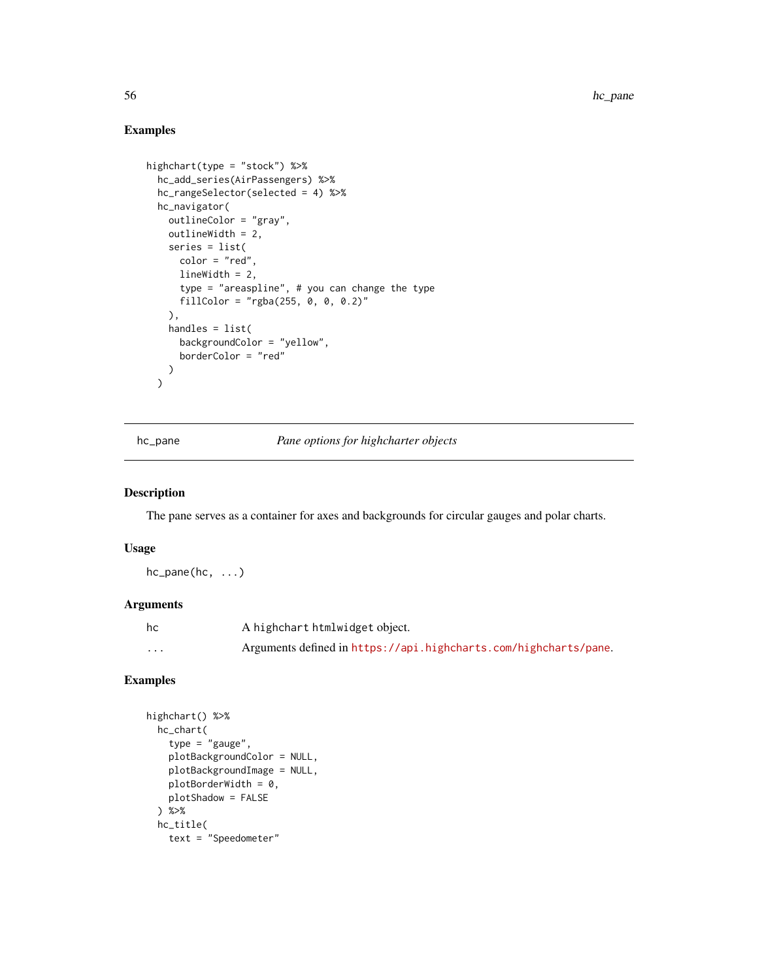# Examples

```
highchart(type = "stock") %>%
  hc_add_series(AirPassengers) %>%
  hc_rangeSelector(selected = 4) %>%
  hc_navigator(
    outlineColor = "gray",
    outlineWidth = 2,
    series = list(
      color = "red",
      lineWidth = 2,
      type = "areaspline", # you can change the type
      fillColor = "rgba(255, 0, 0, 0.2)"
    ),
    handles = list(
      backgroundColor = "yellow",
      borderColor = "red"
    )
  \mathcal{L}
```
hc\_pane *Pane options for highcharter objects*

### Description

The pane serves as a container for axes and backgrounds for circular gauges and polar charts.

### Usage

 $hc\_panel(hc, \ldots)$ 

## Arguments

| hc       | A highchart htmlwidget object.                                   |
|----------|------------------------------------------------------------------|
| $\cdots$ | Arguments defined in https://api.highcharts.com/highcharts/pane. |

```
highchart() %>%
 hc_chart(
   type = "gauge",
   plotBackgroundColor = NULL,
   plotBackgroundImage = NULL,
   plotBorderWidth = 0,plotShadow = FALSE
 ) %>%
 hc_title(
   text = "Speedometer"
```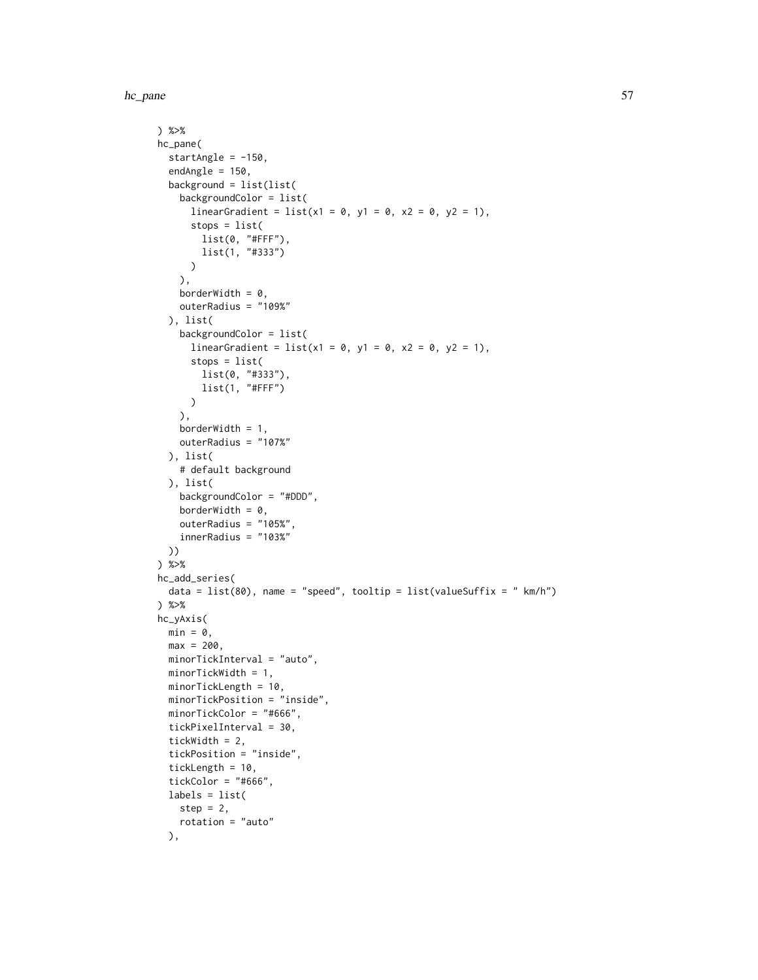hc\_pane 57

```
) %>%
hc_pane(
 startAngle = -150,
  endAngle = 150,
 background = list(list(
   backgroundColor = list(
     linearGradient = list(x1 = 0, y1 = 0, x2 = 0, y2 = 1),
     stops = list(
       list(0, "#FFF"),
       list(1, "#333")
     )
    ),
    borderWidth = 0,
    outerRadius = "109%"
 ), list(
    backgroundColor = list(
     linearGradient = list(x1 = 0, y1 = 0, x2 = 0, y2 = 1),
     stops = list(
       list(0, "#333"),
       list(1, "#FFF")
     )
    ),
    borderWidth = 1,
    outerRadius = "107%"
  ), list(
    # default background
 ), list(
   backgroundColor = "#DDD",
    borderWidth = 0,
   outerRadius = "105%",
    innerRadius = "103%"
 ))
) %>%
hc_add_series(
  data = list(80), name = "speed", tooltip = list(valueSuffix = " km/h")) %>%
hc_yAxis(
 min = 0,max = 200,
 minorTickInterval = "auto",
 minorTickWidth = 1,
 minorTickLength = 10,
 minorTickPosition = "inside",
 minorTickColor = "#666",
 tickPixelInterval = 30,
  tickWidth = 2,
  tickPosition = "inside",
  tickLength = 10,
  tickColor = "#666",
 labels = list(
   step = 2,
   rotation = "auto"
 ),
```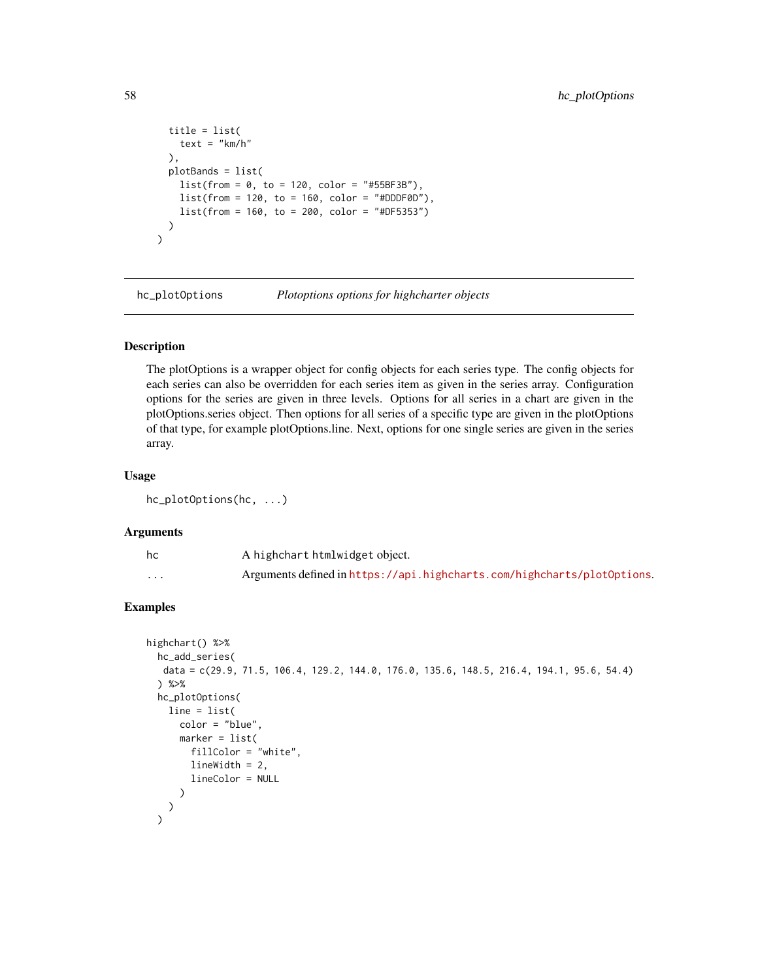```
title = list(
    text = "km/h"),
 plotBands = list(
    list(from = 0, to = 120, color = "#55BF3B"),
    list(from = 120, to = 160, color = "#DDF@D"),list(from = 160, to = 200, color = "#DF5353"))
\mathcal{L}
```
hc\_plotOptions *Plotoptions options for highcharter objects*

## Description

The plotOptions is a wrapper object for config objects for each series type. The config objects for each series can also be overridden for each series item as given in the series array. Configuration options for the series are given in three levels. Options for all series in a chart are given in the plotOptions.series object. Then options for all series of a specific type are given in the plotOptions of that type, for example plotOptions.line. Next, options for one single series are given in the series array.

#### Usage

hc\_plotOptions(hc, ...)

### Arguments

| hc       | A highchart htmlwidget object.                                          |
|----------|-------------------------------------------------------------------------|
| $\cdots$ | Arguments defined in https://api.highcharts.com/highcharts/plot0ptions. |

```
highchart() %>%
  hc_add_series(
  data = c(29.9, 71.5, 106.4, 129.2, 144.0, 176.0, 135.6, 148.5, 216.4, 194.1, 95.6, 54.4)
  ) %>%
  hc_plotOptions(
    line = list(
      color = "blue",
      marker = list(
        fillColor = "white",
        lineWidth = 2,
        lineColor = NULL
      )
   )
  \lambda
```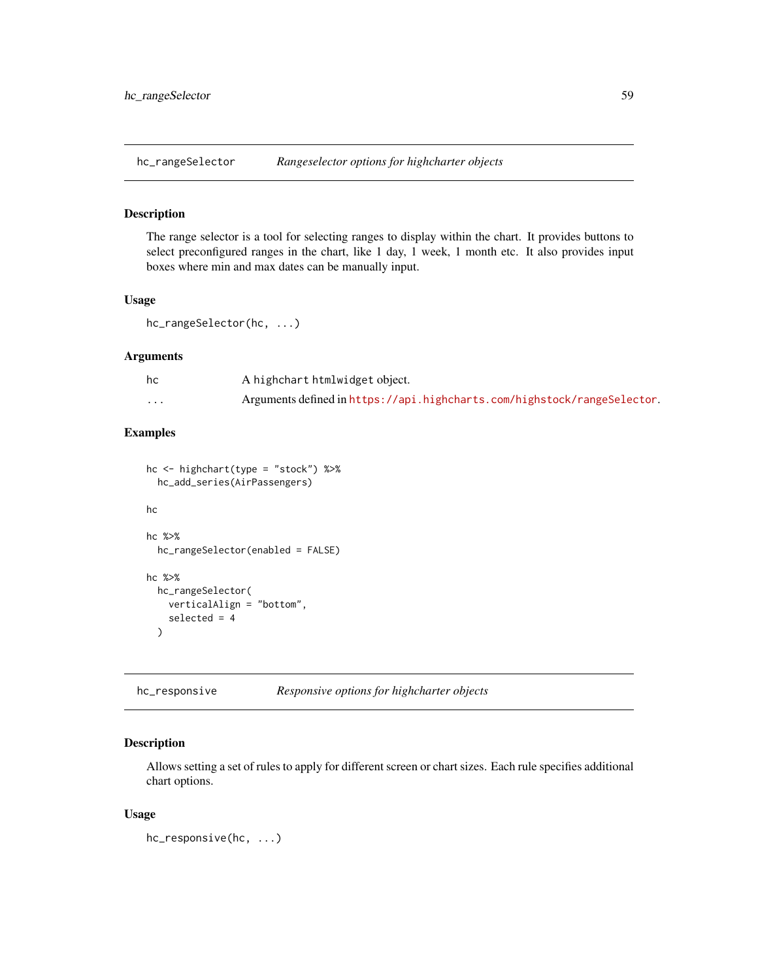The range selector is a tool for selecting ranges to display within the chart. It provides buttons to select preconfigured ranges in the chart, like 1 day, 1 week, 1 month etc. It also provides input boxes where min and max dates can be manually input.

### Usage

hc\_rangeSelector(hc, ...)

#### Arguments

| hc       | A highchart htmlwidget object.                                           |
|----------|--------------------------------------------------------------------------|
| $\cdots$ | Arguments defined in https://api.highcharts.com/highstock/rangeSelector. |

### Examples

```
hc <- highchart(type = "stock") %>%
  hc_add_series(AirPassengers)
hc
hc %>%
  hc_rangeSelector(enabled = FALSE)
hc %>%
  hc_rangeSelector(
   verticalAlign = "bottom",
    selected = 4
```
hc\_responsive *Responsive options for highcharter objects*

## Description

 $\lambda$ 

Allows setting a set of rules to apply for different screen or chart sizes. Each rule specifies additional chart options.

#### Usage

hc\_responsive(hc, ...)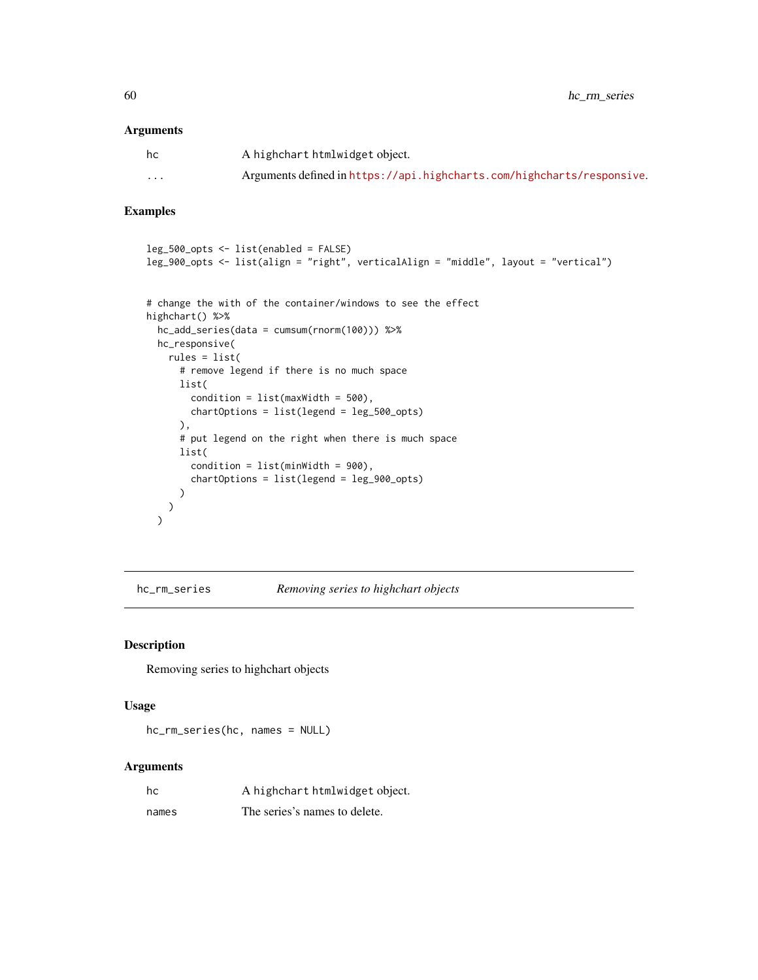60 hc\_rm\_series

### Arguments

| hc                      | A highchart htmlwidget object.                                         |
|-------------------------|------------------------------------------------------------------------|
| $\cdot$ $\cdot$ $\cdot$ | Arguments defined in https://api.highcharts.com/highcharts/responsive. |

# Examples

```
leg_500_opts <- list(enabled = FALSE)
leg_900_opts <- list(align = "right", verticalAlign = "middle", layout = "vertical")
```

```
# change the with of the container/windows to see the effect
highchart() %>%
 hc_add_series(data = cumsum(rnorm(100))) %>%
 hc_responsive(
   rules = list(
     # remove legend if there is no much space
     list(
       condition = list(maxWidth = 500),
       chartOptions = list(legend = leg_500_opts)
     ),
     # put legend on the right when there is much space
     list(
       condition = list(minWidth = 900),
       chartOptions = list(legend = leg_900_opts)
     )
   )
 )
```
hc\_rm\_series *Removing series to highchart objects*

### Description

Removing series to highchart objects

#### Usage

hc\_rm\_series(hc, names = NULL)

| hc    | A highchart htmlwidget object. |
|-------|--------------------------------|
| names | The series's names to delete.  |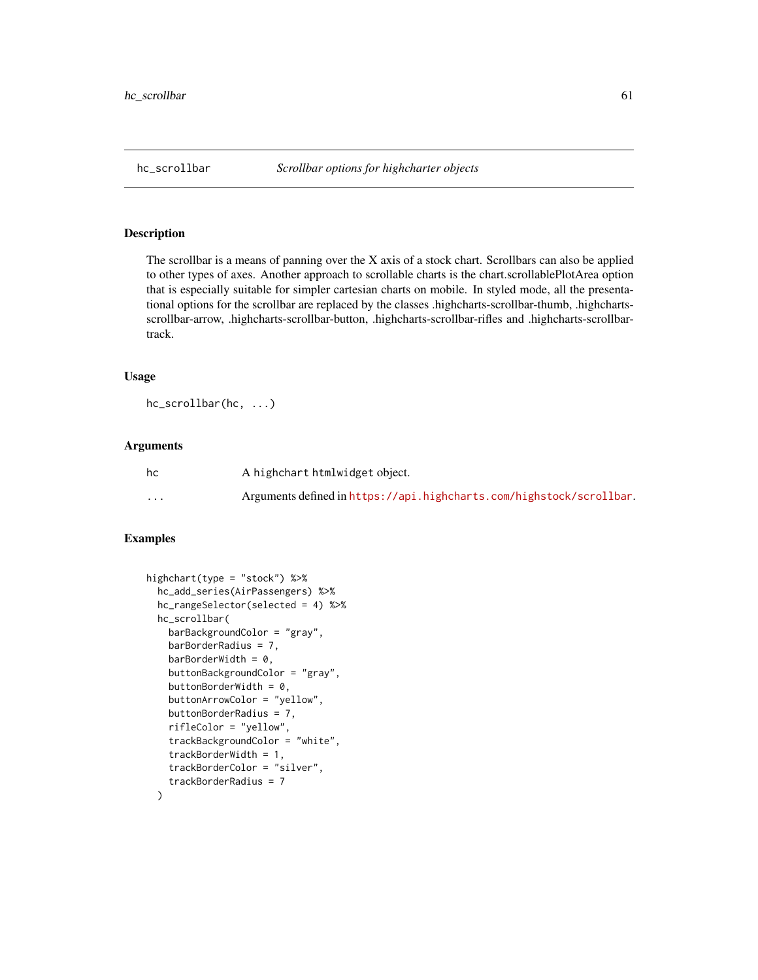The scrollbar is a means of panning over the X axis of a stock chart. Scrollbars can also be applied to other types of axes. Another approach to scrollable charts is the chart.scrollablePlotArea option that is especially suitable for simpler cartesian charts on mobile. In styled mode, all the presentational options for the scrollbar are replaced by the classes .highcharts-scrollbar-thumb, .highchartsscrollbar-arrow, .highcharts-scrollbar-button, .highcharts-scrollbar-rifles and .highcharts-scrollbartrack.

### Usage

```
hc_scrollbar(hc, ...)
```
### Arguments

| hc | A highchart htmlwidget object.                                       |
|----|----------------------------------------------------------------------|
| .  | Arguments defined in https://api.highcharts.com/highstock/scrollbar. |

```
highchart(type = "stock") %>%
 hc_add_series(AirPassengers) %>%
 hc_rangeSelector(selected = 4) %>%
 hc_scrollbar(
   barBackgroundColor = "gray",
   barBorderRadius = 7,
   barBorderWidth = 0,
   buttonBackgroundColor = "gray",
   buttonBorderWidth = 0,
   buttonArrowColor = "yellow",
   buttonBorderRadius = 7,
    rifleColor = "yellow",
    trackBackgroundColor = "white",
    trackBorderWidth = 1,
    trackBorderColor = "silver",
    trackBorderRadius = 7
 \lambda
```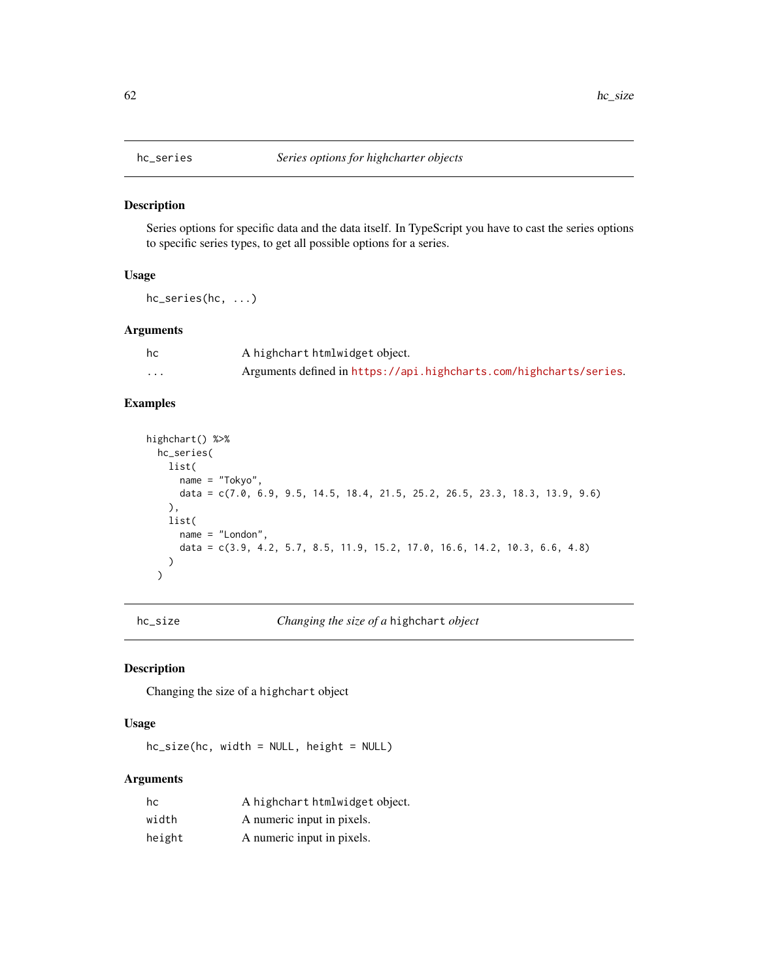Series options for specific data and the data itself. In TypeScript you have to cast the series options to specific series types, to get all possible options for a series.

### Usage

hc\_series(hc, ...)

#### Arguments

| hc | A highchart htmlwidget object.                                     |
|----|--------------------------------------------------------------------|
| .  | Arguments defined in https://api.highcharts.com/highcharts/series. |

## Examples

```
highchart() %>%
  hc_series(
   list(
      name = "Tokyo",
      data = c(7.0, 6.9, 9.5, 14.5, 18.4, 21.5, 25.2, 26.5, 23.3, 18.3, 13.9, 9.6)
   ),
   list(
      name = "London",
      data = c(3.9, 4.2, 5.7, 8.5, 11.9, 15.2, 17.0, 16.6, 14.2, 10.3, 6.6, 4.8)
   )
  \lambda
```
hc\_size *Changing the size of a* highchart *object*

### Description

Changing the size of a highchart object

## Usage

hc\_size(hc, width = NULL, height = NULL)

| hc     | A highchart htmlwidget object. |
|--------|--------------------------------|
| width  | A numeric input in pixels.     |
| height | A numeric input in pixels.     |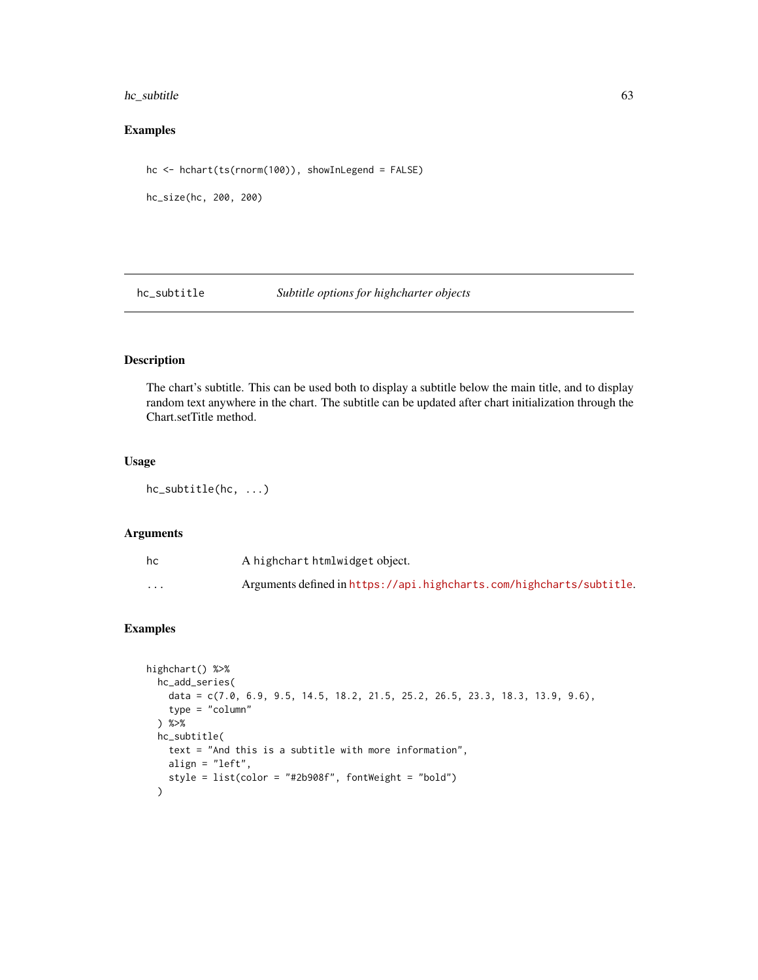## hc\_subtitle 63

## Examples

```
hc <- hchart(ts(rnorm(100)), showInLegend = FALSE)
```
hc\_size(hc, 200, 200)

hc\_subtitle *Subtitle options for highcharter objects*

# Description

The chart's subtitle. This can be used both to display a subtitle below the main title, and to display random text anywhere in the chart. The subtitle can be updated after chart initialization through the Chart.setTitle method.

## Usage

hc\_subtitle(hc, ...)

### Arguments

| hc                      | A highchart htmlwidget object.                                       |
|-------------------------|----------------------------------------------------------------------|
| $\cdot$ $\cdot$ $\cdot$ | Arguments defined in https://api.highcharts.com/highcharts/subtitle. |

```
highchart() %>%
  hc_add_series(
   data = c(7.0, 6.9, 9.5, 14.5, 18.2, 21.5, 25.2, 26.5, 23.3, 18.3, 13.9, 9.6),
   type = "column"
  ) %>%
  hc_subtitle(
    text = "And this is a subtitle with more information",
   align = "left",
   style = list(color = "#2b908f", fontWeight = "bold")
  )
```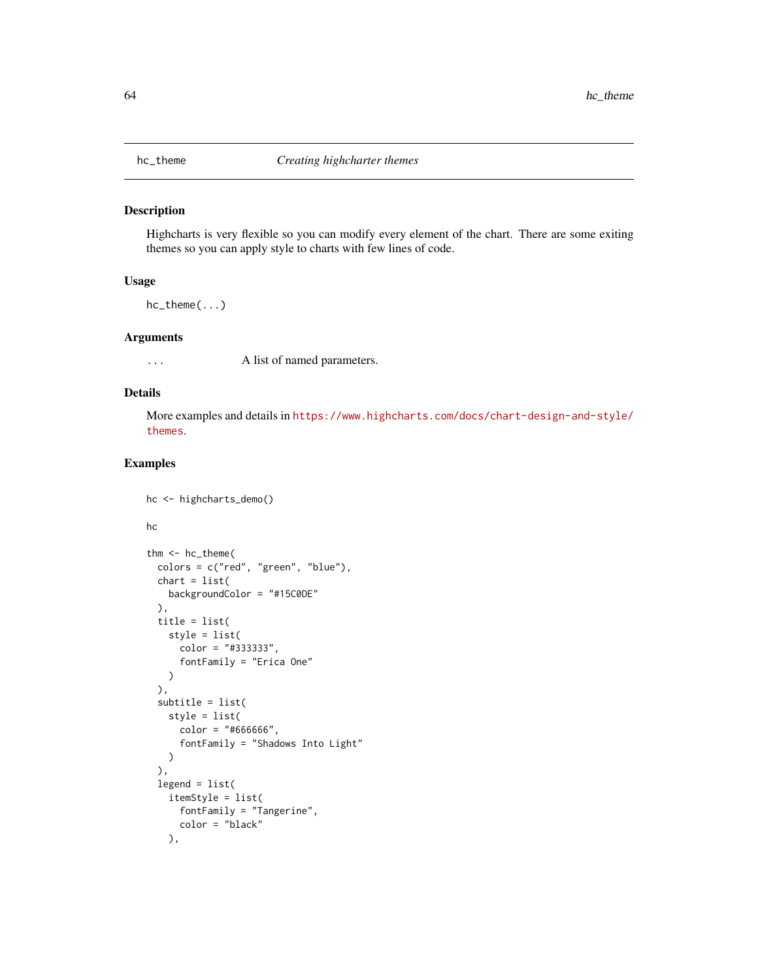Highcharts is very flexible so you can modify every element of the chart. There are some exiting themes so you can apply style to charts with few lines of code.

#### Usage

hc\_theme(...)

### Arguments

... A list of named parameters.

## Details

More examples and details in [https://www.highcharts.com/docs/chart-design-and-style/](https://www.highcharts.com/docs/chart-design-and-style/themes) [themes](https://www.highcharts.com/docs/chart-design-and-style/themes).

```
hc <- highcharts_demo()
hc
thm <- hc_theme(
  colors = c("red", "green", "blue"),
  chart = list(backgroundColor = "#15C0DE"
  ),
  title = list(
   style = list(
      color = "#333333",
      fontFamily = "Erica One"
   )
  ),
  subtitle = list(
   style = list(
     color = "#666666",fontFamily = "Shadows Into Light"
   )
  ),
  legend = list(
   itemStyle = list(
     fontFamily = "Tangerine",
      color = "black"
   ),
```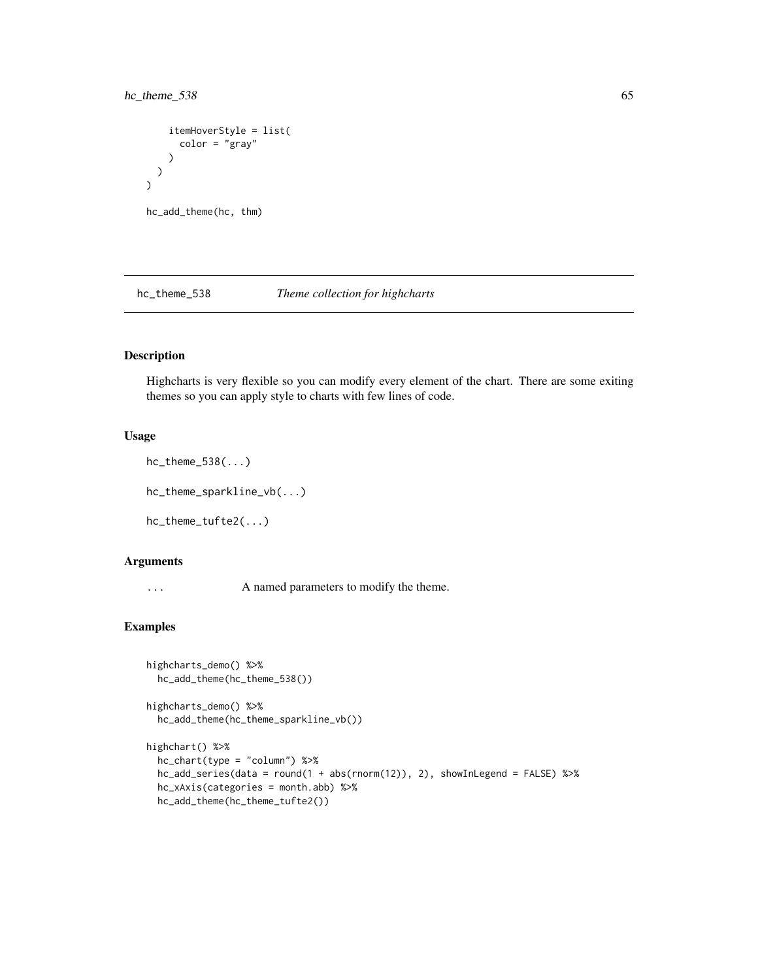## hc\_theme\_538 65

```
itemHoverStyle = list(
      color = "gray"
    )
  )
\mathcal{L}hc_add_theme(hc, thm)
```
hc\_theme\_538 *Theme collection for highcharts*

## Description

Highcharts is very flexible so you can modify every element of the chart. There are some exiting themes so you can apply style to charts with few lines of code.

### Usage

```
hc_theme_538(...)
```
hc\_theme\_sparkline\_vb(...)

hc\_theme\_tufte2(...)

### Arguments

... A named parameters to modify the theme.

# Examples

```
highcharts_demo() %>%
 hc_add_theme(hc_theme_538())
```
highcharts\_demo() %>% hc\_add\_theme(hc\_theme\_sparkline\_vb())

```
highchart() %>%
 hc_chart(type = "column") %>%
 hc_add_series(data = round(1 + abs(rnorm(12)), 2), showInLegend = FALSE) %>%
 hc_xAxis(categories = month.abb) %>%
 hc_add_theme(hc_theme_tufte2())
```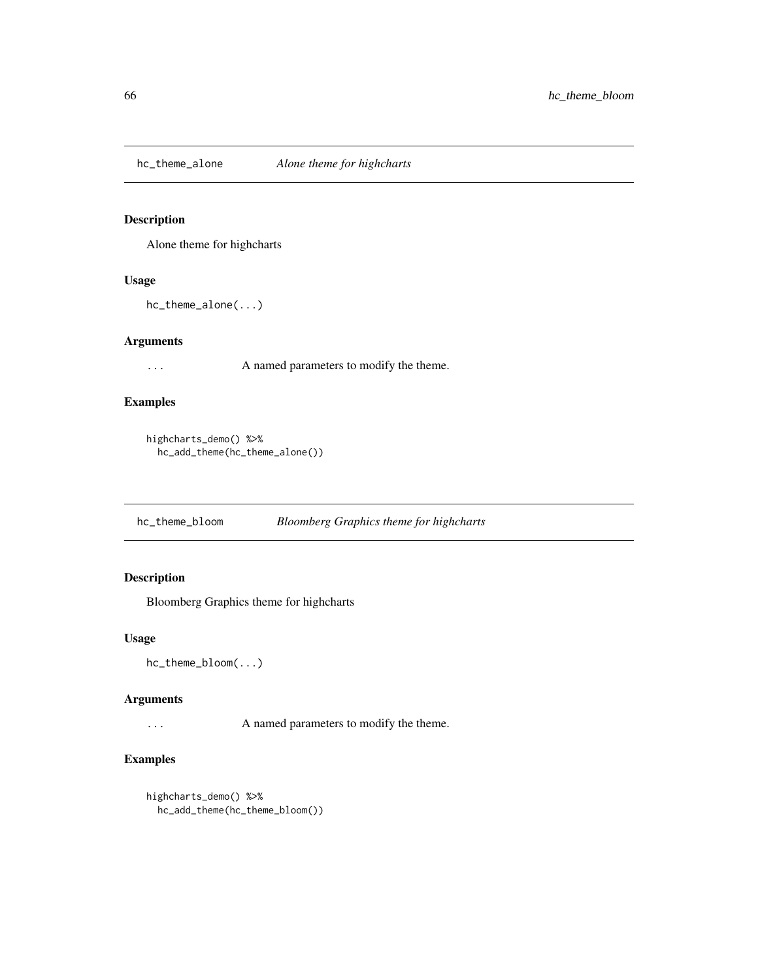hc\_theme\_alone *Alone theme for highcharts*

## Description

Alone theme for highcharts

## Usage

hc\_theme\_alone(...)

## Arguments

... A named parameters to modify the theme.

# Examples

```
highcharts_demo() %>%
  hc_add_theme(hc_theme_alone())
```
hc\_theme\_bloom *Bloomberg Graphics theme for highcharts*

## Description

Bloomberg Graphics theme for highcharts

### Usage

hc\_theme\_bloom(...)

### Arguments

... A named parameters to modify the theme.

```
highcharts_demo() %>%
 hc_add_theme(hc_theme_bloom())
```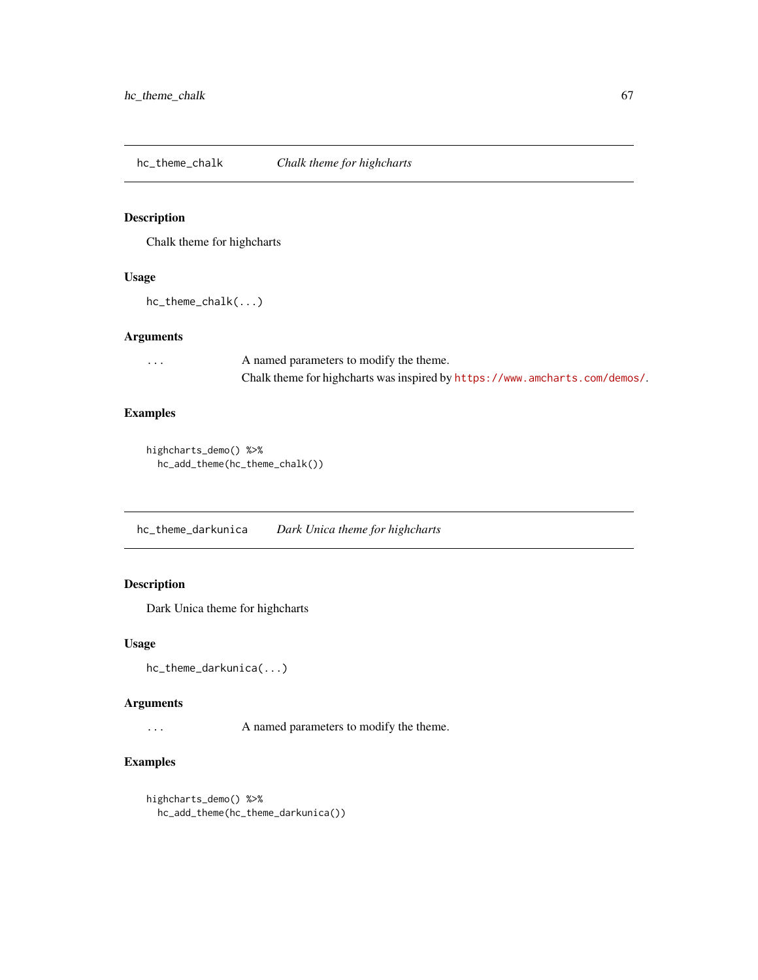hc\_theme\_chalk *Chalk theme for highcharts*

# Description

Chalk theme for highcharts

#### Usage

hc\_theme\_chalk(...)

## Arguments

| $\cdots$ | A named parameters to modify the theme.                                     |
|----------|-----------------------------------------------------------------------------|
|          | Chalk theme for highcharts was inspired by https://www.amcharts.com/demos/. |

# Examples

```
highcharts_demo() %>%
  hc_add_theme(hc_theme_chalk())
```
hc\_theme\_darkunica *Dark Unica theme for highcharts*

## Description

Dark Unica theme for highcharts

### Usage

hc\_theme\_darkunica(...)

## Arguments

... A named parameters to modify the theme.

```
highcharts_demo() %>%
 hc_add_theme(hc_theme_darkunica())
```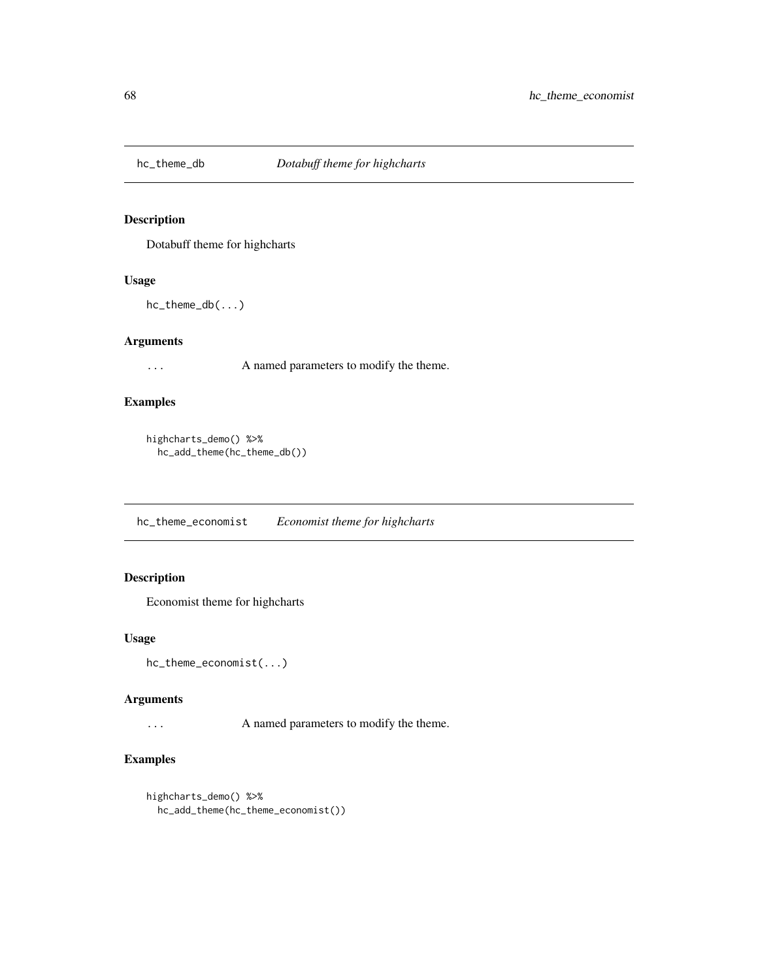Dotabuff theme for highcharts

### Usage

hc\_theme\_db(...)

## Arguments

... A named parameters to modify the theme.

# Examples

```
highcharts_demo() %>%
  hc_add_theme(hc_theme_db())
```
hc\_theme\_economist *Economist theme for highcharts*

## Description

Economist theme for highcharts

### Usage

hc\_theme\_economist(...)

### Arguments

... A named parameters to modify the theme.

```
highcharts_demo() %>%
 hc_add_theme(hc_theme_economist())
```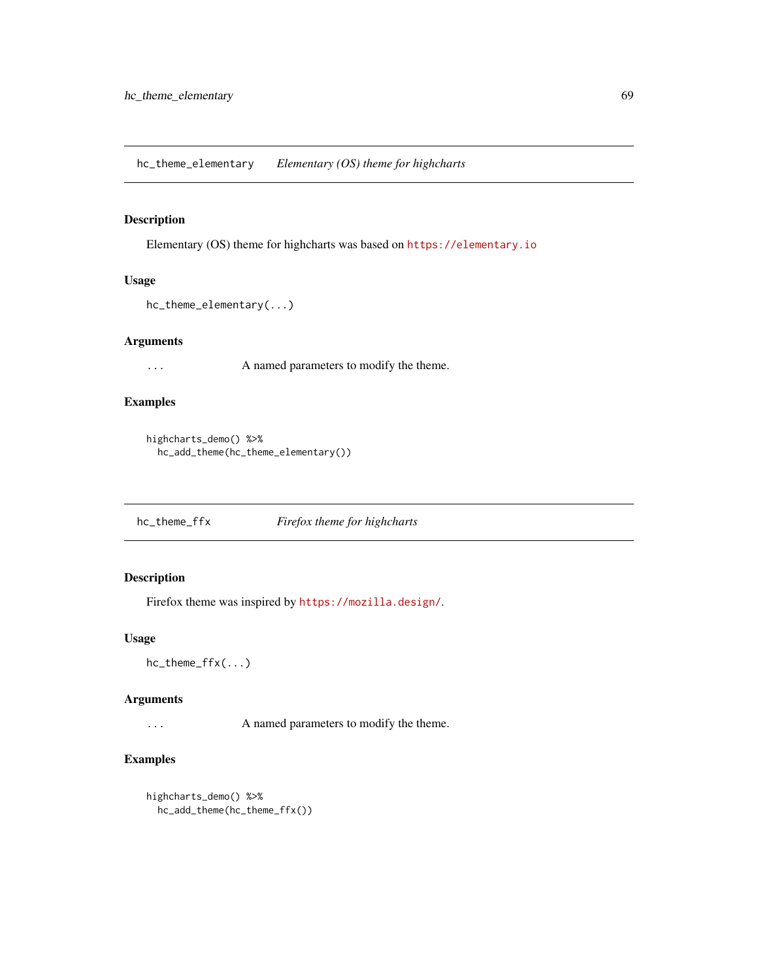hc\_theme\_elementary *Elementary (OS) theme for highcharts*

### Description

Elementary (OS) theme for highcharts was based on <https://elementary.io>

## Usage

```
hc_theme_elementary(...)
```
## Arguments

... A named parameters to modify the theme.

# Examples

```
highcharts_demo() %>%
  hc_add_theme(hc_theme_elementary())
```
hc\_theme\_ffx *Firefox theme for highcharts*

## Description

Firefox theme was inspired by <https://mozilla.design/>.

### Usage

hc\_theme\_ffx(...)

#### Arguments

... A named parameters to modify the theme.

```
highcharts_demo() %>%
 hc_add_theme(hc_theme_ffx())
```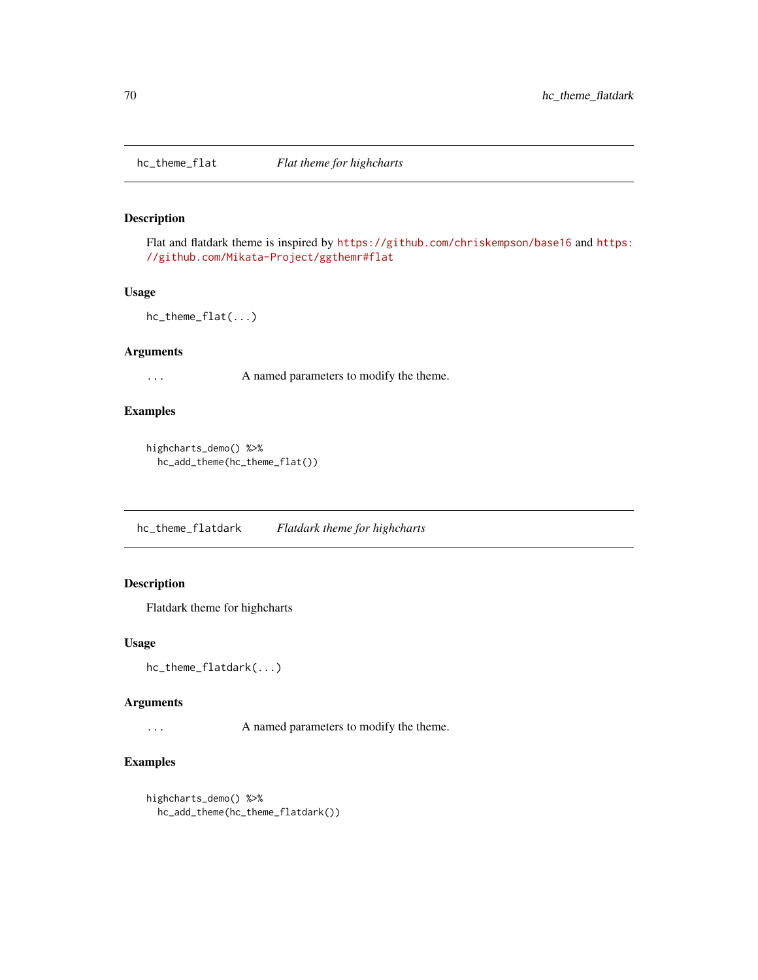Flat and flatdark theme is inspired by <https://github.com/chriskempson/base16> and [https:](https://github.com/Mikata-Project/ggthemr#flat) [//github.com/Mikata-Project/ggthemr#flat](https://github.com/Mikata-Project/ggthemr#flat)

### Usage

hc\_theme\_flat(...)

#### Arguments

... A named parameters to modify the theme.

### Examples

```
highcharts_demo() %>%
  hc_add_theme(hc_theme_flat())
```
hc\_theme\_flatdark *Flatdark theme for highcharts*

## Description

Flatdark theme for highcharts

#### Usage

```
hc_theme_flatdark(...)
```
#### Arguments

... A named parameters to modify the theme.

```
highcharts_demo() %>%
 hc_add_theme(hc_theme_flatdark())
```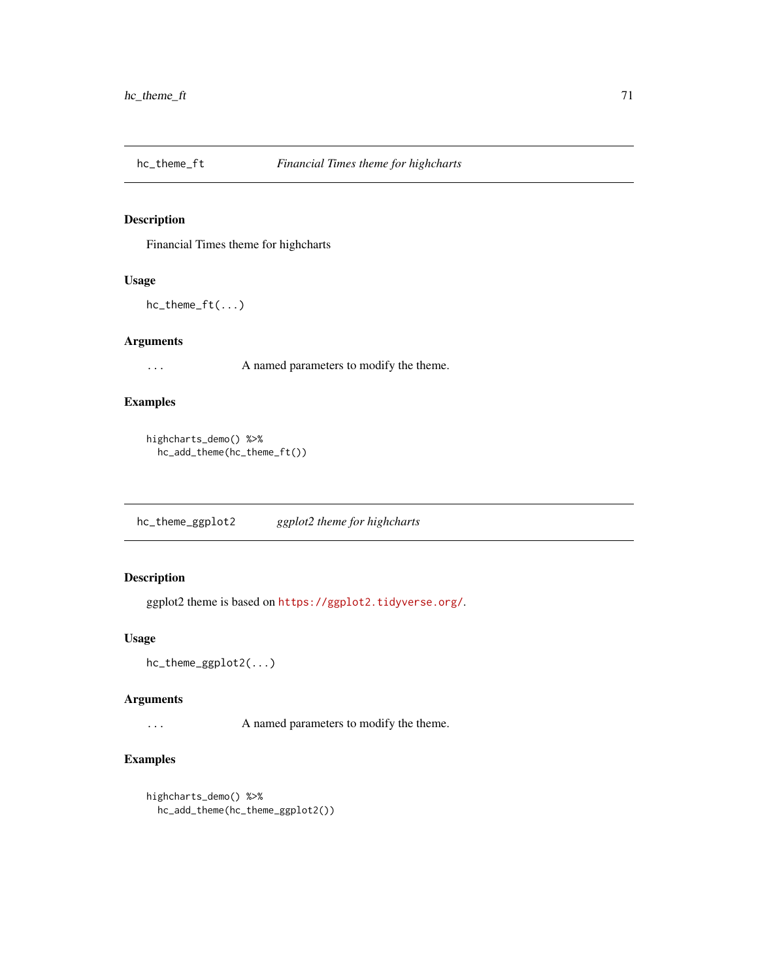Financial Times theme for highcharts

### Usage

hc\_theme\_ft(...)

## Arguments

... A named parameters to modify the theme.

# Examples

```
highcharts_demo() %>%
  hc_add_theme(hc_theme_ft())
```
hc\_theme\_ggplot2 *ggplot2 theme for highcharts*

## Description

ggplot2 theme is based on <https://ggplot2.tidyverse.org/>.

### Usage

```
hc_theme_ggplot2(...)
```
### Arguments

... A named parameters to modify the theme.

```
highcharts_demo() %>%
 hc_add_theme(hc_theme_ggplot2())
```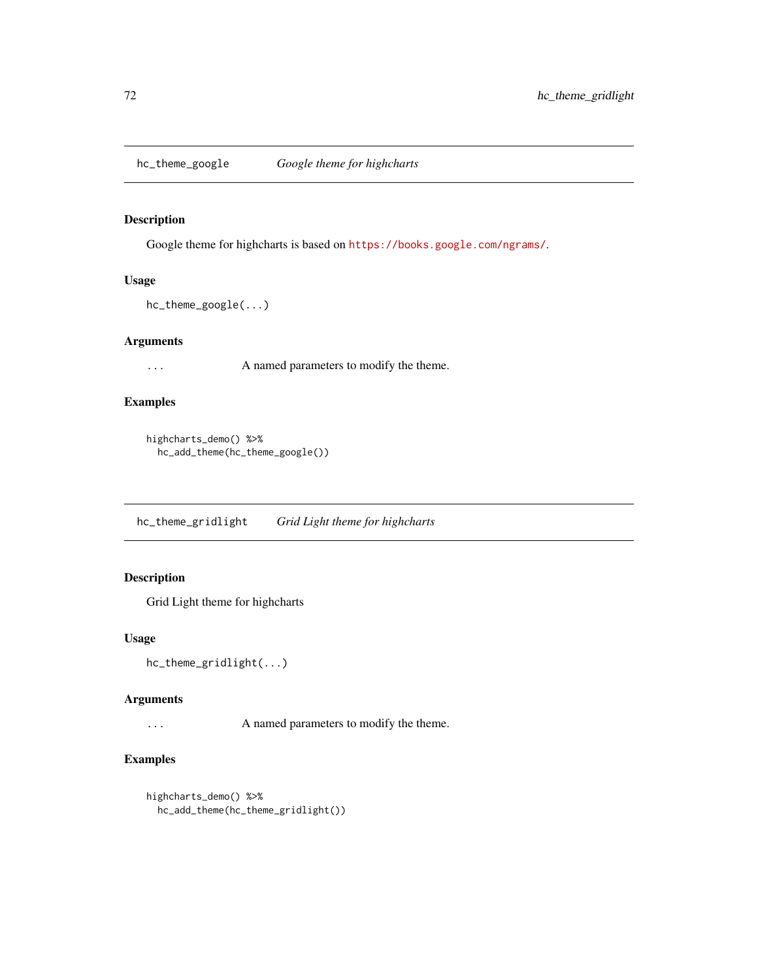hc\_theme\_google *Google theme for highcharts*

### Description

Google theme for highcharts is based on <https://books.google.com/ngrams/>.

## Usage

```
hc_theme_google(...)
```
## Arguments

... A named parameters to modify the theme.

# Examples

```
highcharts_demo() %>%
  hc_add_theme(hc_theme_google())
```
hc\_theme\_gridlight *Grid Light theme for highcharts*

## Description

Grid Light theme for highcharts

### Usage

```
hc_theme_gridlight(...)
```
#### Arguments

... A named parameters to modify the theme.

```
highcharts_demo() %>%
 hc_add_theme(hc_theme_gridlight())
```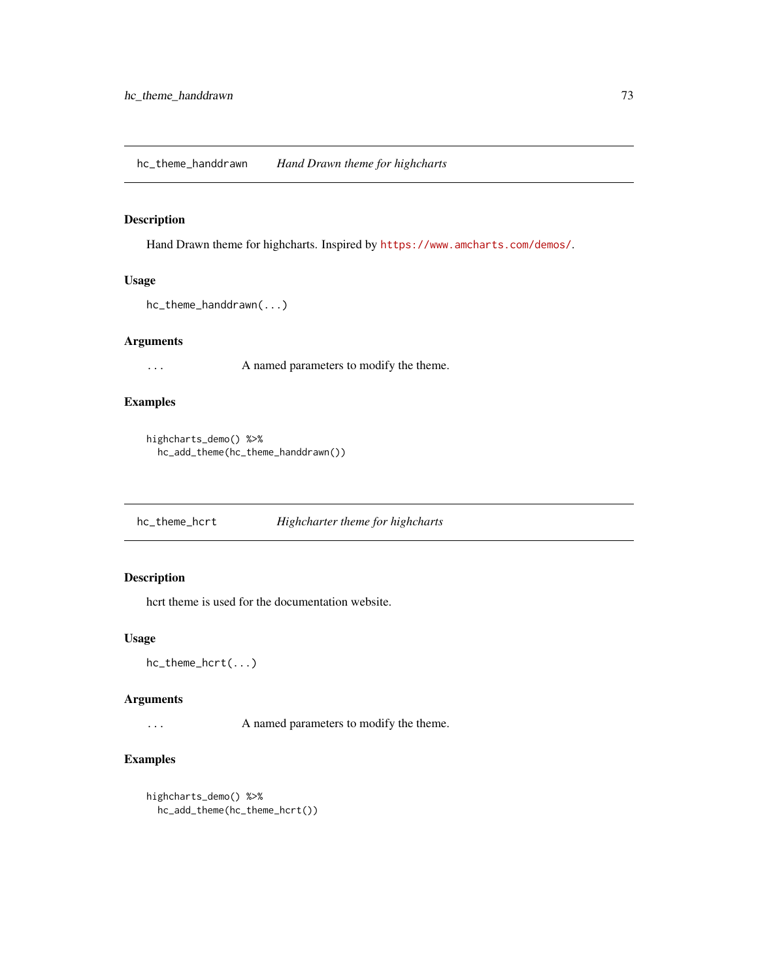<span id="page-72-0"></span>hc\_theme\_handdrawn *Hand Drawn theme for highcharts*

#### Description

Hand Drawn theme for highcharts. Inspired by <https://www.amcharts.com/demos/>.

## Usage

```
hc_theme_handdrawn(...)
```
## Arguments

... A named parameters to modify the theme.

# Examples

```
highcharts_demo() %>%
  hc_add_theme(hc_theme_handdrawn())
```
hc\_theme\_hcrt *Highcharter theme for highcharts*

### Description

hcrt theme is used for the documentation website.

#### Usage

```
hc_theme_hcrt(...)
```
#### Arguments

... A named parameters to modify the theme.

```
highcharts_demo() %>%
 hc_add_theme(hc_theme_hcrt())
```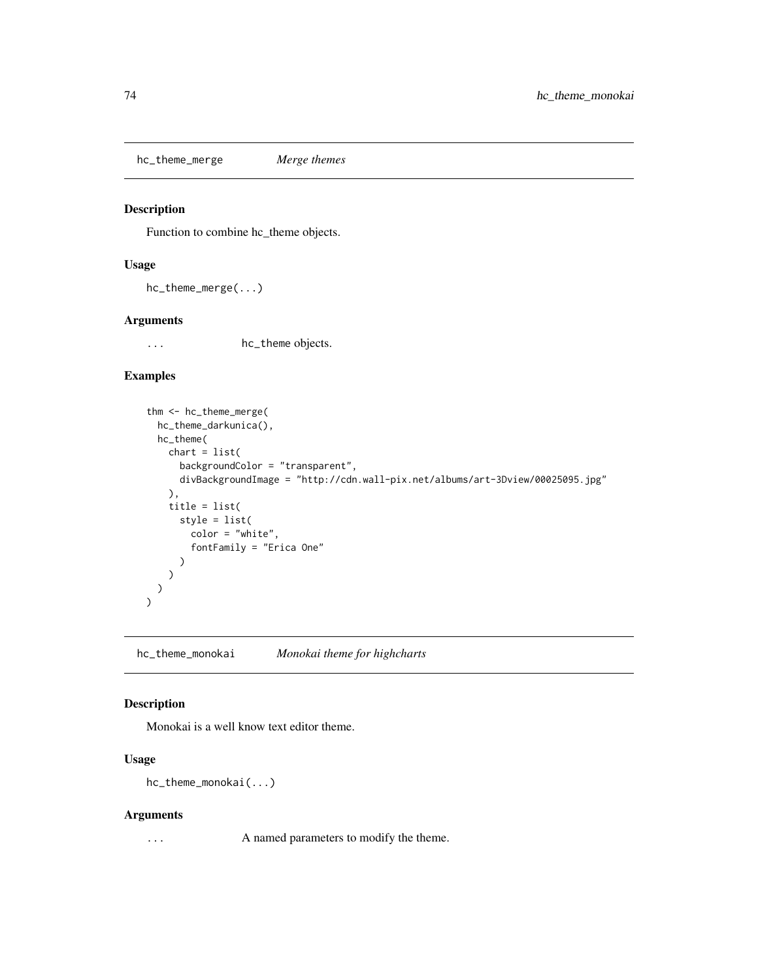<span id="page-73-0"></span>hc\_theme\_merge *Merge themes*

#### Description

Function to combine hc\_theme objects.

## Usage

```
hc_theme_merge(...)
```
## Arguments

... hc\_theme objects.

# Examples

```
thm <- hc_theme_merge(
 hc_theme_darkunica(),
 hc_theme(
   chart = list(backgroundColor = "transparent",
      divBackgroundImage = "http://cdn.wall-pix.net/albums/art-3Dview/00025095.jpg"
   ),
    title = list(
      style = list(
       color = "white",
        fontFamily = "Erica One"
      )
   )
 )
\mathcal{L}
```
hc\_theme\_monokai *Monokai theme for highcharts*

## Description

Monokai is a well know text editor theme.

# Usage

hc\_theme\_monokai(...)

#### Arguments

... A named parameters to modify the theme.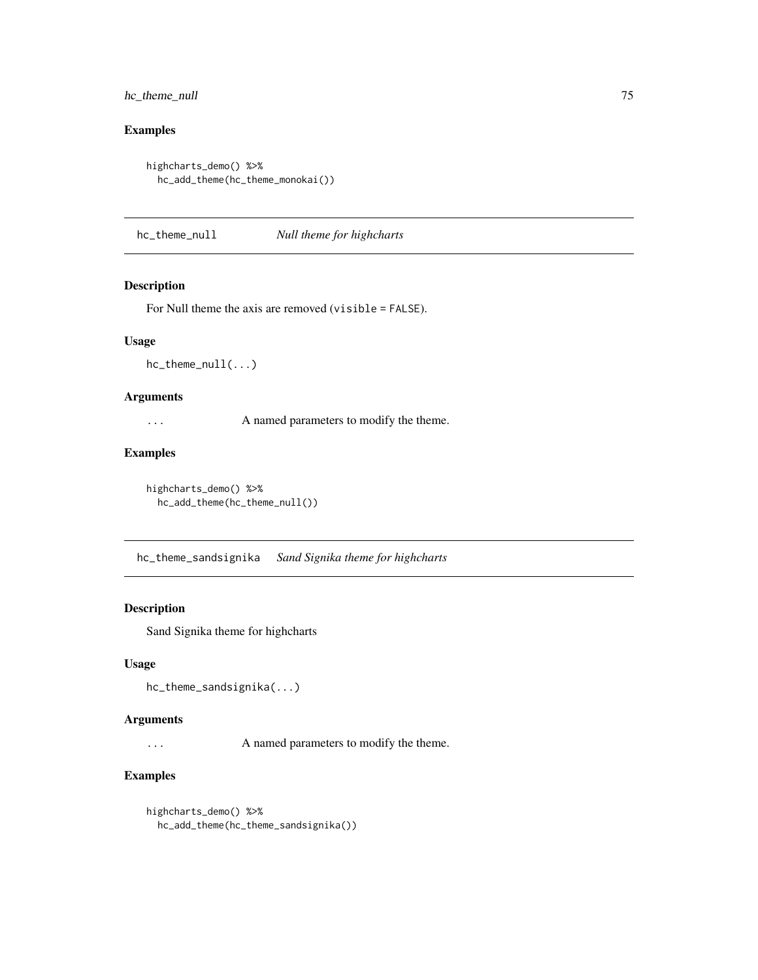## <span id="page-74-0"></span>hc\_theme\_null 75

## Examples

```
highcharts_demo() %>%
  hc_add_theme(hc_theme_monokai())
```
hc\_theme\_null *Null theme for highcharts*

## Description

For Null theme the axis are removed (visible = FALSE).

## Usage

hc\_theme\_null(...)

## Arguments

... A named parameters to modify the theme.

## Examples

```
highcharts_demo() %>%
  hc_add_theme(hc_theme_null())
```
hc\_theme\_sandsignika *Sand Signika theme for highcharts*

#### Description

Sand Signika theme for highcharts

#### Usage

hc\_theme\_sandsignika(...)

#### Arguments

... A named parameters to modify the theme.

# Examples

highcharts\_demo() %>% hc\_add\_theme(hc\_theme\_sandsignika())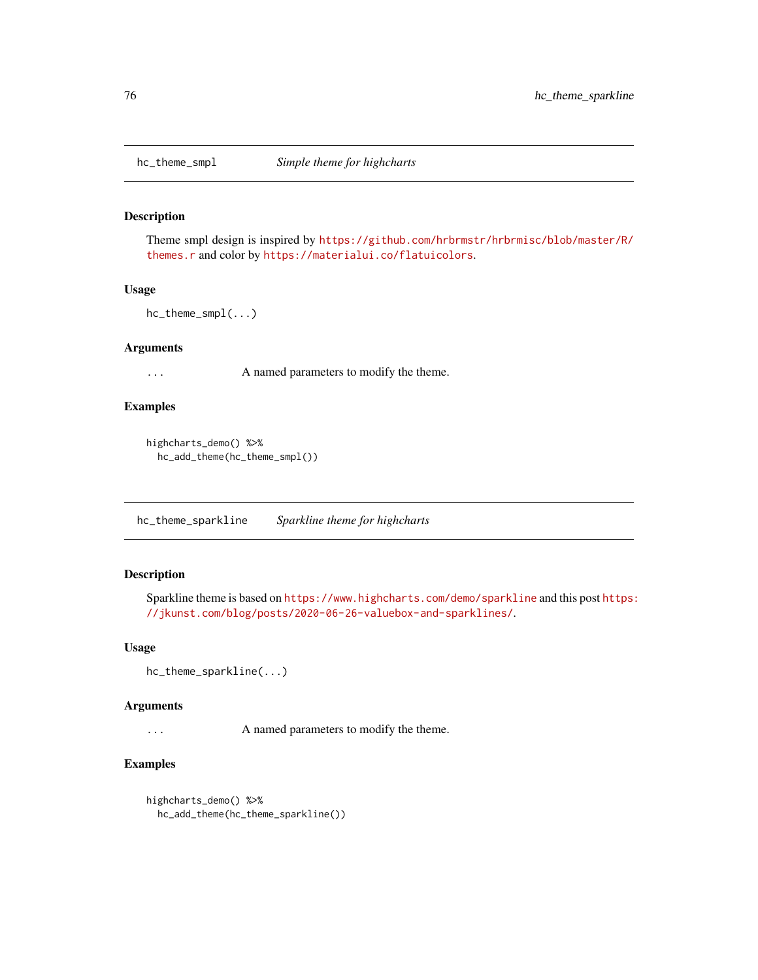<span id="page-75-0"></span>

Theme smpl design is inspired by [https://github.com/hrbrmstr/hrbrmisc/blob/master/R/](https://github.com/hrbrmstr/hrbrmisc/blob/master/R/themes.r) [themes.r](https://github.com/hrbrmstr/hrbrmisc/blob/master/R/themes.r) and color by <https://materialui.co/flatuicolors>.

#### Usage

```
hc_theme_smpl(...)
```
#### Arguments

... A named parameters to modify the theme.

#### Examples

```
highcharts_demo() %>%
  hc_add_theme(hc_theme_smpl())
```
hc\_theme\_sparkline *Sparkline theme for highcharts*

#### Description

Sparkline theme is based on <https://www.highcharts.com/demo/sparkline> and this post [https:](https://jkunst.com/blog/posts/2020-06-26-valuebox-and-sparklines/) [//jkunst.com/blog/posts/2020-06-26-valuebox-and-sparklines/](https://jkunst.com/blog/posts/2020-06-26-valuebox-and-sparklines/).

## Usage

```
hc_theme_sparkline(...)
```
#### Arguments

... A named parameters to modify the theme.

```
highcharts_demo() %>%
 hc_add_theme(hc_theme_sparkline())
```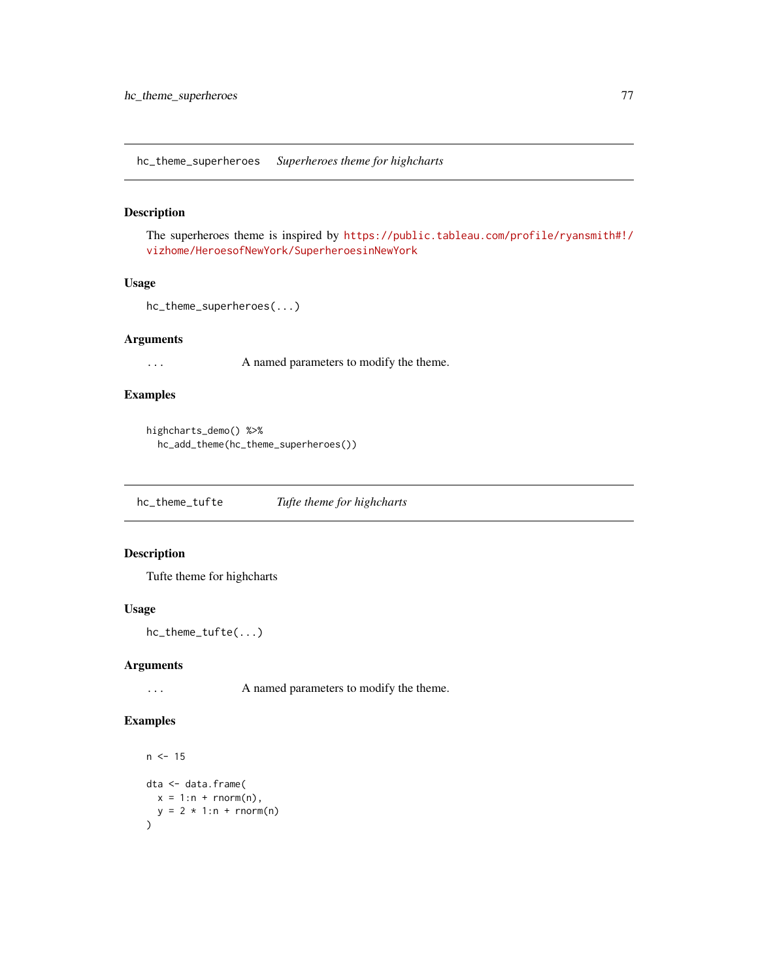<span id="page-76-0"></span>hc\_theme\_superheroes *Superheroes theme for highcharts*

## Description

The superheroes theme is inspired by [https://public.tableau.com/profile/ryansmith#!/](https://public.tableau.com/profile/ryansmith#!/vizhome/HeroesofNewYork/SuperheroesinNewYork) [vizhome/HeroesofNewYork/SuperheroesinNewYork](https://public.tableau.com/profile/ryansmith#!/vizhome/HeroesofNewYork/SuperheroesinNewYork)

#### Usage

```
hc_theme_superheroes(...)
```
## Arguments

... A named parameters to modify the theme.

# Examples

```
highcharts_demo() %>%
  hc_add_theme(hc_theme_superheroes())
```
hc\_theme\_tufte *Tufte theme for highcharts*

#### Description

Tufte theme for highcharts

## Usage

hc\_theme\_tufte(...)

#### Arguments

... A named parameters to modify the theme.

```
n < -15dta <- data.frame(
  x = 1:n + rnorm(n),
  y = 2 * 1:n + rnorm(n)\overline{\phantom{a}}
```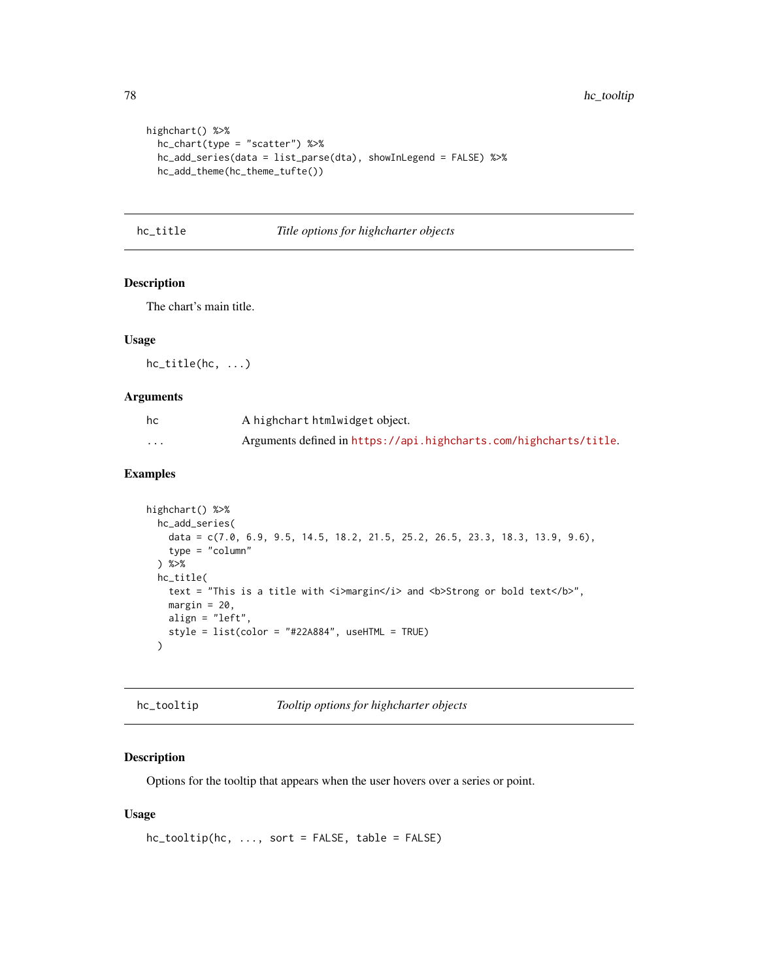```
highchart() %>%
  hc_chart(type = "scatter") %>%
  hc_add_series(data = list_parse(dta), showInLegend = FALSE) %>%
  hc_add_theme(hc_theme_tufte())
```
hc\_title *Title options for highcharter objects*

#### Description

The chart's main title.

#### Usage

hc\_title(hc, ...)

#### Arguments

| hc       | A highchart htmlwidget object.                                    |
|----------|-------------------------------------------------------------------|
| $\cdots$ | Arguments defined in https://api.highcharts.com/highcharts/title. |

## Examples

```
highchart() %>%
  hc_add_series(
    data = c(7.0, 6.9, 9.5, 14.5, 18.2, 21.5, 25.2, 26.5, 23.3, 18.3, 13.9, 9.6),
    type = "column"
  ) %>%
  hc_title(
    text = "This is a title with \langle i \rangle margin\langle i \rangle and \langle b \rangleStrong or bold text\langle b \rangle",
    margin = 20,
    align = "left",
    style = list(color = "#22A884", useHTML = TRUE)
  \lambda
```
hc\_tooltip *Tooltip options for highcharter objects*

#### Description

Options for the tooltip that appears when the user hovers over a series or point.

#### Usage

```
hc_tooltip(hc, ..., sort = FALSE, table = FALSE)
```
<span id="page-77-0"></span>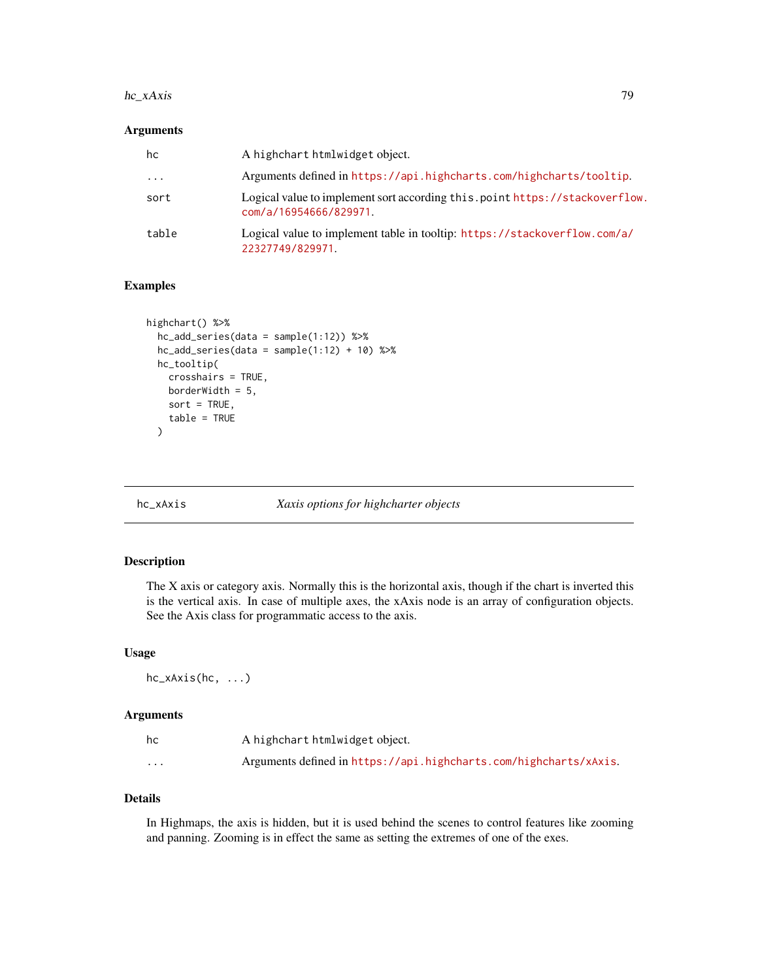#### <span id="page-78-0"></span>hc\_xAxis 79

#### Arguments

| hc    | A highchart htmlwidget object.                                                                        |
|-------|-------------------------------------------------------------------------------------------------------|
| .     | Arguments defined in https://api.highcharts.com/highcharts/tooltip.                                   |
| sort  | Logical value to implement sort according this.point https://stackoverflow.<br>com/a/16954666/829971. |
| table | Logical value to implement table in tooltip: https://stackoverflow.com/a/<br>22327749/829971.         |

## Examples

```
highchart() %>%
 hc_add_series(data = sample(1:12)) %>%
 hc\_add\_series(data = sample(1:12) + 10) %>%
 hc_tooltip(
   crosshairs = TRUE,
   borderWidth = 5,
   sort = TRUE,table = TRUE
 )
```
hc\_xAxis *Xaxis options for highcharter objects*

## Description

The X axis or category axis. Normally this is the horizontal axis, though if the chart is inverted this is the vertical axis. In case of multiple axes, the xAxis node is an array of configuration objects. See the Axis class for programmatic access to the axis.

#### Usage

hc\_xAxis(hc, ...)

## Arguments

| hc       | A highchart htmlwidget object.                                    |
|----------|-------------------------------------------------------------------|
| $\cdots$ | Arguments defined in https://api.highcharts.com/highcharts/xAxis. |

# Details

In Highmaps, the axis is hidden, but it is used behind the scenes to control features like zooming and panning. Zooming is in effect the same as setting the extremes of one of the exes.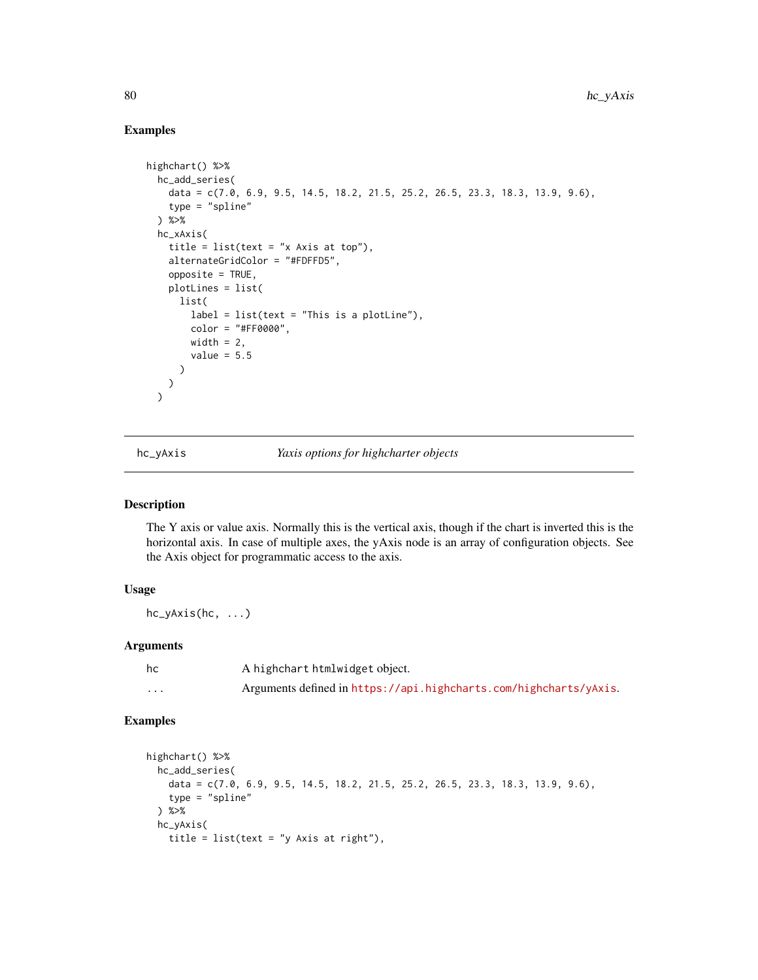#### Examples

```
highchart() %>%
  hc_add_series(
   data = c(7.0, 6.9, 9.5, 14.5, 18.2, 21.5, 25.2, 26.5, 23.3, 18.3, 13.9, 9.6),
   type = "split") %>%
  hc_xAxis(
    title = list(text = "x Axis at top"),
   alternateGridColor = "#FDFFD5",
   opposite = TRUE,
   plotLines = list(
     list(
        label = list(text = "This is a plotLine"),color = "#FF0000",
        width = 2,
        value = 5.5)
   )
  \lambda
```
hc\_yAxis *Yaxis options for highcharter objects*

## Description

The Y axis or value axis. Normally this is the vertical axis, though if the chart is inverted this is the horizontal axis. In case of multiple axes, the yAxis node is an array of configuration objects. See the Axis object for programmatic access to the axis.

#### Usage

hc\_yAxis(hc, ...)

#### Arguments

| hc       | A highchart htmlwidget object.                                    |
|----------|-------------------------------------------------------------------|
| $\cdots$ | Arguments defined in https://api.highcharts.com/highcharts/yAxis. |

```
highchart() %>%
  hc_add_series(
   data = c(7.0, 6.9, 9.5, 14.5, 18.2, 21.5, 25.2, 26.5, 23.3, 18.3, 13.9, 9.6),
   type = "spline"
  ) %>%
  hc_yAxis(
   title = list(text = "y Axis at right"),
```
<span id="page-79-0"></span>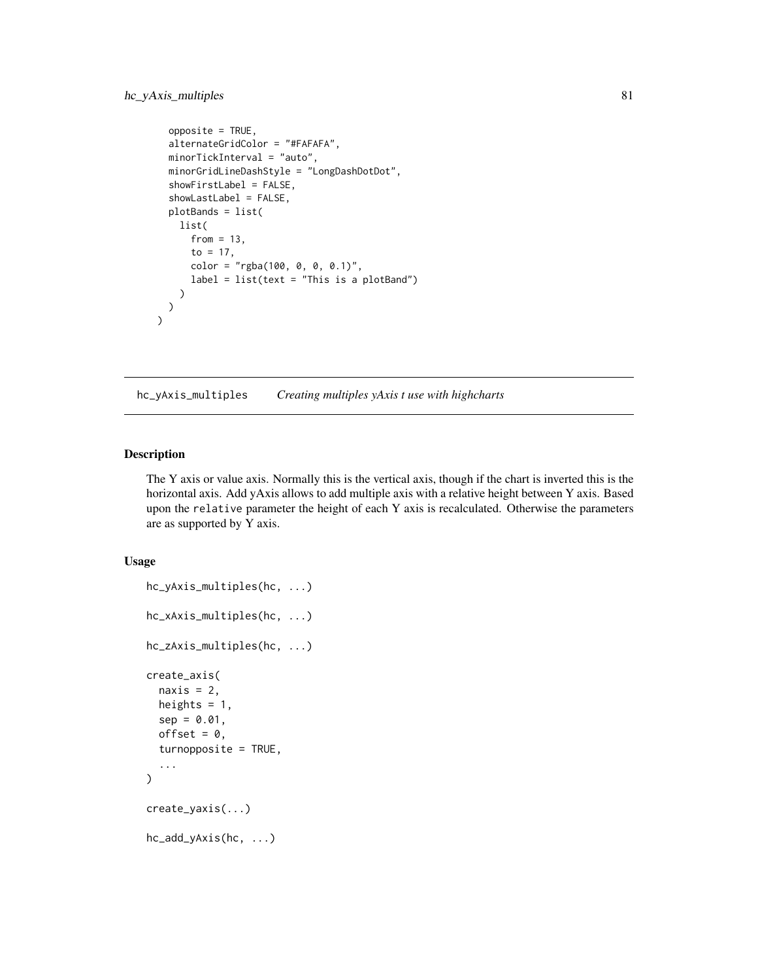```
opposite = TRUE,
  alternateGridColor = "#FAFAFA",
  minorTickInterval = "auto",
 minorGridLineDashStyle = "LongDashDotDot",
  showFirstLabel = FALSE,
  showLastLabel = FALSE,
 plotBands = list(
    list(
      from = 13,
      to = 17,
      color = "rgba(100, 0, 0, 0.1)",label = list(text = "This is a plotBand")
    )
 )
\mathcal{L}
```
hc\_yAxis\_multiples *Creating multiples yAxis t use with highcharts*

#### Description

The Y axis or value axis. Normally this is the vertical axis, though if the chart is inverted this is the horizontal axis. Add yAxis allows to add multiple axis with a relative height between Y axis. Based upon the relative parameter the height of each Y axis is recalculated. Otherwise the parameters are as supported by Y axis.

#### Usage

```
hc_yAxis_multiples(hc, ...)
hc_xAxis_multiples(hc, ...)
hc_zAxis_multiples(hc, ...)
create_axis(
  naxis = 2,
  heights = 1,
  sep = 0.01,offset = 0,
  turnopposite = TRUE,
  ...
)
create_yaxis(...)
hc_add_yAxis(hc, ...)
```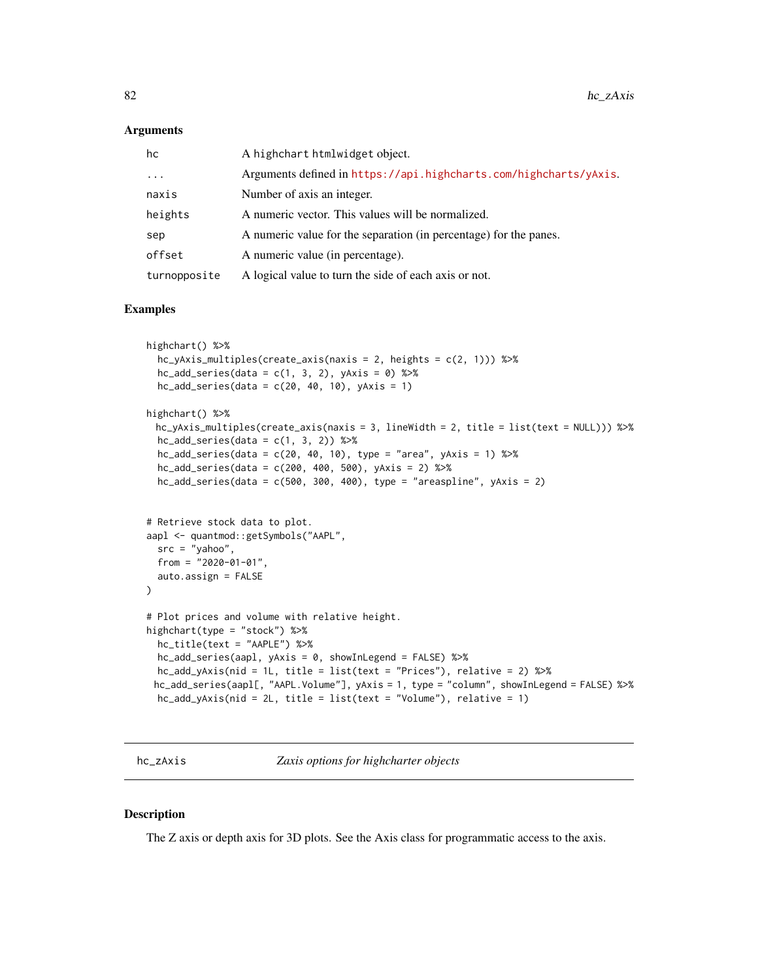#### <span id="page-81-0"></span>**Arguments**

| hc           | A highchart htmlwidget object.                                    |
|--------------|-------------------------------------------------------------------|
| $\cdots$     | Arguments defined in https://api.highcharts.com/highcharts/yAxis. |
| naxis        | Number of axis an integer.                                        |
| heights      | A numeric vector. This values will be normalized.                 |
| sep          | A numeric value for the separation (in percentage) for the panes. |
| offset       | A numeric value (in percentage).                                  |
| turnopposite | A logical value to turn the side of each axis or not.             |

#### Examples

```
highchart() %>%
 hc_yAxis_multiples(create_axis(naxis = 2, heights = c(2, 1))) %>%
 hc\_add\_series(data = c(1, 3, 2), yAxis = 0) %hc\_add\_series(data = c(20, 40, 10), yAxis = 1)highchart() %>%
 hc_yAxis_multiples(create_axis(naxis = 3, lineWidth = 2, title = list(text = NULL))) %>%
 hc\_add\_series(data = c(1, 3, 2)) %>%
 hc_add_series(data = c(20, 40, 10), type = "area", yAxis = 1) %>%
 hc_add_series(data = c(200, 400, 500), yAxis = 2) %>%
 hc\_add\_series(data = c(500, 300, 400), type = "areaspline", yAxis = 2)# Retrieve stock data to plot.
aapl <- quantmod::getSymbols("AAPL",
 src = "yahoo",
 from = "2020-01-01",
 auto.assign = FALSE
\lambda# Plot prices and volume with relative height.
highchart(type = "stock") %>%
 hc_title(text = "AAPLE") %>%
 hc_add_series(aapl, yAxis = 0, showInLegend = FALSE) %>%
 hc_add_yAxis(nid = 1L, title = list(text = "Prices"), relative = 2) %>%
 hc_add_series(aapl[, "AAPL.Volume"], yAxis = 1, type = "column", showInLegend = FALSE) %>%
 hc_add_yAxis(nid = 2L, title = list(text = "Volume"), relative = 1)
```
hc\_zAxis *Zaxis options for highcharter objects*

#### Description

The Z axis or depth axis for 3D plots. See the Axis class for programmatic access to the axis.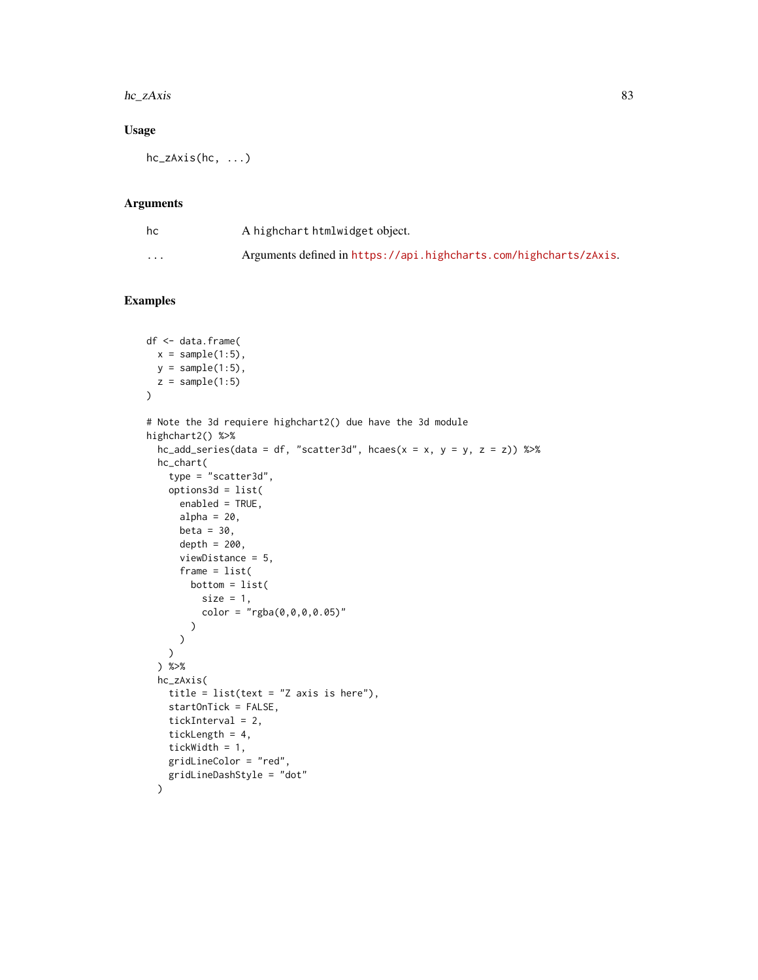#### hc\_zAxis 83

## Usage

hc\_zAxis(hc, ...)

## Arguments

| hc       | A highchart htmlwidget object.                                    |
|----------|-------------------------------------------------------------------|
| $\cdots$ | Arguments defined in https://api.highcharts.com/highcharts/zAxis. |

```
df <- data.frame(
 x = sample(1:5),
 y = sample(1:5),
  z = sample(1:5))
# Note the 3d requiere highchart2() due have the 3d module
highchart2() %>%
  hc\_add\_series(data = df, "scatter3d", hcaes(x = x, y = y, z = z)) %>%
  hc_chart(
    type = "scatters'd",options3d = list(
      enabled = TRUE,
      alpha = 20,
      beta = 30,
      depth = 200,
      viewDistance = 5,
      frame = list(
        bottom = list(
          size = 1,
          color = "rgba(0, 0, 0, 0.05)")
      )
    \lambda) %>%
  hc_zAxis(
    title = list(text = "Z axis is here"),
    startOnTick = FALSE,
    tickInterval = 2,
    tickLength = 4,
    tickWidth = 1,
    gridLineColor = "red",
    gridLineDashStyle = "dot"
  \lambda
```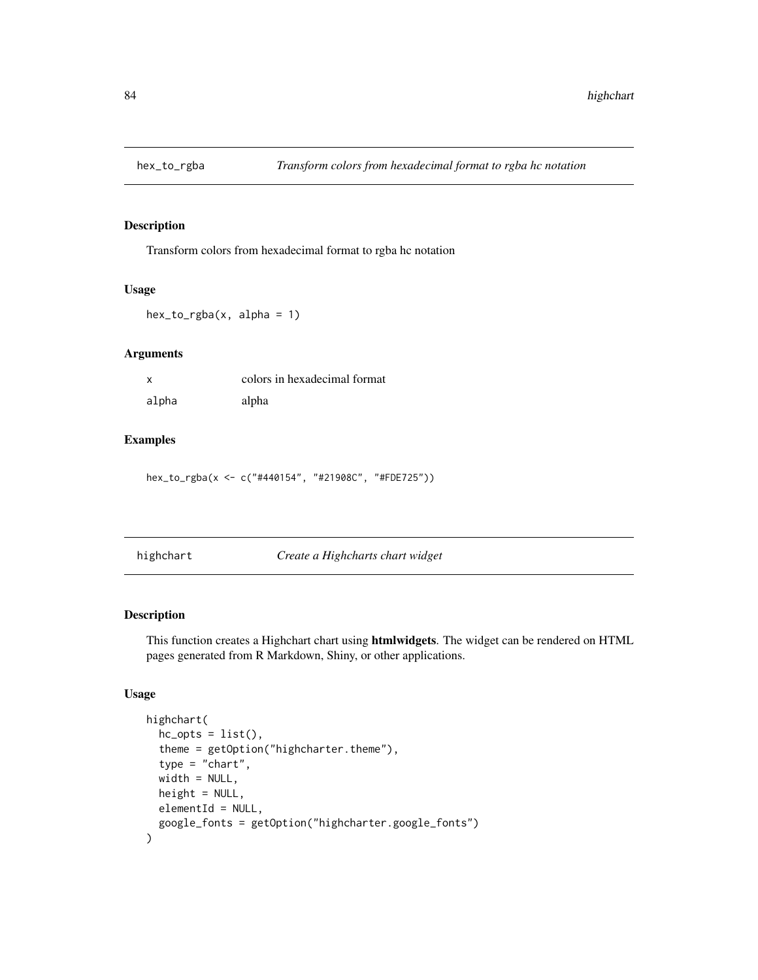<span id="page-83-0"></span>

Transform colors from hexadecimal format to rgba hc notation

#### Usage

 $hex_to_rgba(x, alpha = 1)$ 

## Arguments

|       | colors in hexadecimal format |
|-------|------------------------------|
| alpha | alpha                        |

## Examples

hex\_to\_rgba(x <- c("#440154", "#21908C", "#FDE725"))

|  | highchart |  |  |  |
|--|-----------|--|--|--|
|  |           |  |  |  |
|  |           |  |  |  |

highchart *Create a Highcharts chart widget*

#### Description

This function creates a Highchart chart using htmlwidgets. The widget can be rendered on HTML pages generated from R Markdown, Shiny, or other applications.

# Usage

```
highchart(
  hc\_opts = list(),
  theme = getOption("highcharter.theme"),
  type = "chart",width = NULL,
 height = NULL,elementId = NULL,google_fonts = getOption("highcharter.google_fonts")
\mathcal{E}
```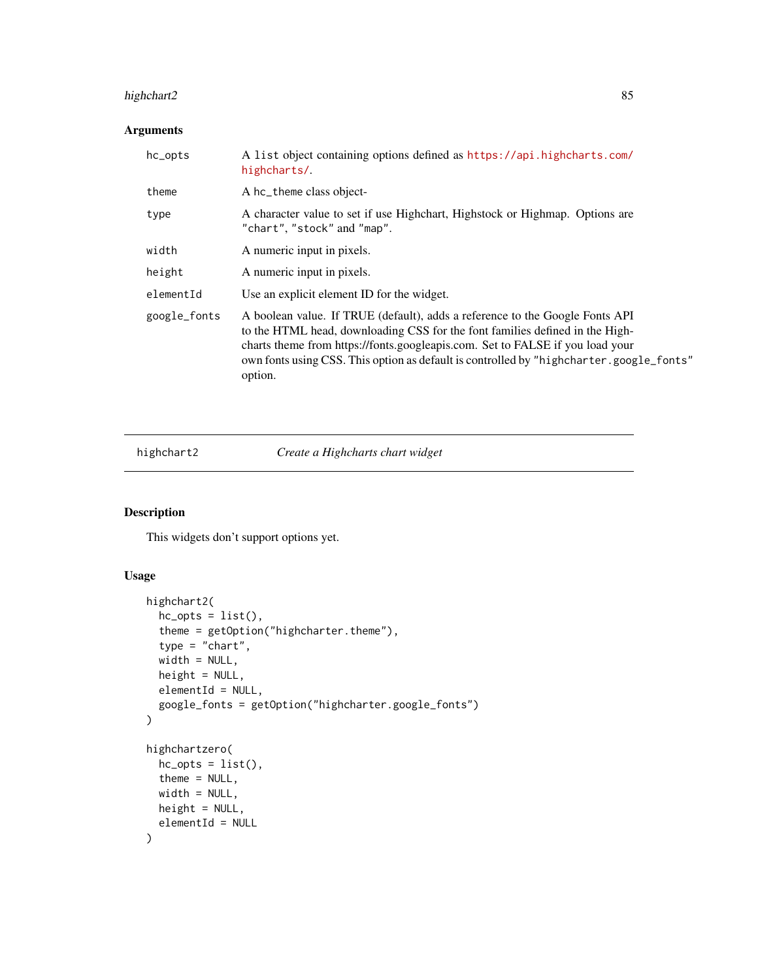# <span id="page-84-0"></span>highchart2 85

# Arguments

| hc_opts      | A list object containing options defined as https://api.highcharts.com/<br>highcharts/.                                                                                                                                                                                                                                                             |
|--------------|-----------------------------------------------------------------------------------------------------------------------------------------------------------------------------------------------------------------------------------------------------------------------------------------------------------------------------------------------------|
| theme        | A hc_theme class object-                                                                                                                                                                                                                                                                                                                            |
| type         | A character value to set if use Highchart, Highstock or Highmap. Options are<br>"chart", "stock" and "map".                                                                                                                                                                                                                                         |
| width        | A numeric input in pixels.                                                                                                                                                                                                                                                                                                                          |
| height       | A numeric input in pixels.                                                                                                                                                                                                                                                                                                                          |
| elementId    | Use an explicit element ID for the widget.                                                                                                                                                                                                                                                                                                          |
| google_fonts | A boolean value. If TRUE (default), adds a reference to the Google Fonts API<br>to the HTML head, downloading CSS for the font families defined in the High-<br>charts theme from https://fonts.googleapis.com. Set to FALSE if you load your<br>own fonts using CSS. This option as default is controlled by "highcharter.google_fonts"<br>option. |

highchart2 *Create a Highcharts chart widget*

# Description

This widgets don't support options yet.

# Usage

```
highchart2(
 hc\_opts = list(),theme = getOption("highcharter.theme"),
  type = "chart",
 width = NULL,
 height = NULL,elementId = NULL,google_fonts = getOption("highcharter.google_fonts")
)
highchartzero(
 hc\_opts = list(),
 theme = NULL,
 width = NULL,
 height = NULL,elementId = NULL)
```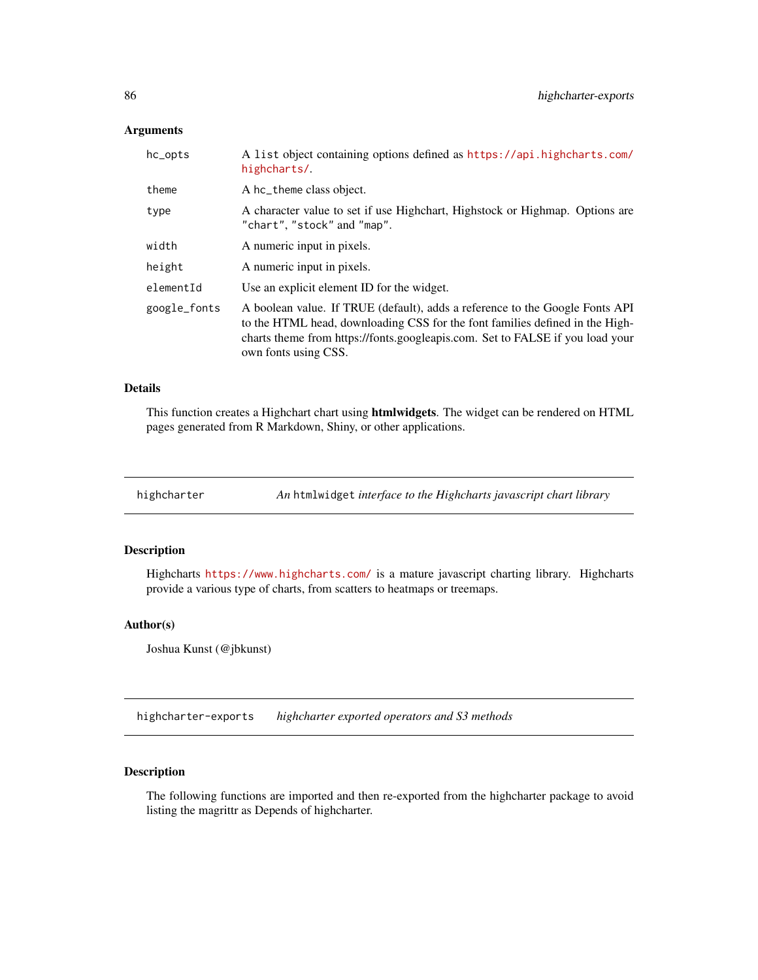## <span id="page-85-0"></span>Arguments

| hc_opts      | A list object containing options defined as https://api.highcharts.com/<br>highcharts/.                                                                                                                                                                               |
|--------------|-----------------------------------------------------------------------------------------------------------------------------------------------------------------------------------------------------------------------------------------------------------------------|
| theme        | A hc_theme class object.                                                                                                                                                                                                                                              |
| type         | A character value to set if use Highchart, Highstock or Highmap. Options are<br>"chart", "stock" and "map".                                                                                                                                                           |
| width        | A numeric input in pixels.                                                                                                                                                                                                                                            |
| height       | A numeric input in pixels.                                                                                                                                                                                                                                            |
| elementId    | Use an explicit element ID for the widget.                                                                                                                                                                                                                            |
| google_fonts | A boolean value. If TRUE (default), adds a reference to the Google Fonts API<br>to the HTML head, downloading CSS for the font families defined in the High-<br>charts theme from https://fonts.googleapis.com. Set to FALSE if you load your<br>own fonts using CSS. |

#### Details

This function creates a Highchart chart using htmlwidgets. The widget can be rendered on HTML pages generated from R Markdown, Shiny, or other applications.

highcharter *An* htmlwidget *interface to the Highcharts javascript chart library*

# Description

Highcharts <https://www.highcharts.com/> is a mature javascript charting library. Highcharts provide a various type of charts, from scatters to heatmaps or treemaps.

#### Author(s)

Joshua Kunst (@jbkunst)

highcharter-exports *highcharter exported operators and S3 methods*

## Description

The following functions are imported and then re-exported from the highcharter package to avoid listing the magrittr as Depends of highcharter.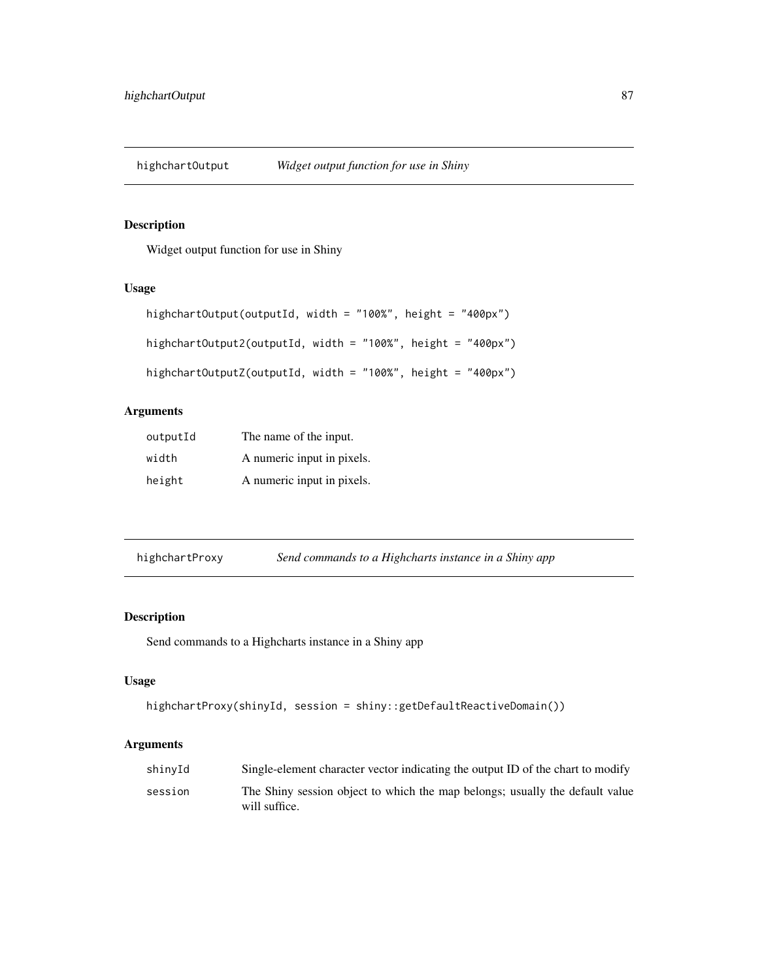<span id="page-86-0"></span>highchartOutput *Widget output function for use in Shiny*

# Description

Widget output function for use in Shiny

#### Usage

```
highchartOutput(outputId, width = "100%", height = "400px")
highchartOutput2(outputId, width = "100%", height = "400px")
highchartOutputZ(outputId, width = "100%", height = "400px")
```
# Arguments

| outputId | The name of the input.     |
|----------|----------------------------|
| width    | A numeric input in pixels. |
| height   | A numeric input in pixels. |

highchartProxy *Send commands to a Highcharts instance in a Shiny app*

#### Description

Send commands to a Highcharts instance in a Shiny app

# Usage

```
highchartProxy(shinyId, session = shiny::getDefaultReactiveDomain())
```
#### Arguments

| shinyId | Single-element character vector indicating the output ID of the chart to modify               |
|---------|-----------------------------------------------------------------------------------------------|
| session | The Shiny session object to which the map belongs; usually the default value<br>will suffice. |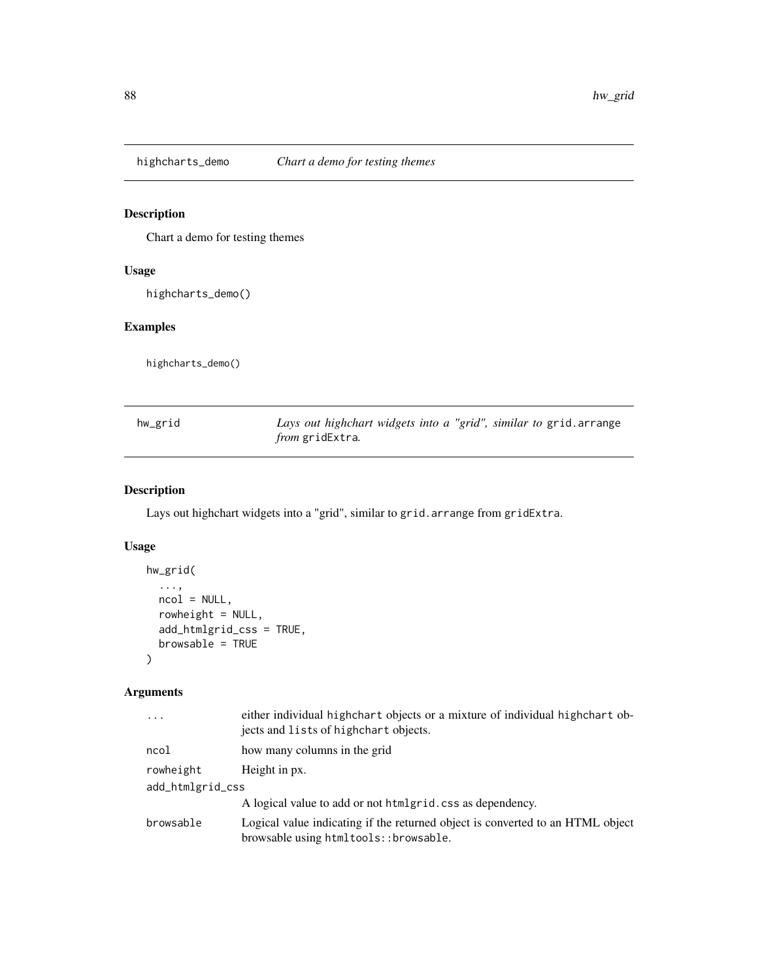<span id="page-87-0"></span>

Chart a demo for testing themes

## Usage

highcharts\_demo()

# Examples

highcharts\_demo()

| hw_grid | Lays out highchart widgets into a "grid", similar to grid. arrange |
|---------|--------------------------------------------------------------------|
|         | <i>from</i> gridExtra.                                             |

# Description

Lays out highchart widgets into a "grid", similar to grid.arrange from gridExtra.

# Usage

```
hw_grid(
  ...,
 ncol = NULL,rowheight = NULL,
 add_htmlgrid_css = TRUE,
 browsable = TRUE
)
```
## Arguments

| $\ddots$         | either individual highchart objects or a mixture of individual highchart ob-<br>jects and lists of highchart objects.   |  |
|------------------|-------------------------------------------------------------------------------------------------------------------------|--|
| ncol             | how many columns in the grid                                                                                            |  |
| rowheight        | Height in px.                                                                                                           |  |
| add_htmlgrid_css |                                                                                                                         |  |
|                  | A logical value to add or not htmlgrid.css as dependency.                                                               |  |
| browsable        | Logical value indicating if the returned object is converted to an HTML object<br>browsable using htmltools::browsable. |  |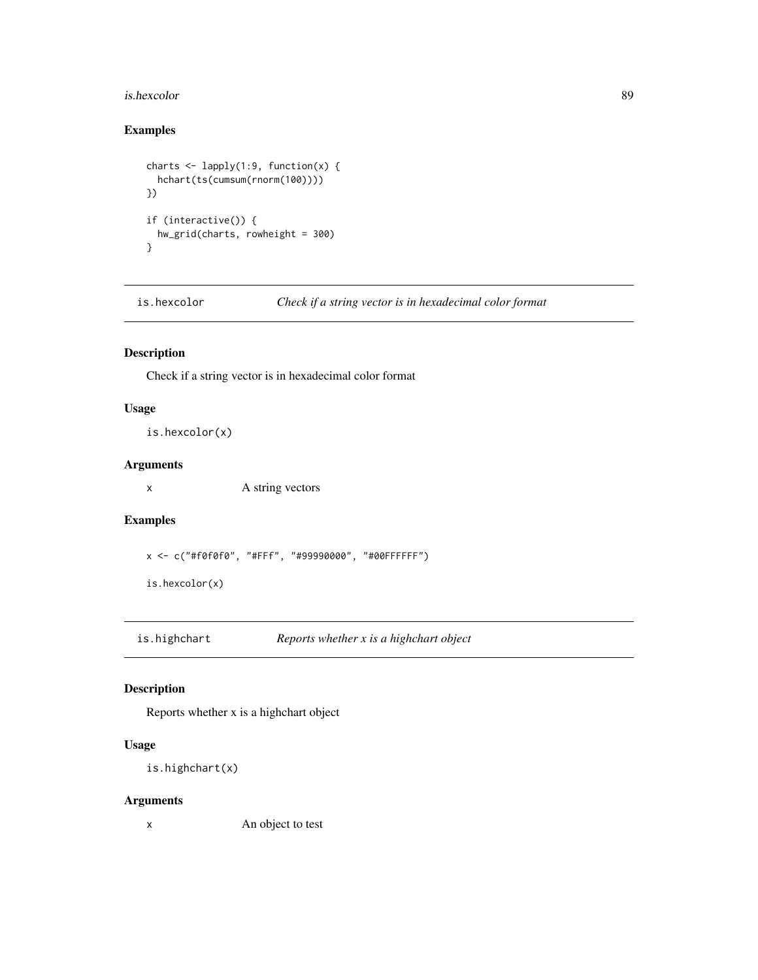#### <span id="page-88-0"></span>is.hexcolor 89

## Examples

```
charts \leq lapply(1:9, function(x) {
  hchart(ts(cumsum(rnorm(100))))
})
if (interactive()) {
  hw_grid(charts, rowheight = 300)
}
```
is.hexcolor *Check if a string vector is in hexadecimal color format*

## Description

Check if a string vector is in hexadecimal color format

## Usage

is.hexcolor(x)

## Arguments

x A string vectors

## Examples

x <- c("#f0f0f0", "#FFf", "#99990000", "#00FFFFFF")

is.hexcolor(x)

is.highchart *Reports whether x is a highchart object*

## Description

Reports whether x is a highchart object

#### Usage

```
is.highchart(x)
```
#### Arguments

x An object to test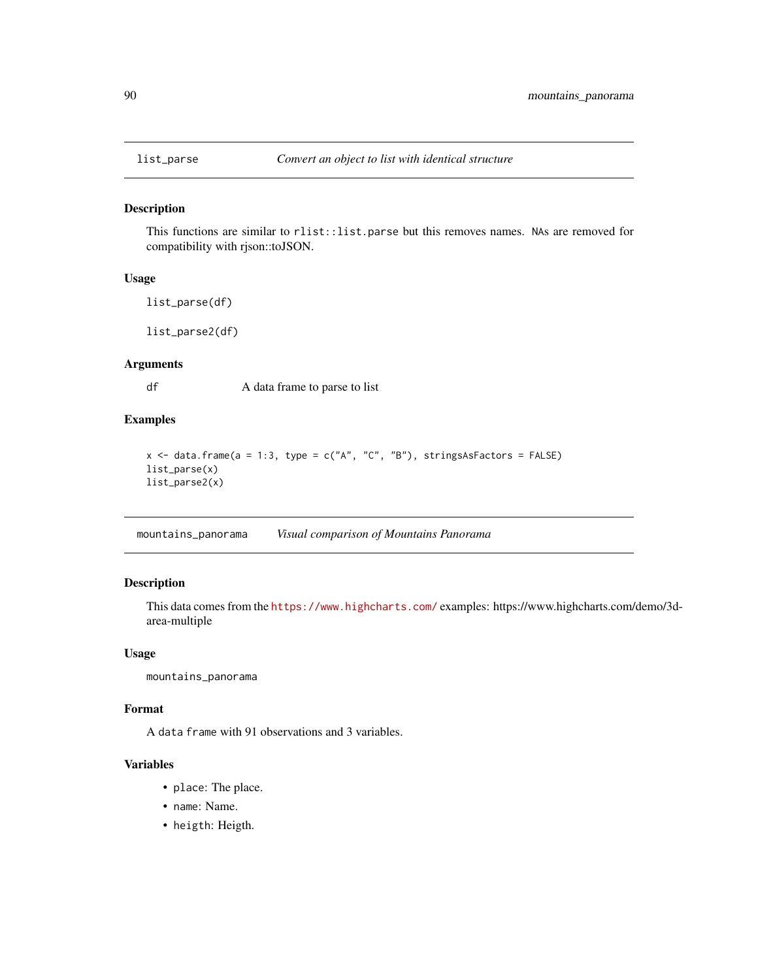<span id="page-89-0"></span>

This functions are similar to rlist::list.parse but this removes names. NAs are removed for compatibility with rjson::toJSON.

## Usage

list\_parse(df)

list\_parse2(df)

#### Arguments

df A data frame to parse to list

## Examples

```
x <- data.frame(a = 1:3, type = c("A", "C", "B"), stringsAsFactors = FALSE)
list_parse(x)
list_parse2(x)
```
mountains\_panorama *Visual comparison of Mountains Panorama*

## Description

This data comes from the <https://www.highcharts.com/> examples: https://www.highcharts.com/demo/3darea-multiple

#### Usage

mountains\_panorama

#### Format

A data frame with 91 observations and 3 variables.

#### Variables

- place: The place.
- name: Name.
- heigth: Heigth.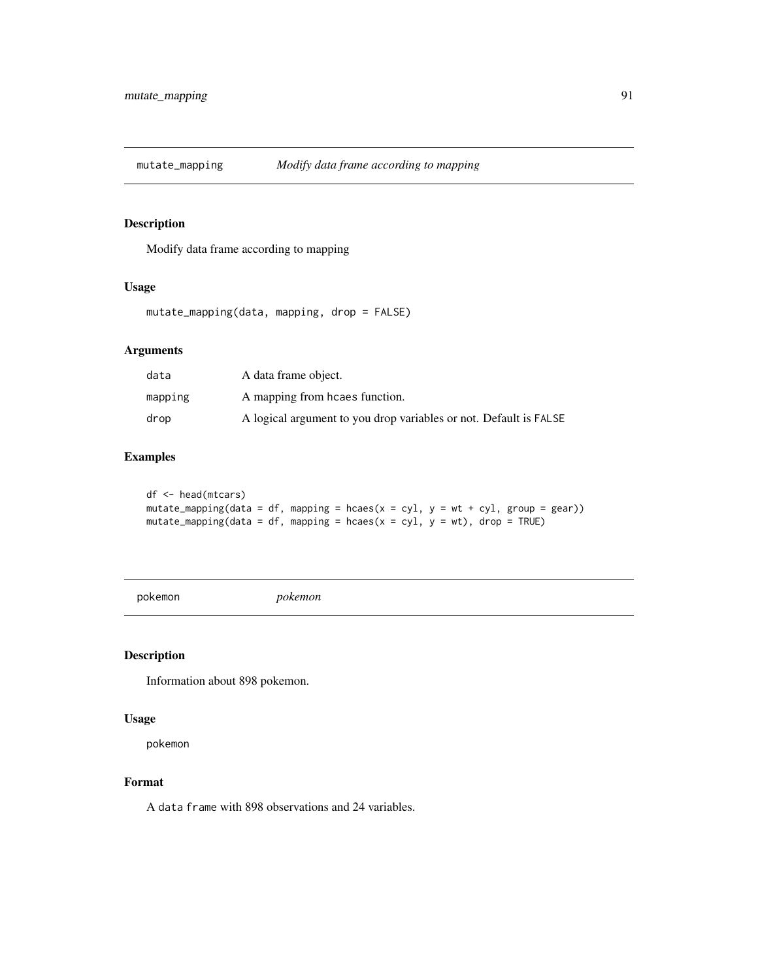<span id="page-90-0"></span>

Modify data frame according to mapping

#### Usage

```
mutate_mapping(data, mapping, drop = FALSE)
```
## Arguments

| data    | A data frame object.                                              |
|---------|-------------------------------------------------------------------|
| mapping | A mapping from hcaes function.                                    |
| drop    | A logical argument to you drop variables or not. Default is FALSE |

# Examples

```
df <- head(mtcars)
mutate_mapping(data = df, mapping = hcaes(x = cy1, y = wt + cy1, group = gear))
mutate_mapping(data = df, mapping = hcaes(x = cyl, y = wt), drop = TRUE)
```
pokemon *pokemon*

#### Description

Information about 898 pokemon.

#### Usage

pokemon

#### Format

A data frame with 898 observations and 24 variables.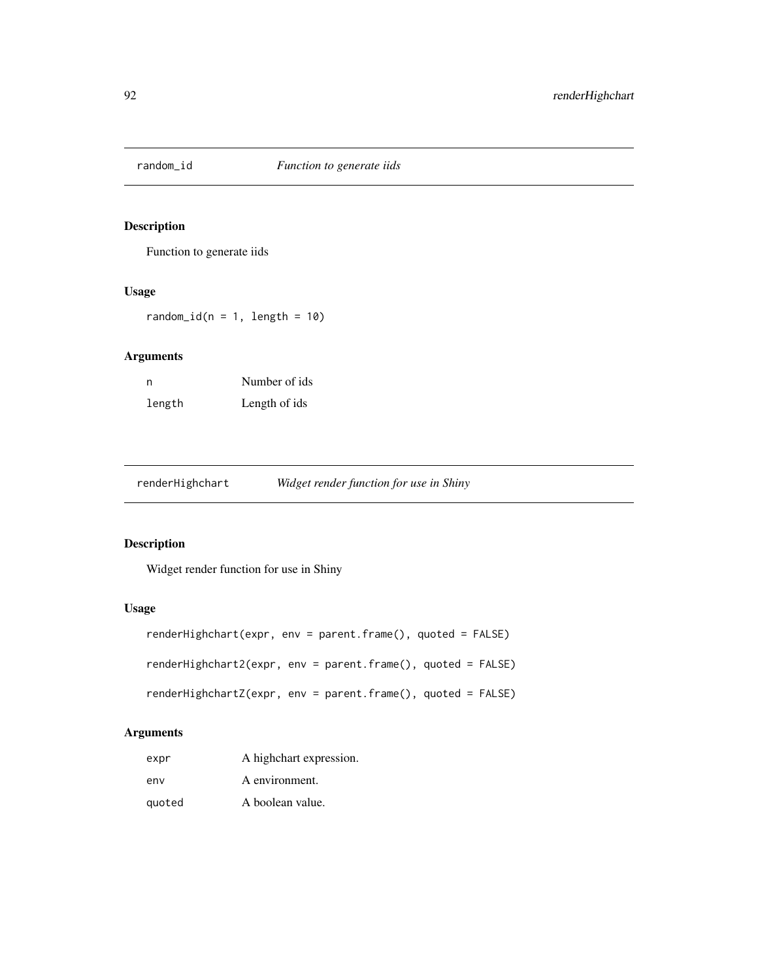<span id="page-91-0"></span>

Function to generate iids

#### Usage

 $random_id(n = 1, length = 10)$ 

## Arguments

| n      | Number of ids |
|--------|---------------|
| length | Length of ids |

renderHighchart *Widget render function for use in Shiny*

## Description

Widget render function for use in Shiny

## Usage

```
renderHighchart(expr, env = parent.frame(), quoted = FALSE)
renderHighchart2(expr, env = parent.frame(), quoted = FALSE)
renderHighchartZ(expr, env = parent.frame(), quoted = FALSE)
```
## Arguments

| expr   | A highchart expression. |
|--------|-------------------------|
| env    | A environment.          |
| quoted | A boolean value.        |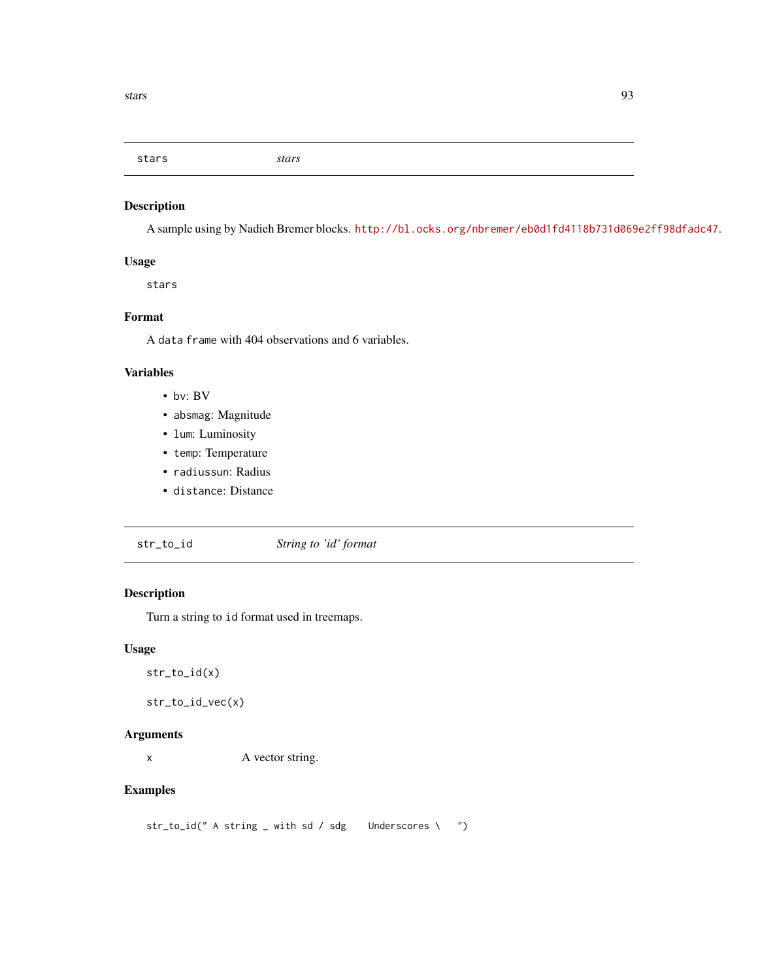<span id="page-92-0"></span>stars *stars*

## Description

A sample using by Nadieh Bremer blocks. <http://bl.ocks.org/nbremer/eb0d1fd4118b731d069e2ff98dfadc47>.

## Usage

stars

## Format

A data frame with 404 observations and 6 variables.

#### Variables

- bv: BV
- absmag: Magnitude
- lum: Luminosity
- temp: Temperature
- radiussun: Radius
- distance: Distance
- str\_to\_id *String to 'id' format*

## Description

Turn a string to id format used in treemaps.

#### Usage

```
str_to_id(x)
```

```
str_to_id_vec(x)
```
## Arguments

x A vector string.

## Examples

str\_to\_id(" A string \_ with sd / sdg Underscores \ ")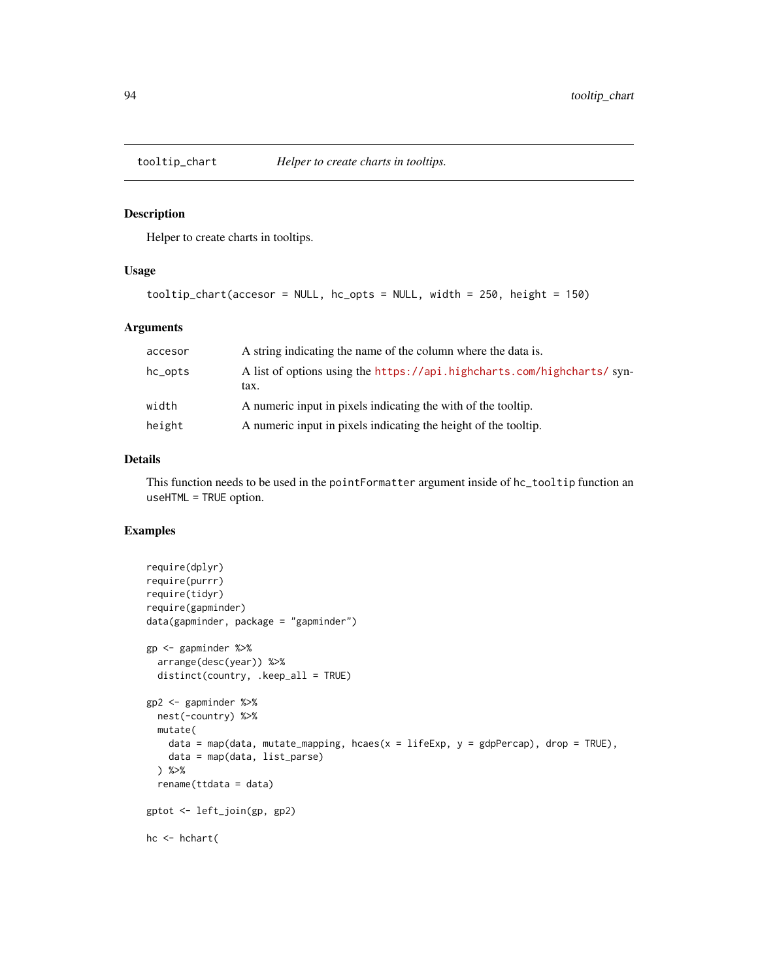<span id="page-93-0"></span>

Helper to create charts in tooltips.

#### Usage

```
tooltip_chart(accesor = NULL, hc_opts = NULL, width = 250, height = 150)
```
#### Arguments

| accesor | A string indicating the name of the column where the data is.                  |
|---------|--------------------------------------------------------------------------------|
| hc_opts | A list of options using the https://api.highcharts.com/highcharts/syn-<br>tax. |
| width   | A numeric input in pixels indicating the with of the tooltip.                  |
| height  | A numeric input in pixels indicating the height of the tooltip.                |

#### Details

This function needs to be used in the pointFormatter argument inside of hc\_tooltip function an useHTML = TRUE option.

```
require(dplyr)
require(purrr)
require(tidyr)
require(gapminder)
data(gapminder, package = "gapminder")
gp <- gapminder %>%
  arrange(desc(year)) %>%
  distinct(country, .keep_all = TRUE)
gp2 <- gapminder %>%
  nest(-country) %>%
  mutate(
   data = map(data, mutate_mapping, hcaes(x = 1ifeExp, y = gdpPercap), drop = TRUE),
   data = map(data, list_parse)
  ) %>%
  rename(ttdata = data)
gptot <- left_join(gp, gp2)
hc <- hchart(
```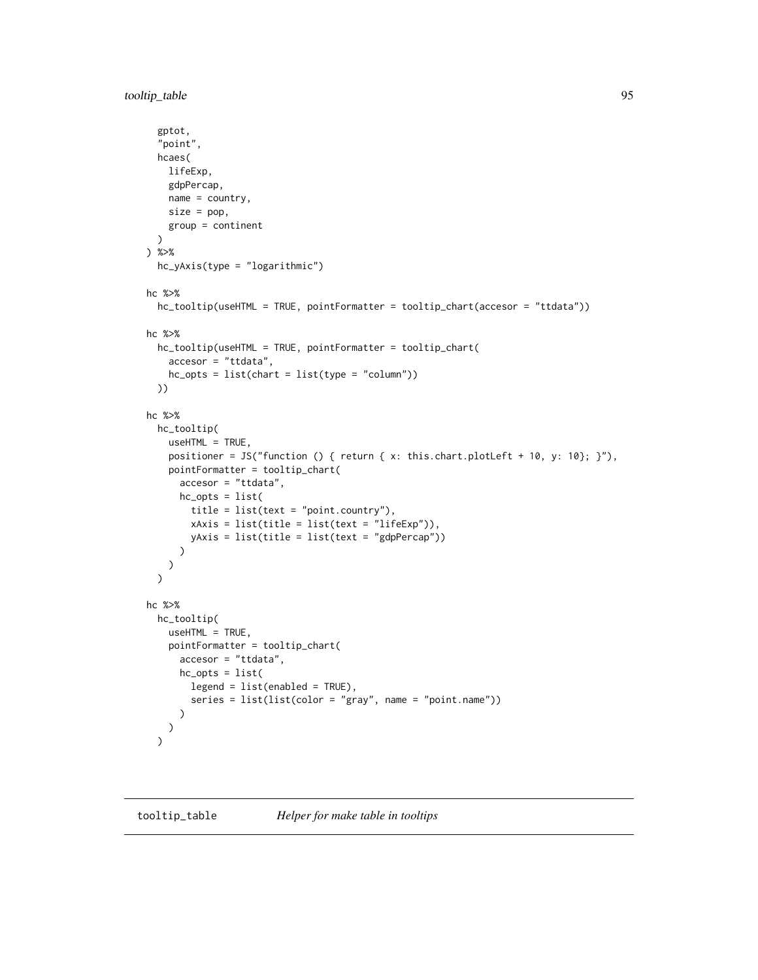<span id="page-94-0"></span>tooltip\_table 95

```
gptot,
  "point",
  hcaes(
    lifeExp,
    gdpPercap,
    name = country,size = pop,group = continent
  \lambda) %>%
  hc_yAxis(type = "logarithmic")
hc %>%
  hc_tooltip(useHTML = TRUE, pointFormatter = tooltip_chart(accesor = "ttdata"))
hc %>%
  hc_tooltip(useHTML = TRUE, pointFormatter = tooltip_chart(
    accesor = "ttdata",
    hc\_opts = list(chart = list(type = "column"))))
hc %>%
  hc_tooltip(
    useHTML = TRUE,
    positioner = JS("function () { return { x: this.chart.plotLeft + 10, y: 10}; }"),
    pointFormatter = tooltip_chart(
      accesor = "ttdata",
     hc_opts = list(
        title = list(text = "point.country"),
        xAxis = list(title = list(text = "lifeExp")),
        yAxis = list(title = list(text = "gdpPercap"))
      )
    )
  \mathcal{L}hc %>%
  hc_tooltip(
    useHTML = TRUE,
    pointFormatter = tooltip_chart(
      accesor = "ttdata",
      hc_opts = list(
        legend = list(enabled = TRUE),
        series = list(list(color = "gray", name = "point.name"))
      )
   )
  \mathcal{L}
```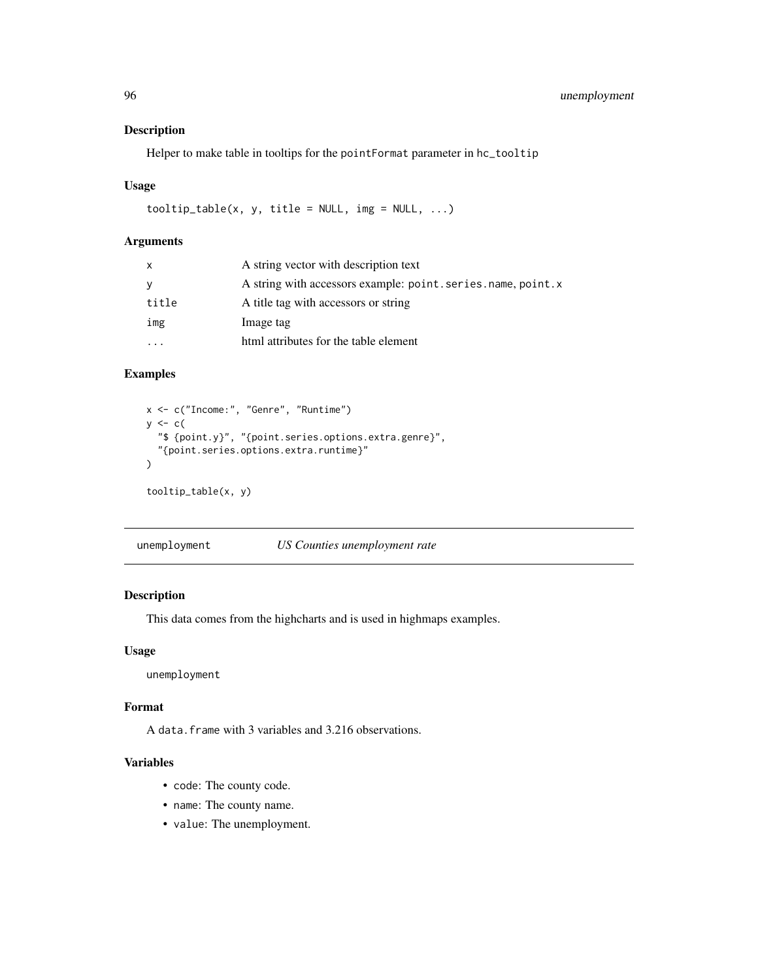Helper to make table in tooltips for the pointFormat parameter in hc\_tooltip

#### Usage

tooltip\_table(x, y, title = NULL, img = NULL, ...)

#### Arguments

| x     | A string vector with description text                       |
|-------|-------------------------------------------------------------|
| У     | A string with accessors example: point.series.name, point.x |
| title | A title tag with accessors or string                        |
| img   | Image tag                                                   |
|       | html attributes for the table element                       |

# Examples

```
x <- c("Income:", "Genre", "Runtime")
y \leftarrow c(
  "$ {point.y}", "{point.series.options.extra.genre}",
  "{point.series.options.extra.runtime}"
\mathcal{L}tooltip_table(x, y)
```
unemployment *US Counties unemployment rate*

## Description

This data comes from the highcharts and is used in highmaps examples.

#### Usage

unemployment

#### Format

A data.frame with 3 variables and 3.216 observations.

# Variables

- code: The county code.
- name: The county name.
- value: The unemployment.

<span id="page-95-0"></span>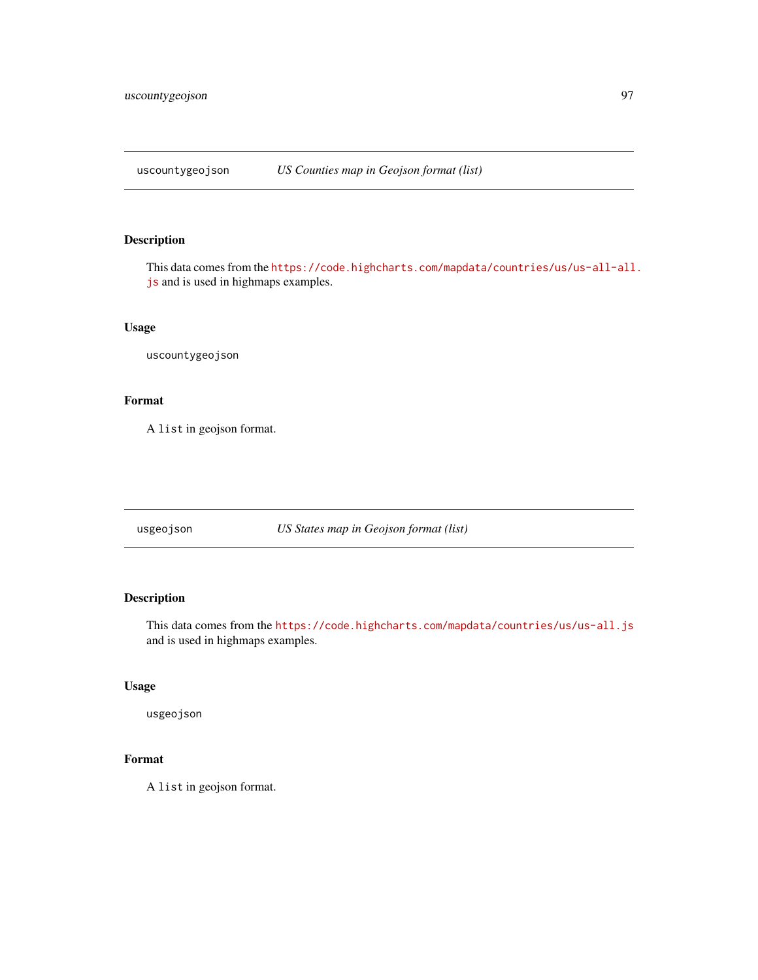<span id="page-96-0"></span>uscountygeojson *US Counties map in Geojson format (list)*

# Description

This data comes from the [https://code.highcharts.com/mapdata/countries/us/us-all-all](https://code.highcharts.com/mapdata/countries/us/us-all-all.js). [js](https://code.highcharts.com/mapdata/countries/us/us-all-all.js) and is used in highmaps examples.

#### Usage

uscountygeojson

# Format

A list in geojson format.

usgeojson *US States map in Geojson format (list)*

## Description

This data comes from the <https://code.highcharts.com/mapdata/countries/us/us-all.js> and is used in highmaps examples.

## Usage

usgeojson

# Format

A list in geojson format.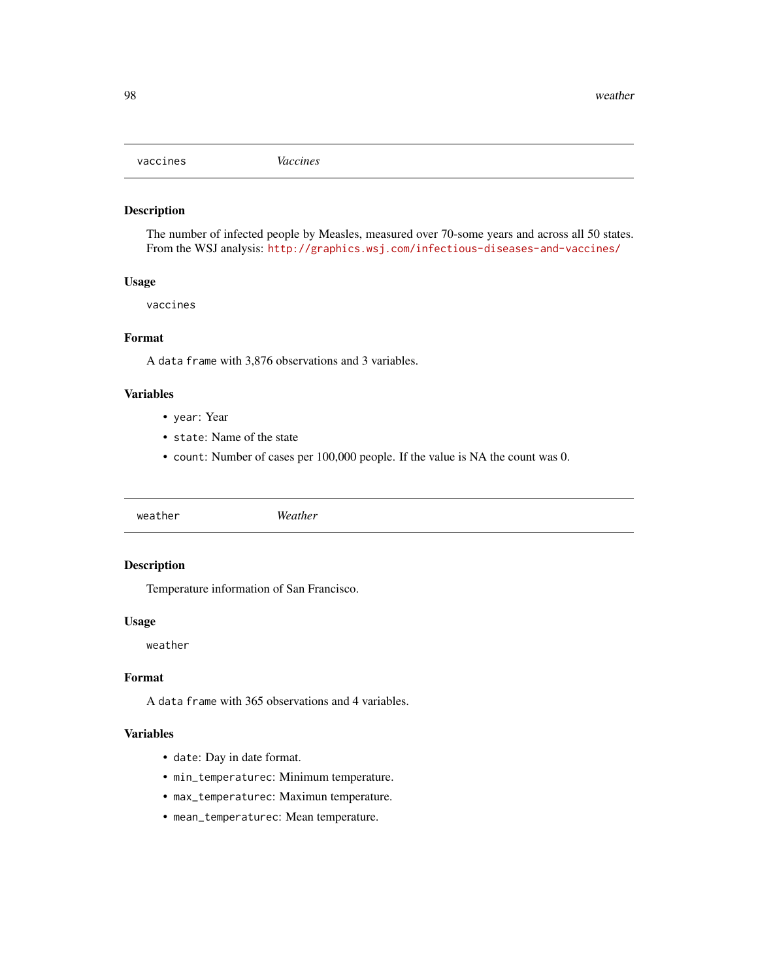<span id="page-97-0"></span>

The number of infected people by Measles, measured over 70-some years and across all 50 states. From the WSJ analysis: <http://graphics.wsj.com/infectious-diseases-and-vaccines/>

#### Usage

vaccines

## Format

A data frame with 3,876 observations and 3 variables.

## Variables

- year: Year
- state: Name of the state
- count: Number of cases per 100,000 people. If the value is NA the count was 0.

weather *Weather*

## Description

Temperature information of San Francisco.

#### Usage

weather

#### Format

A data frame with 365 observations and 4 variables.

#### Variables

- date: Day in date format.
- min\_temperaturec: Minimum temperature.
- max\_temperaturec: Maximun temperature.
- mean\_temperaturec: Mean temperature.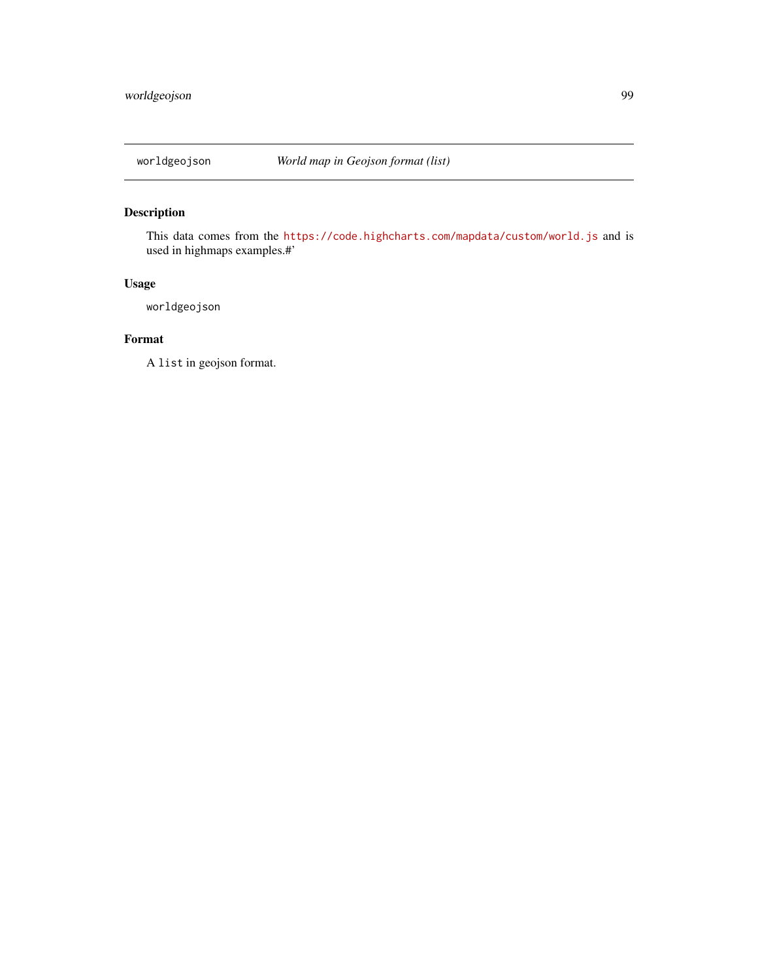<span id="page-98-0"></span>

This data comes from the <https://code.highcharts.com/mapdata/custom/world.js> and is used in highmaps examples.#'

## Usage

worldgeojson

## Format

A list in geojson format.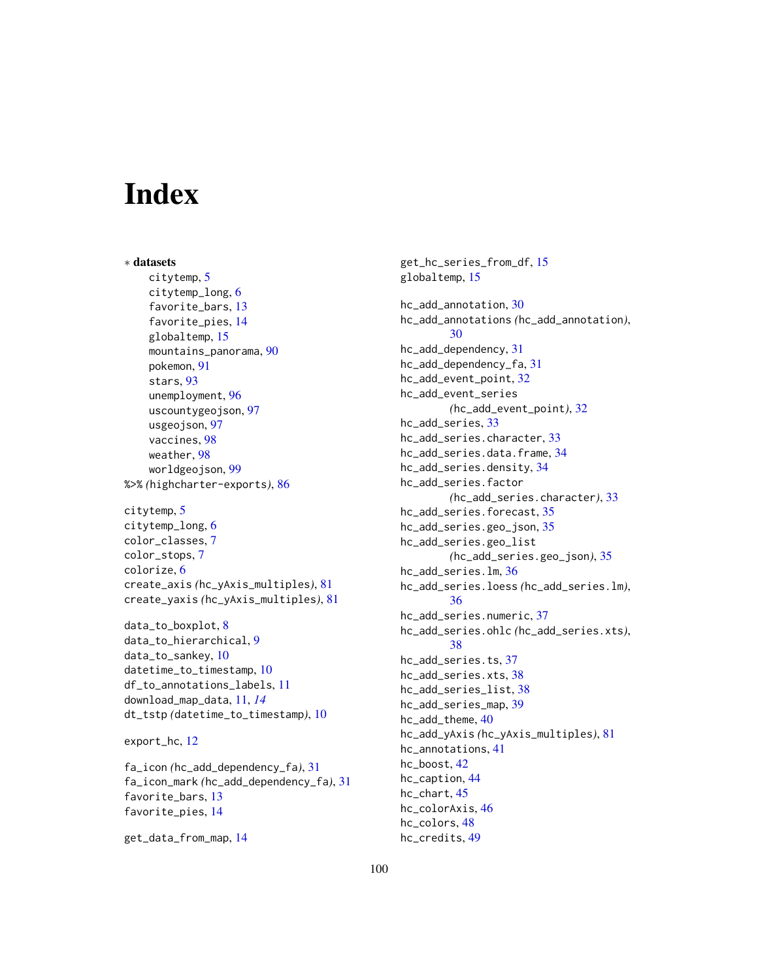# **Index**

∗ datasets citytemp, [5](#page-4-0) citytemp\_long, [6](#page-5-0) favorite\_bars, [13](#page-12-0) favorite\_pies, [14](#page-13-0) globaltemp, [15](#page-14-0) mountains\_panorama, [90](#page-89-0) pokemon, [91](#page-90-0) stars, [93](#page-92-0) unemployment, [96](#page-95-0) uscountygeojson, [97](#page-96-0) usgeojson, [97](#page-96-0) vaccines, [98](#page-97-0) weather, [98](#page-97-0) worldgeojson, [99](#page-98-0) %>% *(*highcharter-exports*)*, [86](#page-85-0) citytemp, [5](#page-4-0) citytemp\_long, [6](#page-5-0) color\_classes, [7](#page-6-0) color\_stops, [7](#page-6-0) colorize, [6](#page-5-0) create\_axis *(*hc\_yAxis\_multiples*)*, [81](#page-80-0) create\_yaxis *(*hc\_yAxis\_multiples*)*, [81](#page-80-0)

data\_to\_boxplot, [8](#page-7-0) data\_to\_hierarchical, [9](#page-8-0) data\_to\_sankey, [10](#page-9-0) datetime\_to\_timestamp, [10](#page-9-0) df\_to\_annotations\_labels, [11](#page-10-0) download\_map\_data, [11,](#page-10-0) *[14](#page-13-0)* dt\_tstp *(*datetime\_to\_timestamp*)*, [10](#page-9-0)

```
export_hc, 12
```
fa\_icon *(*hc\_add\_dependency\_fa*)*, [31](#page-30-0) fa\_icon\_mark *(*hc\_add\_dependency\_fa*)*, [31](#page-30-0) favorite\_bars, [13](#page-12-0) favorite\_pies, [14](#page-13-0)

get\_data\_from\_map, [14](#page-13-0)

get\_hc\_series\_from\_df, [15](#page-14-0) globaltemp, [15](#page-14-0) hc\_add\_annotation, [30](#page-29-0) hc\_add\_annotations *(*hc\_add\_annotation*)*, [30](#page-29-0) hc\_add\_dependency, [31](#page-30-0) hc\_add\_dependency\_fa, [31](#page-30-0) hc\_add\_event\_point, [32](#page-31-0) hc\_add\_event\_series *(*hc\_add\_event\_point*)*, [32](#page-31-0) hc\_add\_series, [33](#page-32-0) hc\_add\_series.character, [33](#page-32-0) hc\_add\_series.data.frame, [34](#page-33-0) hc\_add\_series.density, [34](#page-33-0) hc\_add\_series.factor *(*hc\_add\_series.character*)*, [33](#page-32-0) hc\_add\_series.forecast, [35](#page-34-0) hc\_add\_series.geo\_json, [35](#page-34-0) hc\_add\_series.geo\_list *(*hc\_add\_series.geo\_json*)*, [35](#page-34-0) hc\_add\_series.lm, [36](#page-35-0) hc\_add\_series.loess *(*hc\_add\_series.lm*)*, [36](#page-35-0) hc\_add\_series.numeric, [37](#page-36-0) hc\_add\_series.ohlc *(*hc\_add\_series.xts*)*, [38](#page-37-0) hc\_add\_series.ts, [37](#page-36-0) hc\_add\_series.xts, [38](#page-37-0) hc\_add\_series\_list, [38](#page-37-0) hc\_add\_series\_map, [39](#page-38-0) hc\_add\_theme, [40](#page-39-0) hc\_add\_yAxis *(*hc\_yAxis\_multiples*)*, [81](#page-80-0) hc\_annotations, [41](#page-40-0) hc\_boost, [42](#page-41-0) hc\_caption, [44](#page-43-0) hc\_chart, [45](#page-44-0) hc\_colorAxis, [46](#page-45-0) hc\_colors, [48](#page-47-0) hc\_credits, [49](#page-48-0)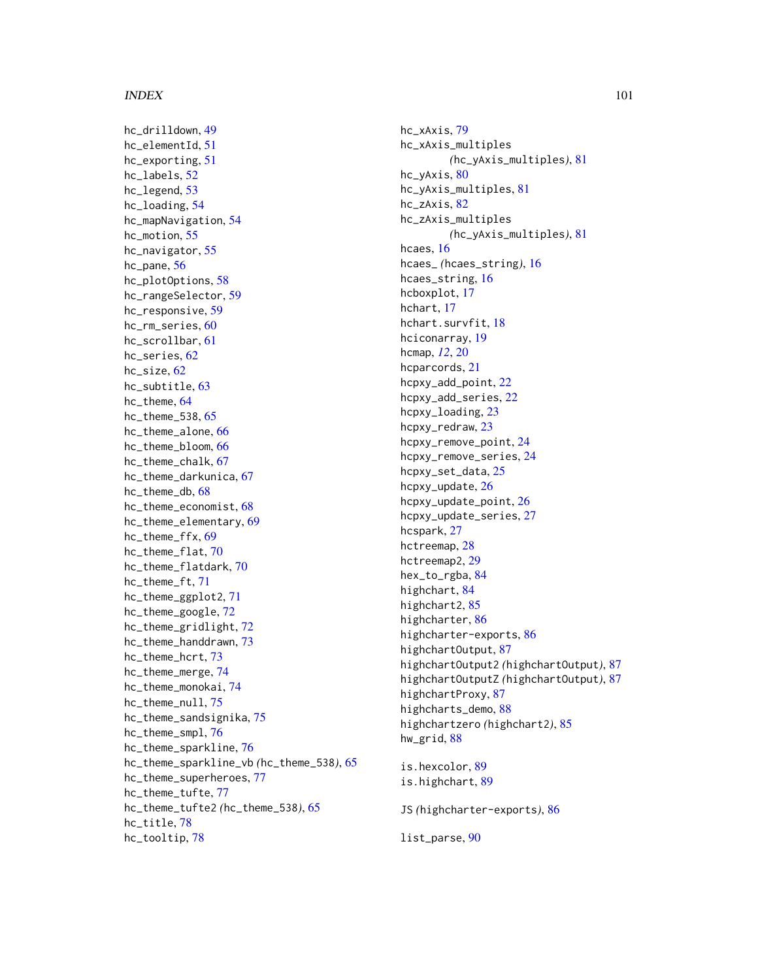#### $I$ NDEX  $101$

hc\_drilldown, [49](#page-48-0) hc\_elementId, [51](#page-50-0) hc\_exporting, [51](#page-50-0) hc\_labels, [52](#page-51-0) hc\_legend, [53](#page-52-0) hc\_loading, [54](#page-53-0) hc\_mapNavigation, [54](#page-53-0) hc\_motion, [55](#page-54-0) hc\_navigator, [55](#page-54-0) hc\_pane, [56](#page-55-0) hc\_plotOptions, [58](#page-57-0) hc\_rangeSelector, [59](#page-58-0) hc\_responsive, [59](#page-58-0) hc\_rm\_series, [60](#page-59-0) hc\_scrollbar, [61](#page-60-0) hc series. [62](#page-61-0) hc\_size, [62](#page-61-0) hc\_subtitle, [63](#page-62-0) hc\_theme, [64](#page-63-0) hc\_theme\_538, [65](#page-64-0) hc theme alone. [66](#page-65-0) hc\_theme\_bloom, [66](#page-65-0) hc\_theme\_chalk, [67](#page-66-0) hc\_theme\_darkunica, [67](#page-66-0) hc\_theme\_db, [68](#page-67-0) hc\_theme\_economist, [68](#page-67-0) hc\_theme\_elementary, [69](#page-68-0) hc\_theme\_ffx, [69](#page-68-0) hc\_theme\_flat, [70](#page-69-0) hc\_theme\_flatdark, [70](#page-69-0) hc\_theme\_ft, [71](#page-70-0) hc\_theme\_ggplot2, [71](#page-70-0) hc\_theme\_google, [72](#page-71-0) hc\_theme\_gridlight, [72](#page-71-0) hc\_theme\_handdrawn, [73](#page-72-0) hc\_theme\_hcrt, [73](#page-72-0) hc\_theme\_merge, [74](#page-73-0) hc\_theme\_monokai, [74](#page-73-0) hc\_theme\_null, [75](#page-74-0) hc\_theme\_sandsignika, [75](#page-74-0) hc\_theme\_smpl, [76](#page-75-0) hc\_theme\_sparkline, [76](#page-75-0) hc\_theme\_sparkline\_vb *(*hc\_theme\_538*)*, [65](#page-64-0) hc\_theme\_superheroes, [77](#page-76-0) hc\_theme\_tufte, [77](#page-76-0) hc\_theme\_tufte2 *(*hc\_theme\_538*)*, [65](#page-64-0) hc\_title, [78](#page-77-0) hc\_tooltip, [78](#page-77-0)

hc\_xAxis, [79](#page-78-0) hc\_xAxis\_multiples *(*hc\_yAxis\_multiples*)*, [81](#page-80-0) hc\_yAxis, [80](#page-79-0) hc\_yAxis\_multiples, [81](#page-80-0) hc\_zAxis, [82](#page-81-0) hc\_zAxis\_multiples *(*hc\_yAxis\_multiples*)*, [81](#page-80-0) hcaes, [16](#page-15-0) hcaes\_ *(*hcaes\_string*)*, [16](#page-15-0) hcaes\_string, [16](#page-15-0) hcboxplot, [17](#page-16-0) hchart, [17](#page-16-0) hchart.survfit, [18](#page-17-0) hciconarray, [19](#page-18-0) hcmap, *[12](#page-11-0)*, [20](#page-19-0) hcparcords, [21](#page-20-0) hcpxy\_add\_point, [22](#page-21-0) hcpxy\_add\_series, [22](#page-21-0) hcpxy\_loading, [23](#page-22-0) hcpxy\_redraw, [23](#page-22-0) hcpxy\_remove\_point, [24](#page-23-0) hcpxy\_remove\_series, [24](#page-23-0) hcpxy\_set\_data, [25](#page-24-0) hcpxy\_update, [26](#page-25-0) hcpxy\_update\_point, [26](#page-25-0) hcpxy\_update\_series, [27](#page-26-0) hcspark, [27](#page-26-0) hctreemap, [28](#page-27-0) hctreemap2, [29](#page-28-0) hex\_to\_rgba, [84](#page-83-0) highchart, [84](#page-83-0) highchart2, [85](#page-84-0) highcharter, [86](#page-85-0) highcharter-exports, [86](#page-85-0) highchartOutput, [87](#page-86-0) highchartOutput2 *(*highchartOutput*)*, [87](#page-86-0) highchartOutputZ *(*highchartOutput*)*, [87](#page-86-0) highchartProxy, [87](#page-86-0) highcharts\_demo, [88](#page-87-0) highchartzero *(*highchart2*)*, [85](#page-84-0) hw\_grid, [88](#page-87-0) is.hexcolor, [89](#page-88-0)

is.highchart, [89](#page-88-0)

JS *(*highcharter-exports*)*, [86](#page-85-0)

list\_parse, [90](#page-89-0)